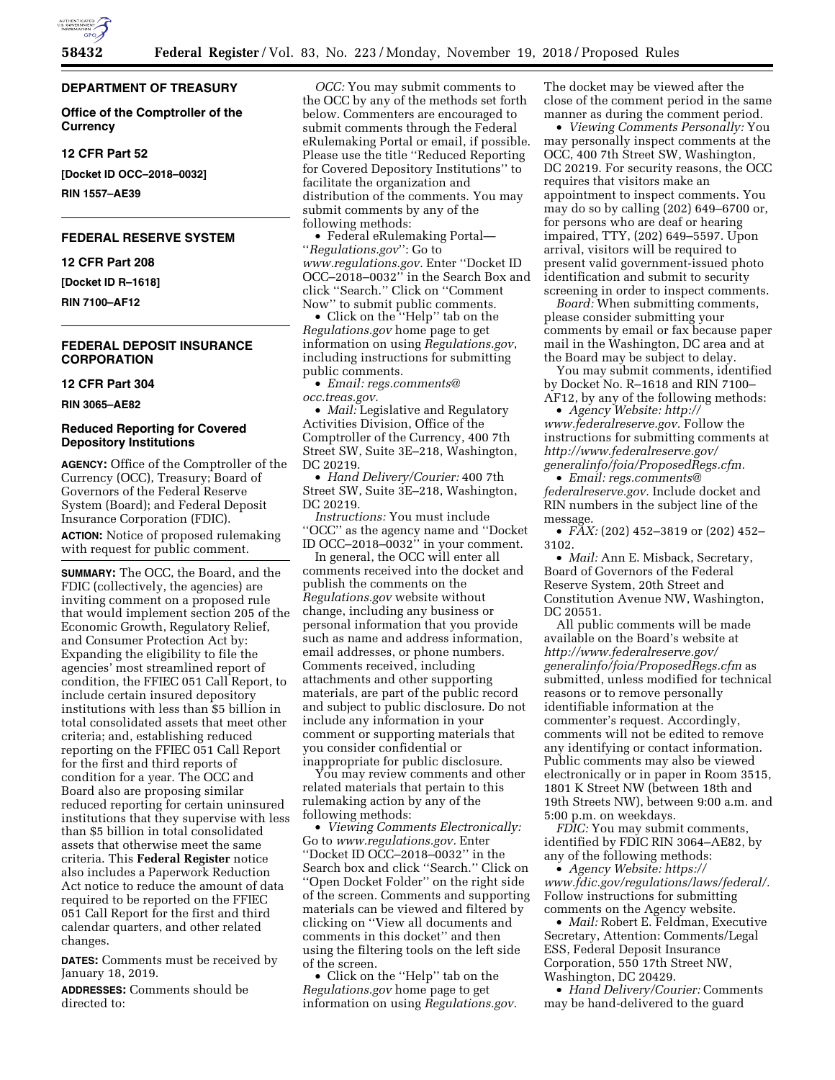# **DEPARTMENT OF TREASURY**

**Office of the Comptroller of the Currency** 

### **12 CFR Part 52**

**[Docket ID OCC–2018–0032]** 

**RIN 1557–AE39** 

# **FEDERAL RESERVE SYSTEM**

**12 CFR Part 208** 

**[Docket ID R–1618]** 

**RIN 7100–AF12** 

### **FEDERAL DEPOSIT INSURANCE CORPORATION**

#### **12 CFR Part 304**

**RIN 3065–AE82** 

# **Reduced Reporting for Covered Depository Institutions**

**AGENCY:** Office of the Comptroller of the Currency (OCC), Treasury; Board of Governors of the Federal Reserve System (Board); and Federal Deposit Insurance Corporation (FDIC).

**ACTION:** Notice of proposed rulemaking with request for public comment.

**SUMMARY:** The OCC, the Board, and the FDIC (collectively, the agencies) are inviting comment on a proposed rule that would implement section 205 of the Economic Growth, Regulatory Relief, and Consumer Protection Act by: Expanding the eligibility to file the agencies' most streamlined report of condition, the FFIEC 051 Call Report, to include certain insured depository institutions with less than \$5 billion in total consolidated assets that meet other criteria; and, establishing reduced reporting on the FFIEC 051 Call Report for the first and third reports of condition for a year. The OCC and Board also are proposing similar reduced reporting for certain uninsured institutions that they supervise with less than \$5 billion in total consolidated assets that otherwise meet the same criteria. This **Federal Register** notice also includes a Paperwork Reduction Act notice to reduce the amount of data required to be reported on the FFIEC 051 Call Report for the first and third calendar quarters, and other related changes.

**DATES:** Comments must be received by January 18, 2019.

**ADDRESSES:** Comments should be directed to:

*OCC:* You may submit comments to the OCC by any of the methods set forth below. Commenters are encouraged to submit comments through the Federal eRulemaking Portal or email, if possible. Please use the title ''Reduced Reporting for Covered Depository Institutions'' to facilitate the organization and distribution of the comments. You may submit comments by any of the following methods:

• Federal eRulemaking Portal— ''*Regulations.gov*'': Go to *[www.regulations.gov.](http://www.regulations.gov)* Enter ''Docket ID OCC–2018–0032'' in the Search Box and click ''Search.'' Click on ''Comment Now'' to submit public comments.

• Click on the ''Help'' tab on the *Regulations.gov* home page to get information on using *Regulations.gov*, including instructions for submitting public comments.

• *Email: [regs.comments@](mailto:regs.comments@occ.treas.gov) [occ.treas.gov.](mailto:regs.comments@occ.treas.gov)* 

• *Mail:* Legislative and Regulatory Activities Division, Office of the Comptroller of the Currency, 400 7th Street SW, Suite 3E–218, Washington, DC 20219.

• *Hand Delivery/Courier:* 400 7th Street SW, Suite 3E–218, Washington, DC 20219.

*Instructions:* You must include ''OCC'' as the agency name and ''Docket ID OCC–2018–0032'' in your comment.

In general, the OCC will enter all comments received into the docket and publish the comments on the *Regulations.gov* website without change, including any business or personal information that you provide such as name and address information, email addresses, or phone numbers. Comments received, including attachments and other supporting materials, are part of the public record and subject to public disclosure. Do not include any information in your comment or supporting materials that you consider confidential or inappropriate for public disclosure.

You may review comments and other related materials that pertain to this rulemaking action by any of the following methods:

• *Viewing Comments Electronically:*  Go to *[www.regulations.gov.](http://www.regulations.gov)* Enter ''Docket ID OCC–2018–0032'' in the Search box and click ''Search.'' Click on ''Open Docket Folder'' on the right side of the screen. Comments and supporting materials can be viewed and filtered by clicking on ''View all documents and comments in this docket'' and then using the filtering tools on the left side of the screen.

• Click on the ''Help'' tab on the *Regulations.gov* home page to get information on using *Regulations.gov*.

The docket may be viewed after the close of the comment period in the same manner as during the comment period.

• *Viewing Comments Personally:* You may personally inspect comments at the OCC, 400 7th Street SW, Washington, DC 20219. For security reasons, the OCC requires that visitors make an appointment to inspect comments. You may do so by calling (202) 649–6700 or, for persons who are deaf or hearing impaired, TTY, (202) 649–5597. Upon arrival, visitors will be required to present valid government-issued photo identification and submit to security screening in order to inspect comments.

*Board:* When submitting comments, please consider submitting your comments by email or fax because paper mail in the Washington, DC area and at the Board may be subject to delay.

You may submit comments, identified by Docket No. R–1618 and RIN 7100– AF12, by any of the following methods:

• *Agency Website: [http://](http://www.federalreserve.gov) [www.federalreserve.gov.](http://www.federalreserve.gov)* Follow the instructions for submitting comments at *[http://www.federalreserve.gov/](http://www.federalreserve.gov/generalinfo/foia/ProposedRegs.cfm)  [generalinfo/foia/ProposedRegs.cfm.](http://www.federalreserve.gov/generalinfo/foia/ProposedRegs.cfm)* 

• *Email: [regs.comments@](mailto:regs.comments@federalreserve.gov) [federalreserve.gov.](mailto:regs.comments@federalreserve.gov)* Include docket and RIN numbers in the subject line of the message.

• *FAX:* (202) 452–3819 or (202) 452– 3102.

• *Mail:* Ann E. Misback, Secretary, Board of Governors of the Federal Reserve System, 20th Street and Constitution Avenue NW, Washington, DC 20551.

All public comments will be made available on the Board's website at *[http://www.federalreserve.gov/](http://www.federalreserve.gov/generalinfo/foia/ProposedRegs.cfm)  [generalinfo/foia/ProposedRegs.cfm](http://www.federalreserve.gov/generalinfo/foia/ProposedRegs.cfm)* as submitted, unless modified for technical reasons or to remove personally identifiable information at the commenter's request. Accordingly, comments will not be edited to remove any identifying or contact information. Public comments may also be viewed electronically or in paper in Room 3515, 1801 K Street NW (between 18th and 19th Streets NW), between 9:00 a.m. and 5:00 p.m. on weekdays.

*FDIC:* You may submit comments, identified by FDIC RIN 3064–AE82, by any of the following methods:

• *Agency Website: [https://](https://www.fdic.gov/regulations/laws/federal/) [www.fdic.gov/regulations/laws/federal/.](https://www.fdic.gov/regulations/laws/federal/)*  Follow instructions for submitting comments on the Agency website.

• *Mail:* Robert E. Feldman, Executive Secretary, Attention: Comments/Legal ESS, Federal Deposit Insurance Corporation, 550 17th Street NW, Washington, DC 20429.

• *Hand Delivery/Courier:* Comments may be hand-delivered to the guard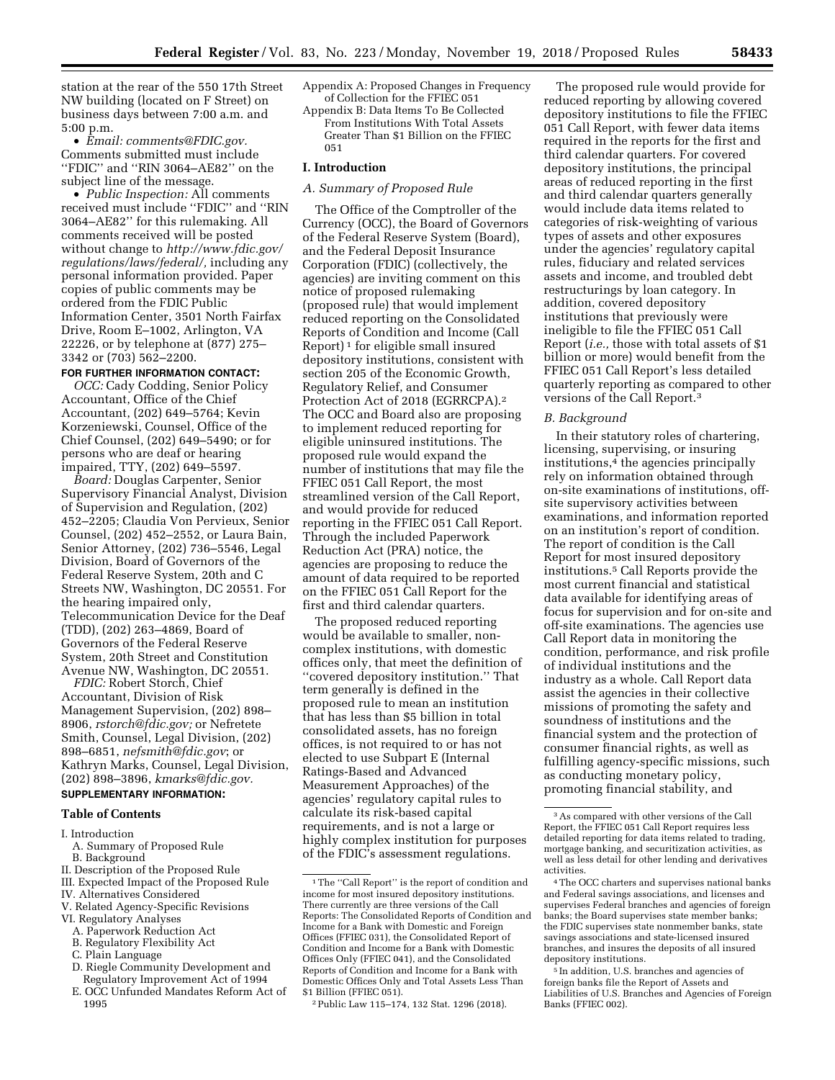station at the rear of the 550 17th Street NW building (located on F Street) on business days between 7:00 a.m. and 5:00 p.m.

• *Email: [comments@FDIC.gov.](mailto:comments@FDIC.gov)*  Comments submitted must include ''FDIC'' and ''RIN 3064–AE82'' on the subject line of the message.

• *Public Inspection:* All comments received must include ''FDIC'' and ''RIN 3064–AE82'' for this rulemaking. All comments received will be posted without change to *[http://www.fdic.gov/](http://www.fdic.gov/regulations/laws/federal/) [regulations/laws/federal/,](http://www.fdic.gov/regulations/laws/federal/)* including any personal information provided. Paper copies of public comments may be ordered from the FDIC Public Information Center, 3501 North Fairfax Drive, Room E–1002, Arlington, VA 22226, or by telephone at (877) 275– 3342 or (703) 562–2200.

# **FOR FURTHER INFORMATION CONTACT:**

*OCC:* Cady Codding, Senior Policy Accountant, Office of the Chief Accountant, (202) 649–5764; Kevin Korzeniewski, Counsel, Office of the Chief Counsel, (202) 649–5490; or for persons who are deaf or hearing impaired, TTY, (202) 649–5597.

*Board:* Douglas Carpenter, Senior Supervisory Financial Analyst, Division of Supervision and Regulation, (202) 452–2205; Claudia Von Pervieux, Senior Counsel, (202) 452–2552, or Laura Bain, Senior Attorney, (202) 736–5546, Legal Division, Board of Governors of the Federal Reserve System, 20th and C Streets NW, Washington, DC 20551. For the hearing impaired only, Telecommunication Device for the Deaf (TDD), (202) 263–4869, Board of Governors of the Federal Reserve System, 20th Street and Constitution Avenue NW, Washington, DC 20551.

*FDIC:* Robert Storch, Chief Accountant, Division of Risk Management Supervision, (202) 898– 8906, *[rstorch@fdic.gov;](mailto:rstorch@fdic.gov)* or Nefretete Smith, Counsel, Legal Division, (202) 898–6851, *[nefsmith@fdic.gov](mailto:nefsmith@fdic.gov)*; or Kathryn Marks, Counsel, Legal Division, (202) 898–3896, *[kmarks@fdic.gov.](mailto:kmarks@fdic.gov)* 

# **SUPPLEMENTARY INFORMATION:**

# **Table of Contents**

#### I. Introduction

- A. Summary of Proposed Rule B. Background
- II. Description of the Proposed Rule
- III. Expected Impact of the Proposed Rule
- IV. Alternatives Considered
- V. Related Agency-Specific Revisions
- VI. Regulatory Analyses
- A. Paperwork Reduction Act
- B. Regulatory Flexibility Act
- C. Plain Language
- D. Riegle Community Development and Regulatory Improvement Act of 1994
- E. OCC Unfunded Mandates Reform Act of 1995
- Appendix A: Proposed Changes in Frequency of Collection for the FFIEC 051
- Appendix B: Data Items To Be Collected From Institutions With Total Assets Greater Than \$1 Billion on the FFIEC 051

#### **I. Introduction**

# *A. Summary of Proposed Rule*

The Office of the Comptroller of the Currency (OCC), the Board of Governors of the Federal Reserve System (Board), and the Federal Deposit Insurance Corporation (FDIC) (collectively, the agencies) are inviting comment on this notice of proposed rulemaking (proposed rule) that would implement reduced reporting on the Consolidated Reports of Condition and Income (Call Report) 1 for eligible small insured depository institutions, consistent with section 205 of the Economic Growth, Regulatory Relief, and Consumer Protection Act of 2018 (EGRRCPA).2 The OCC and Board also are proposing to implement reduced reporting for eligible uninsured institutions. The proposed rule would expand the number of institutions that may file the FFIEC 051 Call Report, the most streamlined version of the Call Report, and would provide for reduced reporting in the FFIEC 051 Call Report. Through the included Paperwork Reduction Act (PRA) notice, the agencies are proposing to reduce the amount of data required to be reported on the FFIEC 051 Call Report for the first and third calendar quarters.

The proposed reduced reporting would be available to smaller, noncomplex institutions, with domestic offices only, that meet the definition of ''covered depository institution.'' That term generally is defined in the proposed rule to mean an institution that has less than \$5 billion in total consolidated assets, has no foreign offices, is not required to or has not elected to use Subpart E (Internal Ratings-Based and Advanced Measurement Approaches) of the agencies' regulatory capital rules to calculate its risk-based capital requirements, and is not a large or highly complex institution for purposes of the FDIC's assessment regulations.

The proposed rule would provide for reduced reporting by allowing covered depository institutions to file the FFIEC 051 Call Report, with fewer data items required in the reports for the first and third calendar quarters. For covered depository institutions, the principal areas of reduced reporting in the first and third calendar quarters generally would include data items related to categories of risk-weighting of various types of assets and other exposures under the agencies' regulatory capital rules, fiduciary and related services assets and income, and troubled debt restructurings by loan category. In addition, covered depository institutions that previously were ineligible to file the FFIEC 051 Call Report (*i.e.,* those with total assets of \$1 billion or more) would benefit from the FFIEC 051 Call Report's less detailed quarterly reporting as compared to other versions of the Call Report.3

### *B. Background*

In their statutory roles of chartering, licensing, supervising, or insuring institutions,<sup>4</sup> the agencies principally rely on information obtained through on-site examinations of institutions, offsite supervisory activities between examinations, and information reported on an institution's report of condition. The report of condition is the Call Report for most insured depository institutions.5 Call Reports provide the most current financial and statistical data available for identifying areas of focus for supervision and for on-site and off-site examinations. The agencies use Call Report data in monitoring the condition, performance, and risk profile of individual institutions and the industry as a whole. Call Report data assist the agencies in their collective missions of promoting the safety and soundness of institutions and the financial system and the protection of consumer financial rights, as well as fulfilling agency-specific missions, such as conducting monetary policy, promoting financial stability, and

<sup>&</sup>lt;sup>1</sup>The "Call Report" is the report of condition and income for most insured depository institutions. There currently are three versions of the Call Reports: The Consolidated Reports of Condition and Income for a Bank with Domestic and Foreign Offices (FFIEC 031), the Consolidated Report of Condition and Income for a Bank with Domestic Offices Only (FFIEC 041), and the Consolidated Reports of Condition and Income for a Bank with Domestic Offices Only and Total Assets Less Than \$1 Billion (FFIEC 051).

<sup>2</sup>Public Law 115–174, 132 Stat. 1296 (2018).

<sup>3</sup>As compared with other versions of the Call Report, the FFIEC 051 Call Report requires less detailed reporting for data items related to trading, mortgage banking, and securitization activities, as well as less detail for other lending and derivatives activities.

<sup>4</sup>The OCC charters and supervises national banks and Federal savings associations, and licenses and supervises Federal branches and agencies of foreign banks; the Board supervises state member banks; the FDIC supervises state nonmember banks, state savings associations and state-licensed insured branches, and insures the deposits of all insured depository institutions.

<sup>5</sup> In addition, U.S. branches and agencies of foreign banks file the Report of Assets and Liabilities of U.S. Branches and Agencies of Foreign Banks (FFIEC 002).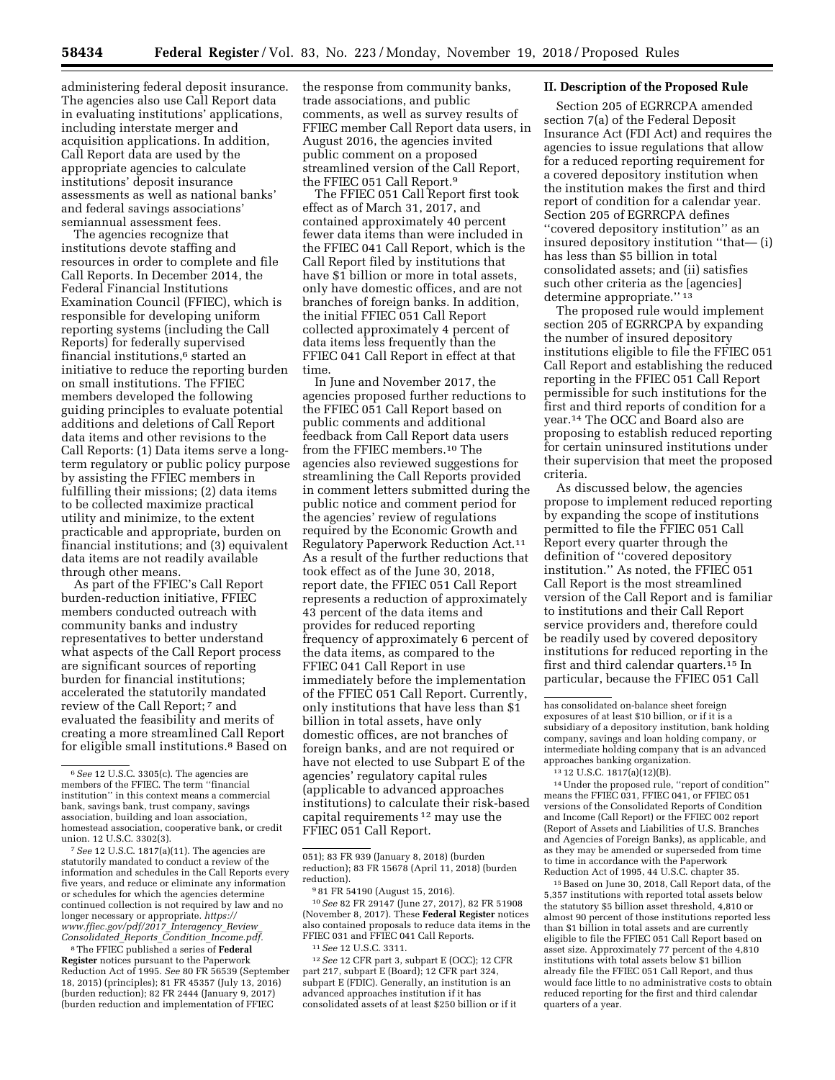administering federal deposit insurance. The agencies also use Call Report data in evaluating institutions' applications, including interstate merger and acquisition applications. In addition, Call Report data are used by the appropriate agencies to calculate institutions' deposit insurance assessments as well as national banks' and federal savings associations' semiannual assessment fees.

The agencies recognize that institutions devote staffing and resources in order to complete and file Call Reports. In December 2014, the Federal Financial Institutions Examination Council (FFIEC), which is responsible for developing uniform reporting systems (including the Call Reports) for federally supervised financial institutions,6 started an initiative to reduce the reporting burden on small institutions. The FFIEC members developed the following guiding principles to evaluate potential additions and deletions of Call Report data items and other revisions to the Call Reports: (1) Data items serve a longterm regulatory or public policy purpose by assisting the FFIEC members in fulfilling their missions; (2) data items to be collected maximize practical utility and minimize, to the extent practicable and appropriate, burden on financial institutions; and (3) equivalent data items are not readily available through other means.

As part of the FFIEC's Call Report burden-reduction initiative, FFIEC members conducted outreach with community banks and industry representatives to better understand what aspects of the Call Report process are significant sources of reporting burden for financial institutions; accelerated the statutorily mandated review of the Call Report; 7 and evaluated the feasibility and merits of creating a more streamlined Call Report for eligible small institutions.8 Based on

7*See* 12 U.S.C. 1817(a)(11). The agencies are statutorily mandated to conduct a review of the information and schedules in the Call Reports every five years, and reduce or eliminate any information or schedules for which the agencies determine continued collection is not required by law and no longer necessary or appropriate. *[https://](https://www.ffiec.gov/pdf/2017_Interagency_Review_Consolidated_Reports_Condition_Income.pdf) [www.ffiec.gov/pdf/2017](https://www.ffiec.gov/pdf/2017_Interagency_Review_Consolidated_Reports_Condition_Income.pdf)*\_*Interagency*\_*Review*\_ *[Consolidated](https://www.ffiec.gov/pdf/2017_Interagency_Review_Consolidated_Reports_Condition_Income.pdf)*\_*Reports*\_*Condition*\_*Income.pdf.* 

8The FFIEC published a series of **Federal Register** notices pursuant to the Paperwork Reduction Act of 1995. *See* 80 FR 56539 (September 18, 2015) (principles); 81 FR 45357 (July 13, 2016) (burden reduction); 82 FR 2444 (January 9, 2017) (burden reduction and implementation of FFIEC

the response from community banks, trade associations, and public comments, as well as survey results of FFIEC member Call Report data users, in August 2016, the agencies invited public comment on a proposed streamlined version of the Call Report, the FFIEC 051 Call Report.9

The FFIEC 051 Call Report first took effect as of March 31, 2017, and contained approximately 40 percent fewer data items than were included in the FFIEC 041 Call Report, which is the Call Report filed by institutions that have \$1 billion or more in total assets, only have domestic offices, and are not branches of foreign banks. In addition, the initial FFIEC 051 Call Report collected approximately 4 percent of data items less frequently than the FFIEC 041 Call Report in effect at that time.

In June and November 2017, the agencies proposed further reductions to the FFIEC 051 Call Report based on public comments and additional feedback from Call Report data users from the FFIEC members.10 The agencies also reviewed suggestions for streamlining the Call Reports provided in comment letters submitted during the public notice and comment period for the agencies' review of regulations required by the Economic Growth and Regulatory Paperwork Reduction Act.11 As a result of the further reductions that took effect as of the June 30, 2018, report date, the FFIEC 051 Call Report represents a reduction of approximately 43 percent of the data items and provides for reduced reporting frequency of approximately 6 percent of the data items, as compared to the FFIEC 041 Call Report in use immediately before the implementation of the FFIEC 051 Call Report. Currently, only institutions that have less than \$1 billion in total assets, have only domestic offices, are not branches of foreign banks, and are not required or have not elected to use Subpart E of the agencies' regulatory capital rules (applicable to advanced approaches institutions) to calculate their risk-based capital requirements 12 may use the FFIEC 051 Call Report.

10*See* 82 FR 29147 (June 27, 2017), 82 FR 51908 (November 8, 2017). These **Federal Register** notices also contained proposals to reduce data items in the FFIEC 031 and FFIEC 041 Call Reports.

12*See* 12 CFR part 3, subpart E (OCC); 12 CFR part 217, subpart E (Board); 12 CFR part 324, subpart E (FDIC). Generally, an institution is an advanced approaches institution if it has consolidated assets of at least \$250 billion or if it

# **II. Description of the Proposed Rule**

Section 205 of EGRRCPA amended section 7(a) of the Federal Deposit Insurance Act (FDI Act) and requires the agencies to issue regulations that allow for a reduced reporting requirement for a covered depository institution when the institution makes the first and third report of condition for a calendar year. Section 205 of EGRRCPA defines ''covered depository institution'' as an insured depository institution ''that— (i) has less than \$5 billion in total consolidated assets; and (ii) satisfies such other criteria as the [agencies] determine appropriate.'' 13

The proposed rule would implement section 205 of EGRRCPA by expanding the number of insured depository institutions eligible to file the FFIEC 051 Call Report and establishing the reduced reporting in the FFIEC 051 Call Report permissible for such institutions for the first and third reports of condition for a year.14 The OCC and Board also are proposing to establish reduced reporting for certain uninsured institutions under their supervision that meet the proposed criteria.

As discussed below, the agencies propose to implement reduced reporting by expanding the scope of institutions permitted to file the FFIEC 051 Call Report every quarter through the definition of ''covered depository institution.'' As noted, the FFIEC 051 Call Report is the most streamlined version of the Call Report and is familiar to institutions and their Call Report service providers and, therefore could be readily used by covered depository institutions for reduced reporting in the first and third calendar quarters.15 In particular, because the FFIEC 051 Call

14Under the proposed rule, ''report of condition'' means the FFIEC 031, FFIEC 041, or FFIEC 051 versions of the Consolidated Reports of Condition and Income (Call Report) or the FFIEC 002 report (Report of Assets and Liabilities of U.S. Branches and Agencies of Foreign Banks), as applicable, and as they may be amended or superseded from time to time in accordance with the Paperwork Reduction Act of 1995, 44 U.S.C. chapter 35.

15Based on June 30, 2018, Call Report data, of the 5,357 institutions with reported total assets below the statutory \$5 billion asset threshold, 4,810 or almost 90 percent of those institutions reported less than \$1 billion in total assets and are currently eligible to file the FFIEC 051 Call Report based on asset size. Approximately 77 percent of the 4,810 institutions with total assets below \$1 billion already file the FFIEC 051 Call Report, and thus would face little to no administrative costs to obtain reduced reporting for the first and third calendar quarters of a year.

<sup>6</sup>*See* 12 U.S.C. 3305(c). The agencies are members of the FFIEC. The term ''financial institution'' in this context means a commercial bank, savings bank, trust company, savings association, building and loan association, homestead association, cooperative bank, or credit union. 12 U.S.C. 3302(3).

<sup>051); 83</sup> FR 939 (January 8, 2018) (burden reduction); 83 FR 15678 (April 11, 2018) (burden reduction).

<sup>9</sup> 81 FR 54190 (August 15, 2016).

<sup>11</sup>*See* 12 U.S.C. 3311.

has consolidated on-balance sheet foreign exposures of at least \$10 billion, or if it is a subsidiary of a depository institution, bank holding company, savings and loan holding company, or intermediate holding company that is an advanced approaches banking organization.

<sup>13</sup> 12 U.S.C. 1817(a)(12)(B).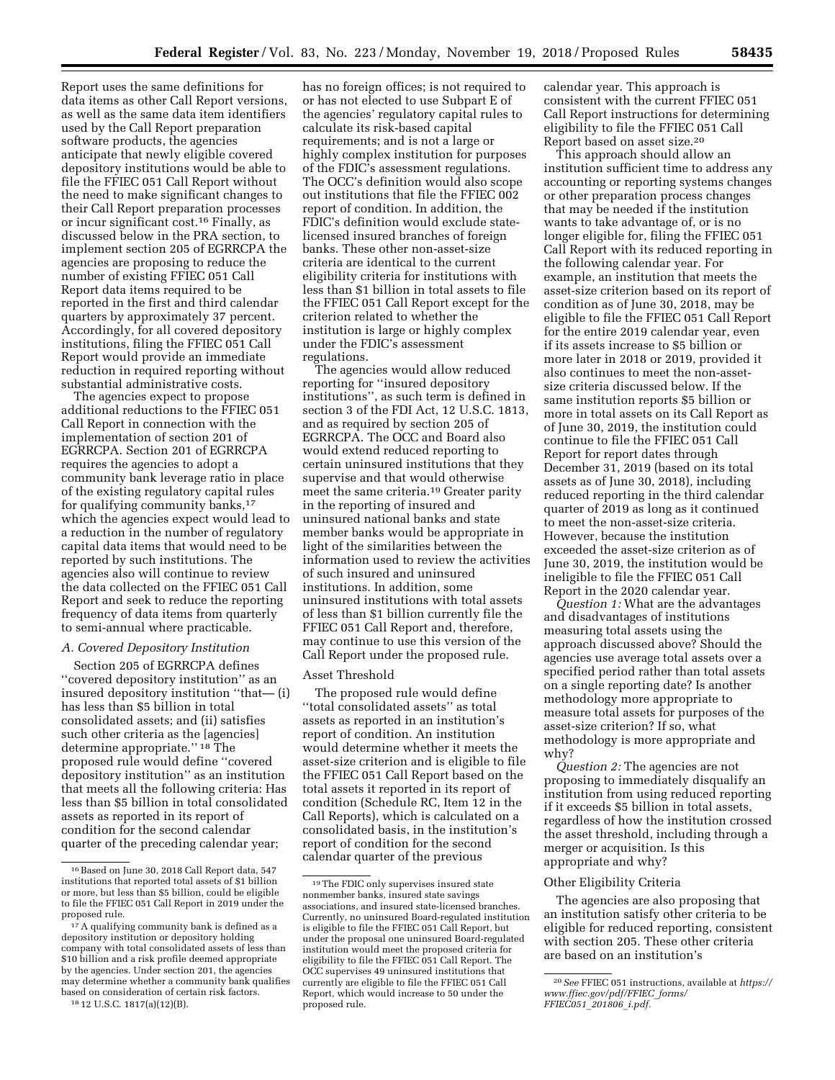Report uses the same definitions for data items as other Call Report versions, as well as the same data item identifiers used by the Call Report preparation software products, the agencies anticipate that newly eligible covered depository institutions would be able to file the FFIEC 051 Call Report without the need to make significant changes to their Call Report preparation processes or incur significant cost.16 Finally, as discussed below in the PRA section, to implement section 205 of EGRRCPA the agencies are proposing to reduce the number of existing FFIEC 051 Call Report data items required to be reported in the first and third calendar quarters by approximately 37 percent. Accordingly, for all covered depository institutions, filing the FFIEC 051 Call Report would provide an immediate reduction in required reporting without substantial administrative costs.

The agencies expect to propose additional reductions to the FFIEC 051 Call Report in connection with the implementation of section 201 of EGRRCPA. Section 201 of EGRRCPA requires the agencies to adopt a community bank leverage ratio in place of the existing regulatory capital rules for qualifying community banks,<sup>17</sup> which the agencies expect would lead to a reduction in the number of regulatory capital data items that would need to be reported by such institutions. The agencies also will continue to review the data collected on the FFIEC 051 Call Report and seek to reduce the reporting frequency of data items from quarterly to semi-annual where practicable.

### *A. Covered Depository Institution*

Section 205 of EGRRCPA defines ''covered depository institution'' as an insured depository institution ''that— (i) has less than \$5 billion in total consolidated assets; and (ii) satisfies such other criteria as the [agencies] determine appropriate.'' 18 The proposed rule would define ''covered depository institution'' as an institution that meets all the following criteria: Has less than \$5 billion in total consolidated assets as reported in its report of condition for the second calendar quarter of the preceding calendar year;

has no foreign offices; is not required to or has not elected to use Subpart E of the agencies' regulatory capital rules to calculate its risk-based capital requirements; and is not a large or highly complex institution for purposes of the FDIC's assessment regulations. The OCC's definition would also scope out institutions that file the FFIEC 002 report of condition. In addition, the FDIC's definition would exclude statelicensed insured branches of foreign banks. These other non-asset-size criteria are identical to the current eligibility criteria for institutions with less than \$1 billion in total assets to file the FFIEC 051 Call Report except for the criterion related to whether the institution is large or highly complex under the FDIC's assessment regulations.

The agencies would allow reduced reporting for ''insured depository institutions'', as such term is defined in section 3 of the FDI Act, 12 U.S.C. 1813, and as required by section 205 of EGRRCPA. The OCC and Board also would extend reduced reporting to certain uninsured institutions that they supervise and that would otherwise meet the same criteria.19 Greater parity in the reporting of insured and uninsured national banks and state member banks would be appropriate in light of the similarities between the information used to review the activities of such insured and uninsured institutions. In addition, some uninsured institutions with total assets of less than \$1 billion currently file the FFIEC 051 Call Report and, therefore, may continue to use this version of the Call Report under the proposed rule.

#### Asset Threshold

The proposed rule would define ''total consolidated assets'' as total assets as reported in an institution's report of condition. An institution would determine whether it meets the asset-size criterion and is eligible to file the FFIEC 051 Call Report based on the total assets it reported in its report of condition (Schedule RC, Item 12 in the Call Reports), which is calculated on a consolidated basis, in the institution's report of condition for the second calendar quarter of the previous

calendar year. This approach is consistent with the current FFIEC 051 Call Report instructions for determining eligibility to file the FFIEC 051 Call Report based on asset size.20

This approach should allow an institution sufficient time to address any accounting or reporting systems changes or other preparation process changes that may be needed if the institution wants to take advantage of, or is no longer eligible for, filing the FFIEC 051 Call Report with its reduced reporting in the following calendar year. For example, an institution that meets the asset-size criterion based on its report of condition as of June 30, 2018, may be eligible to file the FFIEC 051 Call Report for the entire 2019 calendar year, even if its assets increase to \$5 billion or more later in 2018 or 2019, provided it also continues to meet the non-assetsize criteria discussed below. If the same institution reports \$5 billion or more in total assets on its Call Report as of June 30, 2019, the institution could continue to file the FFIEC 051 Call Report for report dates through December 31, 2019 (based on its total assets as of June 30, 2018), including reduced reporting in the third calendar quarter of 2019 as long as it continued to meet the non-asset-size criteria. However, because the institution exceeded the asset-size criterion as of June 30, 2019, the institution would be ineligible to file the FFIEC 051 Call Report in the 2020 calendar year.

*Question 1:* What are the advantages and disadvantages of institutions measuring total assets using the approach discussed above? Should the agencies use average total assets over a specified period rather than total assets on a single reporting date? Is another methodology more appropriate to measure total assets for purposes of the asset-size criterion? If so, what methodology is more appropriate and why?

*Question 2:* The agencies are not proposing to immediately disqualify an institution from using reduced reporting if it exceeds \$5 billion in total assets, regardless of how the institution crossed the asset threshold, including through a merger or acquisition. Is this appropriate and why?

### Other Eligibility Criteria

The agencies are also proposing that an institution satisfy other criteria to be eligible for reduced reporting, consistent with section 205. These other criteria are based on an institution's

<sup>16</sup>Based on June 30, 2018 Call Report data, 547 institutions that reported total assets of \$1 billion or more, but less than \$5 billion, could be eligible to file the FFIEC 051 Call Report in 2019 under the proposed rule.

<sup>17</sup>A qualifying community bank is defined as a depository institution or depository holding company with total consolidated assets of less than \$10 billion and a risk profile deemed appropriate by the agencies. Under section 201, the agencies may determine whether a community bank qualifies based on consideration of certain risk factors. 18 12 U.S.C. 1817(a)(12)(B).

<sup>19</sup>The FDIC only supervises insured state nonmember banks, insured state savings associations, and insured state-licensed branches. Currently, no uninsured Board-regulated institution is eligible to file the FFIEC 051 Call Report, but under the proposal one uninsured Board-regulated institution would meet the proposed criteria for eligibility to file the FFIEC 051 Call Report. The OCC supervises 49 uninsured institutions that currently are eligible to file the FFIEC 051 Call Report, which would increase to 50 under the proposed rule.

<sup>20</sup>*See* FFIEC 051 instructions, available at *[https://](https://www.ffiec.gov/pdf/FFIEC_forms/FFIEC051_201806_i.pdf) [www.ffiec.gov/pdf/FFIEC](https://www.ffiec.gov/pdf/FFIEC_forms/FFIEC051_201806_i.pdf)*\_*forms/ [FFIEC051](https://www.ffiec.gov/pdf/FFIEC_forms/FFIEC051_201806_i.pdf)*\_*201806*\_*i.pdf.*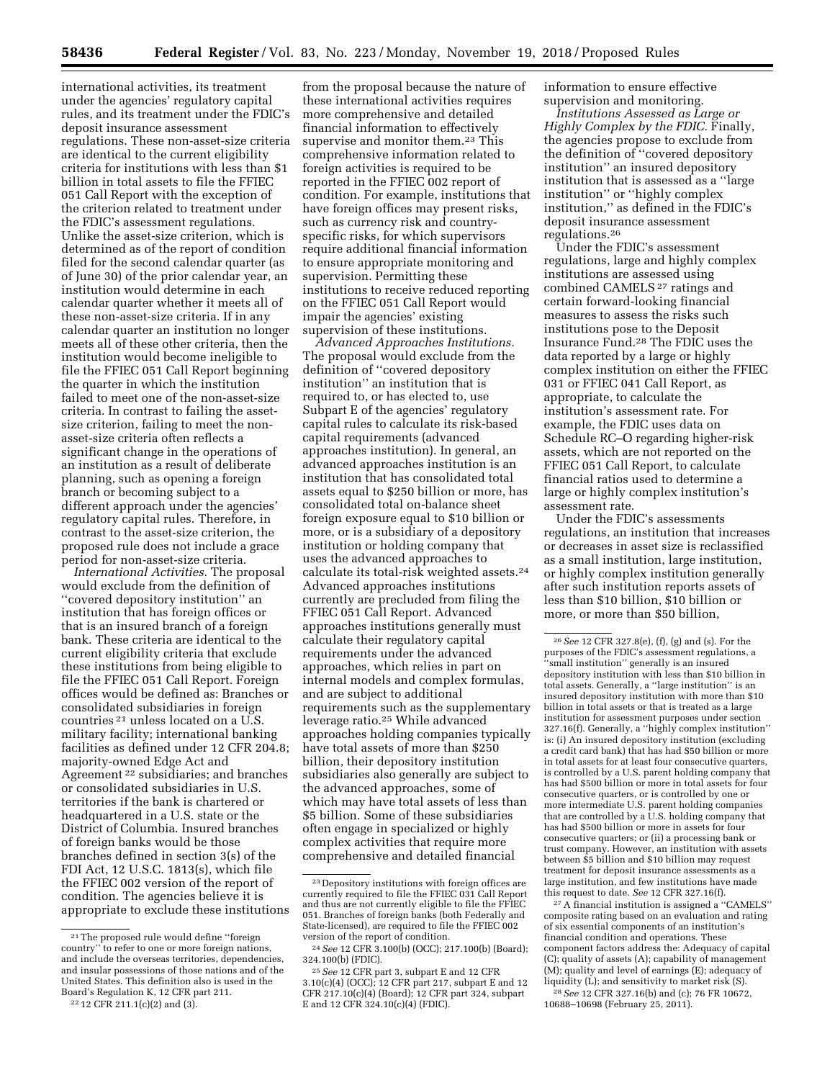international activities, its treatment under the agencies' regulatory capital rules, and its treatment under the FDIC's deposit insurance assessment regulations. These non-asset-size criteria are identical to the current eligibility criteria for institutions with less than \$1 billion in total assets to file the FFIEC 051 Call Report with the exception of the criterion related to treatment under the FDIC's assessment regulations. Unlike the asset-size criterion, which is determined as of the report of condition filed for the second calendar quarter (as of June 30) of the prior calendar year, an institution would determine in each calendar quarter whether it meets all of these non-asset-size criteria. If in any calendar quarter an institution no longer meets all of these other criteria, then the institution would become ineligible to file the FFIEC 051 Call Report beginning the quarter in which the institution failed to meet one of the non-asset-size criteria. In contrast to failing the assetsize criterion, failing to meet the nonasset-size criteria often reflects a significant change in the operations of an institution as a result of deliberate planning, such as opening a foreign branch or becoming subject to a different approach under the agencies' regulatory capital rules. Therefore, in contrast to the asset-size criterion, the proposed rule does not include a grace period for non-asset-size criteria.

*International Activities.* The proposal would exclude from the definition of ''covered depository institution'' an institution that has foreign offices or that is an insured branch of a foreign bank. These criteria are identical to the current eligibility criteria that exclude these institutions from being eligible to file the FFIEC 051 Call Report. Foreign offices would be defined as: Branches or consolidated subsidiaries in foreign countries 21 unless located on a U.S. military facility; international banking facilities as defined under 12 CFR 204.8; majority-owned Edge Act and Agreement 22 subsidiaries; and branches or consolidated subsidiaries in U.S. territories if the bank is chartered or headquartered in a U.S. state or the District of Columbia. Insured branches of foreign banks would be those branches defined in section 3(s) of the FDI Act, 12 U.S.C. 1813(s), which file the FFIEC 002 version of the report of condition. The agencies believe it is appropriate to exclude these institutions

from the proposal because the nature of these international activities requires more comprehensive and detailed financial information to effectively supervise and monitor them.23 This comprehensive information related to foreign activities is required to be reported in the FFIEC 002 report of condition. For example, institutions that have foreign offices may present risks, such as currency risk and countryspecific risks, for which supervisors require additional financial information to ensure appropriate monitoring and supervision. Permitting these institutions to receive reduced reporting on the FFIEC 051 Call Report would impair the agencies' existing supervision of these institutions.

*Advanced Approaches Institutions.*  The proposal would exclude from the definition of ''covered depository institution'' an institution that is required to, or has elected to, use Subpart E of the agencies' regulatory capital rules to calculate its risk-based capital requirements (advanced approaches institution). In general, an advanced approaches institution is an institution that has consolidated total assets equal to \$250 billion or more, has consolidated total on-balance sheet foreign exposure equal to \$10 billion or more, or is a subsidiary of a depository institution or holding company that uses the advanced approaches to calculate its total-risk weighted assets.24 Advanced approaches institutions currently are precluded from filing the FFIEC 051 Call Report. Advanced approaches institutions generally must calculate their regulatory capital requirements under the advanced approaches, which relies in part on internal models and complex formulas, and are subject to additional requirements such as the supplementary leverage ratio.25 While advanced approaches holding companies typically have total assets of more than \$250 billion, their depository institution subsidiaries also generally are subject to the advanced approaches, some of which may have total assets of less than \$5 billion. Some of these subsidiaries often engage in specialized or highly complex activities that require more comprehensive and detailed financial

information to ensure effective supervision and monitoring.

*Institutions Assessed as Large or Highly Complex by the FDIC.* Finally, the agencies propose to exclude from the definition of ''covered depository institution'' an insured depository institution that is assessed as a ''large institution'' or ''highly complex institution,'' as defined in the FDIC's deposit insurance assessment regulations.26

Under the FDIC's assessment regulations, large and highly complex institutions are assessed using combined CAMELS 27 ratings and certain forward-looking financial measures to assess the risks such institutions pose to the Deposit Insurance Fund.28 The FDIC uses the data reported by a large or highly complex institution on either the FFIEC 031 or FFIEC 041 Call Report, as appropriate, to calculate the institution's assessment rate. For example, the FDIC uses data on Schedule RC–O regarding higher-risk assets, which are not reported on the FFIEC 051 Call Report, to calculate financial ratios used to determine a large or highly complex institution's assessment rate.

Under the FDIC's assessments regulations, an institution that increases or decreases in asset size is reclassified as a small institution, large institution, or highly complex institution generally after such institution reports assets of less than \$10 billion, \$10 billion or more, or more than \$50 billion,

27A financial institution is assigned a ''CAMELS'' composite rating based on an evaluation and rating of six essential components of an institution's financial condition and operations. These component factors address the: Adequacy of capital (C); quality of assets (A); capability of management (M); quality and level of earnings (E); adequacy of liquidity (L); and sensitivity to market risk (S).

28*See* 12 CFR 327.16(b) and (c); 76 FR 10672, 10688–10698 (February 25, 2011).

<sup>21</sup>The proposed rule would define ''foreign country'' to refer to one or more foreign nations, and include the overseas territories, dependencies, and insular possessions of those nations and of the United States. This definition also is used in the Board's Regulation K, 12 CFR part 211.

<sup>22</sup> 12 CFR 211.1(c)(2) and (3).

<sup>23</sup> Depository institutions with foreign offices are currently required to file the FFIEC 031 Call Report and thus are not currently eligible to file the FFIEC 051. Branches of foreign banks (both Federally and State-licensed), are required to file the FFIEC 002 version of the report of condition.

<sup>24</sup>*See* 12 CFR 3.100(b) (OCC); 217.100(b) (Board); 324.100(b) (FDIC).

<sup>25</sup>*See* 12 CFR part 3, subpart E and 12 CFR 3.10(c)(4) (OCC); 12 CFR part 217, subpart E and 12 CFR 217.10(c)(4) (Board); 12 CFR part 324, subpart E and 12 CFR 324.10(c)(4) (FDIC).

<sup>26</sup>*See* 12 CFR 327.8(e), (f), (g) and (s). For the purposes of the FDIC's assessment regulations, a 'small institution'' generally is an insured depository institution with less than \$10 billion in total assets. Generally, a ''large institution'' is an insured depository institution with more than \$10 billion in total assets or that is treated as a large institution for assessment purposes under section 327.16(f). Generally, a ''highly complex institution'' is: (i) An insured depository institution (excluding a credit card bank) that has had \$50 billion or more in total assets for at least four consecutive quarters, is controlled by a U.S. parent holding company that has had \$500 billion or more in total assets for four consecutive quarters, or is controlled by one or more intermediate U.S. parent holding companies that are controlled by a  $U.S.$  holding company that has had \$500 billion or more in assets for four consecutive quarters; or (ii) a processing bank or trust company. However, an institution with assets between \$5 billion and \$10 billion may request treatment for deposit insurance assessments as a large institution, and few institutions have made this request to date. *See* 12 CFR 327.16(f).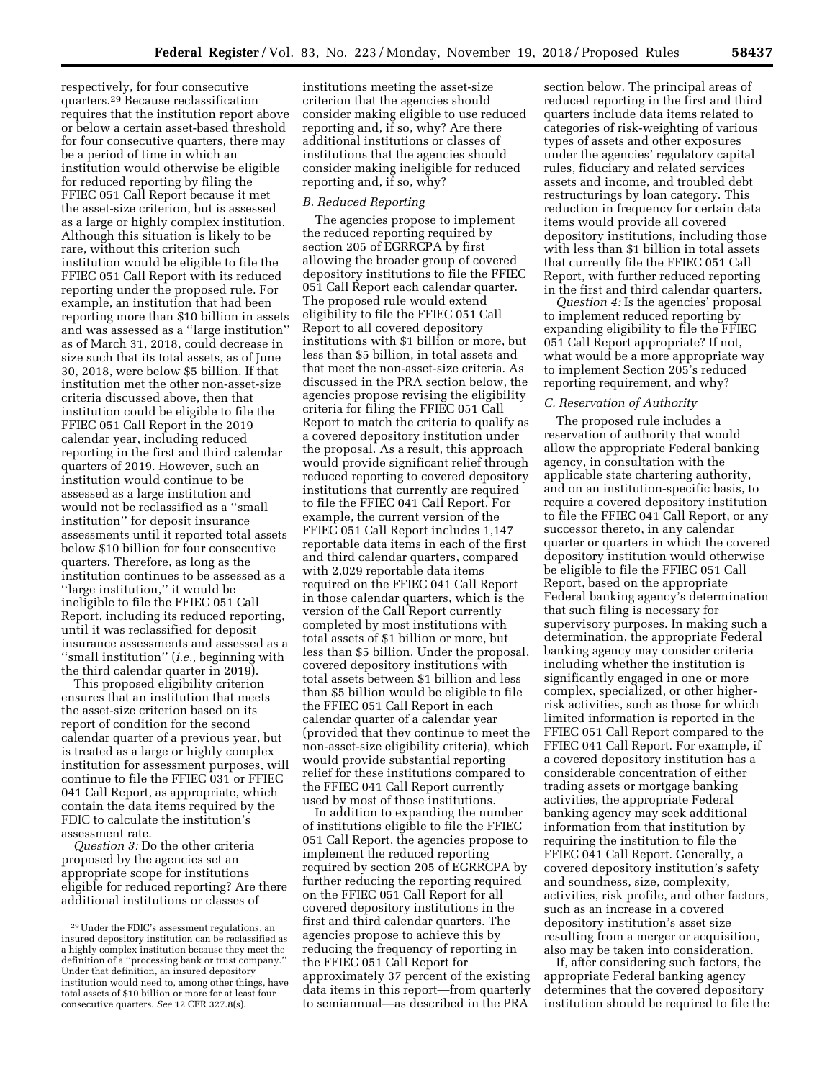quarters.29 Because reclassification requires that the institution report above or below a certain asset-based threshold for four consecutive quarters, there may be a period of time in which an institution would otherwise be eligible for reduced reporting by filing the FFIEC 051 Call Report because it met the asset-size criterion, but is assessed as a large or highly complex institution. Although this situation is likely to be rare, without this criterion such institution would be eligible to file the FFIEC 051 Call Report with its reduced reporting under the proposed rule. For example, an institution that had been reporting more than \$10 billion in assets and was assessed as a ''large institution'' as of March 31, 2018, could decrease in size such that its total assets, as of June 30, 2018, were below \$5 billion. If that institution met the other non-asset-size criteria discussed above, then that institution could be eligible to file the FFIEC 051 Call Report in the 2019 calendar year, including reduced reporting in the first and third calendar quarters of 2019. However, such an institution would continue to be assessed as a large institution and would not be reclassified as a ''small institution'' for deposit insurance assessments until it reported total assets below \$10 billion for four consecutive quarters. Therefore, as long as the institution continues to be assessed as a ''large institution,'' it would be ineligible to file the FFIEC 051 Call Report, including its reduced reporting, until it was reclassified for deposit insurance assessments and assessed as a ''small institution'' (*i.e.,* beginning with the third calendar quarter in 2019).

respectively, for four consecutive

This proposed eligibility criterion ensures that an institution that meets the asset-size criterion based on its report of condition for the second calendar quarter of a previous year, but is treated as a large or highly complex institution for assessment purposes, will continue to file the FFIEC 031 or FFIEC 041 Call Report, as appropriate, which contain the data items required by the FDIC to calculate the institution's assessment rate.

*Question 3:* Do the other criteria proposed by the agencies set an appropriate scope for institutions eligible for reduced reporting? Are there additional institutions or classes of

institutions meeting the asset-size criterion that the agencies should consider making eligible to use reduced reporting and, if so, why? Are there additional institutions or classes of institutions that the agencies should consider making ineligible for reduced reporting and, if so, why?

### *B. Reduced Reporting*

The agencies propose to implement the reduced reporting required by section 205 of EGRRCPA by first allowing the broader group of covered depository institutions to file the FFIEC 051 Call Report each calendar quarter. The proposed rule would extend eligibility to file the FFIEC 051 Call Report to all covered depository institutions with \$1 billion or more, but less than \$5 billion, in total assets and that meet the non-asset-size criteria. As discussed in the PRA section below, the agencies propose revising the eligibility criteria for filing the FFIEC 051 Call Report to match the criteria to qualify as a covered depository institution under the proposal. As a result, this approach would provide significant relief through reduced reporting to covered depository institutions that currently are required to file the FFIEC 041 Call Report. For example, the current version of the FFIEC 051 Call Report includes 1,147 reportable data items in each of the first and third calendar quarters, compared with 2,029 reportable data items required on the FFIEC 041 Call Report in those calendar quarters, which is the version of the Call Report currently completed by most institutions with total assets of \$1 billion or more, but less than \$5 billion. Under the proposal, covered depository institutions with total assets between \$1 billion and less than \$5 billion would be eligible to file the FFIEC 051 Call Report in each calendar quarter of a calendar year (provided that they continue to meet the non-asset-size eligibility criteria), which would provide substantial reporting relief for these institutions compared to the FFIEC 041 Call Report currently used by most of those institutions.

In addition to expanding the number of institutions eligible to file the FFIEC 051 Call Report, the agencies propose to implement the reduced reporting required by section 205 of EGRRCPA by further reducing the reporting required on the FFIEC 051 Call Report for all covered depository institutions in the first and third calendar quarters. The agencies propose to achieve this by reducing the frequency of reporting in the FFIEC 051 Call Report for approximately 37 percent of the existing data items in this report—from quarterly to semiannual—as described in the PRA

section below. The principal areas of reduced reporting in the first and third quarters include data items related to categories of risk-weighting of various types of assets and other exposures under the agencies' regulatory capital rules, fiduciary and related services assets and income, and troubled debt restructurings by loan category. This reduction in frequency for certain data items would provide all covered depository institutions, including those with less than \$1 billion in total assets that currently file the FFIEC 051 Call Report, with further reduced reporting in the first and third calendar quarters.

*Question 4:* Is the agencies' proposal to implement reduced reporting by expanding eligibility to file the FFIEC 051 Call Report appropriate? If not, what would be a more appropriate way to implement Section 205's reduced reporting requirement, and why?

# *C. Reservation of Authority*

The proposed rule includes a reservation of authority that would allow the appropriate Federal banking agency, in consultation with the applicable state chartering authority, and on an institution-specific basis, to require a covered depository institution to file the FFIEC 041 Call Report, or any successor thereto, in any calendar quarter or quarters in which the covered depository institution would otherwise be eligible to file the FFIEC 051 Call Report, based on the appropriate Federal banking agency's determination that such filing is necessary for supervisory purposes. In making such a determination, the appropriate Federal banking agency may consider criteria including whether the institution is significantly engaged in one or more complex, specialized, or other higherrisk activities, such as those for which limited information is reported in the FFIEC 051 Call Report compared to the FFIEC 041 Call Report. For example, if a covered depository institution has a considerable concentration of either trading assets or mortgage banking activities, the appropriate Federal banking agency may seek additional information from that institution by requiring the institution to file the FFIEC 041 Call Report. Generally, a covered depository institution's safety and soundness, size, complexity, activities, risk profile, and other factors, such as an increase in a covered depository institution's asset size resulting from a merger or acquisition, also may be taken into consideration.

If, after considering such factors, the appropriate Federal banking agency determines that the covered depository institution should be required to file the

<sup>29</sup>Under the FDIC's assessment regulations, an insured depository institution can be reclassified as a highly complex institution because they meet the definition of a ''processing bank or trust company.'' Under that definition, an insured depository institution would need to, among other things, have total assets of \$10 billion or more for at least four consecutive quarters. *See* 12 CFR 327.8(s).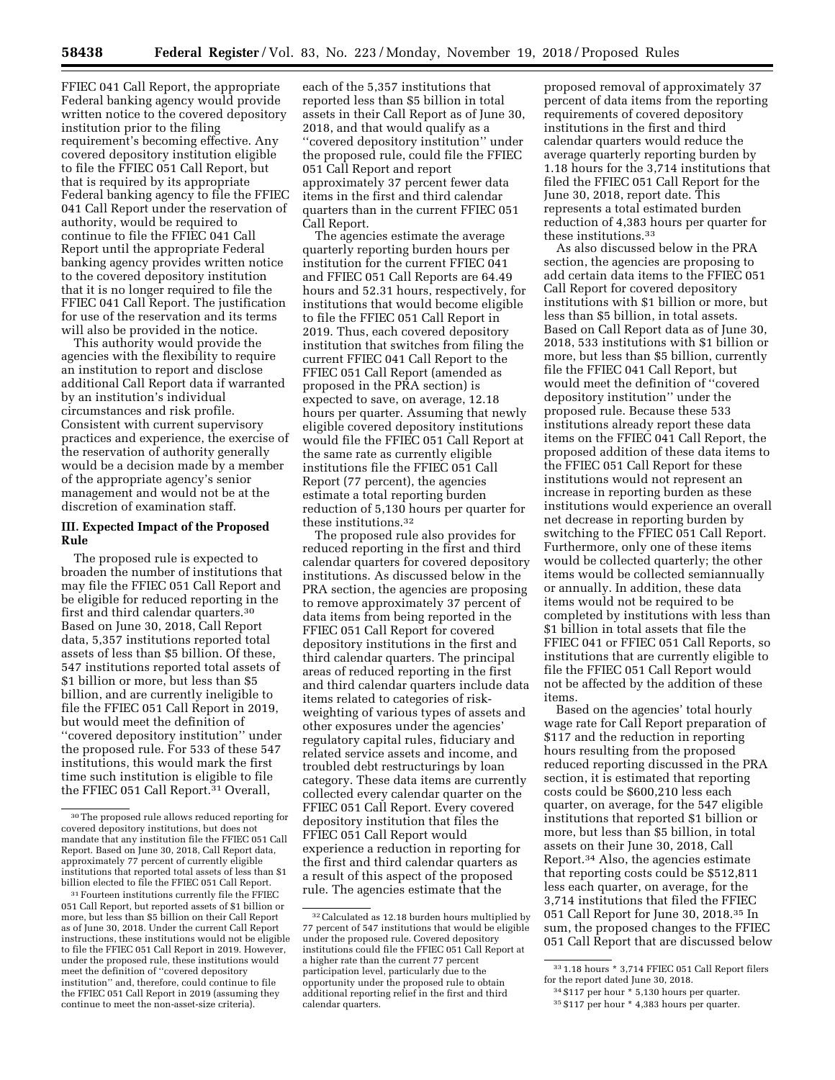FFIEC 041 Call Report, the appropriate Federal banking agency would provide written notice to the covered depository institution prior to the filing requirement's becoming effective. Any covered depository institution eligible to file the FFIEC 051 Call Report, but that is required by its appropriate Federal banking agency to file the FFIEC 041 Call Report under the reservation of authority, would be required to continue to file the FFIEC 041 Call Report until the appropriate Federal banking agency provides written notice to the covered depository institution that it is no longer required to file the FFIEC 041 Call Report. The justification for use of the reservation and its terms will also be provided in the notice.

This authority would provide the agencies with the flexibility to require an institution to report and disclose additional Call Report data if warranted by an institution's individual circumstances and risk profile. Consistent with current supervisory practices and experience, the exercise of the reservation of authority generally would be a decision made by a member of the appropriate agency's senior management and would not be at the discretion of examination staff.

### **III. Expected Impact of the Proposed Rule**

The proposed rule is expected to broaden the number of institutions that may file the FFIEC 051 Call Report and be eligible for reduced reporting in the first and third calendar quarters.30 Based on June 30, 2018, Call Report data, 5,357 institutions reported total assets of less than \$5 billion. Of these, 547 institutions reported total assets of \$1 billion or more, but less than \$5 billion, and are currently ineligible to file the FFIEC 051 Call Report in 2019, but would meet the definition of ''covered depository institution'' under the proposed rule. For 533 of these 547 institutions, this would mark the first time such institution is eligible to file the FFIEC 051 Call Report.31 Overall,

each of the 5,357 institutions that reported less than \$5 billion in total assets in their Call Report as of June 30, 2018, and that would qualify as a ''covered depository institution'' under the proposed rule, could file the FFIEC 051 Call Report and report approximately 37 percent fewer data items in the first and third calendar quarters than in the current FFIEC 051 Call Report.

The agencies estimate the average quarterly reporting burden hours per institution for the current FFIEC 041 and FFIEC 051 Call Reports are 64.49 hours and 52.31 hours, respectively, for institutions that would become eligible to file the FFIEC 051 Call Report in 2019. Thus, each covered depository institution that switches from filing the current FFIEC 041 Call Report to the FFIEC 051 Call Report (amended as proposed in the PRA section) is expected to save, on average, 12.18 hours per quarter. Assuming that newly eligible covered depository institutions would file the FFIEC 051 Call Report at the same rate as currently eligible institutions file the FFIEC 051 Call Report (77 percent), the agencies estimate a total reporting burden reduction of 5,130 hours per quarter for these institutions.32

The proposed rule also provides for reduced reporting in the first and third calendar quarters for covered depository institutions. As discussed below in the PRA section, the agencies are proposing to remove approximately 37 percent of data items from being reported in the FFIEC 051 Call Report for covered depository institutions in the first and third calendar quarters. The principal areas of reduced reporting in the first and third calendar quarters include data items related to categories of riskweighting of various types of assets and other exposures under the agencies' regulatory capital rules, fiduciary and related service assets and income, and troubled debt restructurings by loan category. These data items are currently collected every calendar quarter on the FFIEC 051 Call Report. Every covered depository institution that files the FFIEC 051 Call Report would experience a reduction in reporting for the first and third calendar quarters as a result of this aspect of the proposed rule. The agencies estimate that the

proposed removal of approximately 37 percent of data items from the reporting requirements of covered depository institutions in the first and third calendar quarters would reduce the average quarterly reporting burden by 1.18 hours for the 3,714 institutions that filed the FFIEC 051 Call Report for the June 30, 2018, report date. This represents a total estimated burden reduction of 4,383 hours per quarter for these institutions.33

As also discussed below in the PRA section, the agencies are proposing to add certain data items to the FFIEC 051 Call Report for covered depository institutions with \$1 billion or more, but less than \$5 billion, in total assets. Based on Call Report data as of June 30, 2018, 533 institutions with \$1 billion or more, but less than \$5 billion, currently file the FFIEC 041 Call Report, but would meet the definition of ''covered depository institution'' under the proposed rule. Because these 533 institutions already report these data items on the FFIEC 041 Call Report, the proposed addition of these data items to the FFIEC 051 Call Report for these institutions would not represent an increase in reporting burden as these institutions would experience an overall net decrease in reporting burden by switching to the FFIEC 051 Call Report. Furthermore, only one of these items would be collected quarterly; the other items would be collected semiannually or annually. In addition, these data items would not be required to be completed by institutions with less than \$1 billion in total assets that file the FFIEC 041 or FFIEC 051 Call Reports, so institutions that are currently eligible to file the FFIEC 051 Call Report would not be affected by the addition of these items.

Based on the agencies' total hourly wage rate for Call Report preparation of \$117 and the reduction in reporting hours resulting from the proposed reduced reporting discussed in the PRA section, it is estimated that reporting costs could be \$600,210 less each quarter, on average, for the 547 eligible institutions that reported \$1 billion or more, but less than \$5 billion, in total assets on their June 30, 2018, Call Report.34 Also, the agencies estimate that reporting costs could be \$512,811 less each quarter, on average, for the 3,714 institutions that filed the FFIEC 051 Call Report for June 30, 2018.35 In sum, the proposed changes to the FFIEC 051 Call Report that are discussed below

<sup>30</sup>The proposed rule allows reduced reporting for covered depository institutions, but does not mandate that any institution file the FFIEC 051 Call Report. Based on June 30, 2018, Call Report data, approximately 77 percent of currently eligible institutions that reported total assets of less than \$1 billion elected to file the FFIEC 051 Call Report.

<sup>31</sup>Fourteen institutions currently file the FFIEC 051 Call Report, but reported assets of \$1 billion or more, but less than \$5 billion on their Call Report as of June 30, 2018. Under the current Call Report instructions, these institutions would not be eligible to file the FFIEC 051 Call Report in 2019. However, under the proposed rule, these institutions would meet the definition of ''covered depository institution'' and, therefore, could continue to file the FFIEC 051 Call Report in 2019 (assuming they continue to meet the non-asset-size criteria).

<sup>32</sup>Calculated as 12.18 burden hours multiplied by 77 percent of 547 institutions that would be eligible under the proposed rule. Covered depository institutions could file the FFIEC 051 Call Report at a higher rate than the current 77 percent participation level, particularly due to the opportunity under the proposed rule to obtain additional reporting relief in the first and third calendar quarters.

<sup>33</sup> 1.18 hours \* 3,714 FFIEC 051 Call Report filers for the report dated June 30, 2018.

<sup>34</sup> \$117 per hour \* 5,130 hours per quarter.

<sup>35</sup> \$117 per hour \* 4,383 hours per quarter.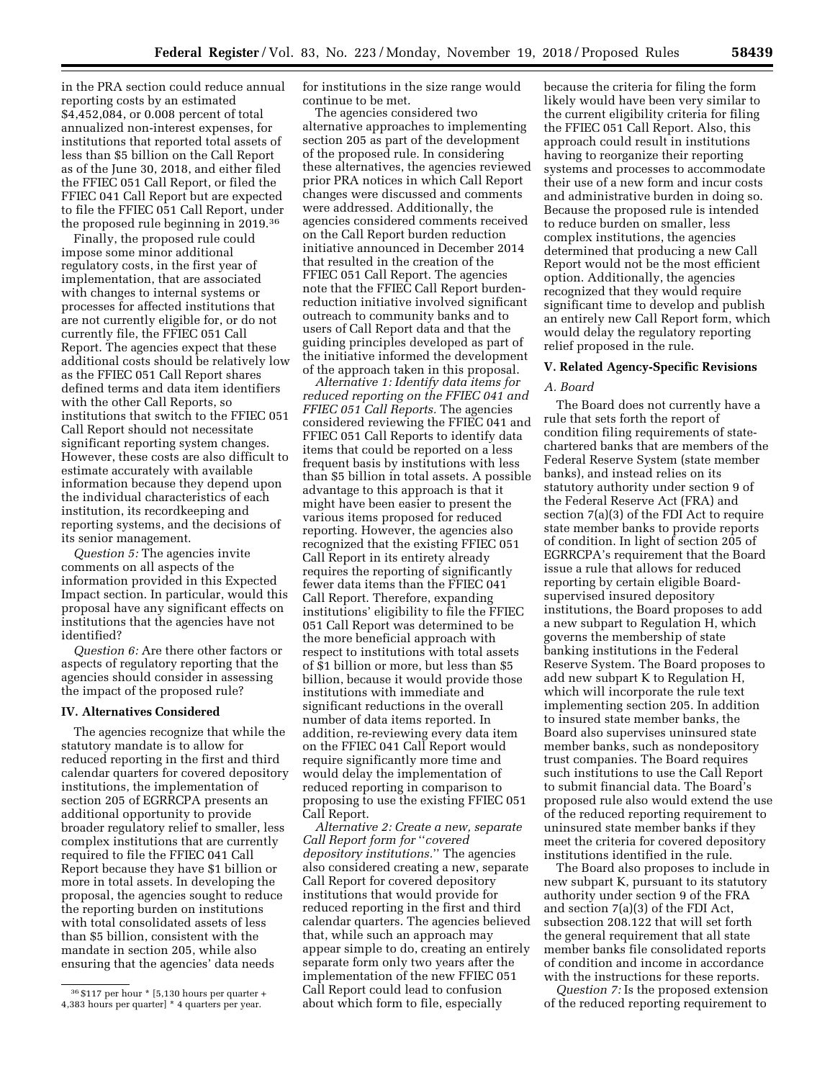in the PRA section could reduce annual reporting costs by an estimated \$4,452,084, or 0.008 percent of total annualized non-interest expenses, for institutions that reported total assets of less than \$5 billion on the Call Report as of the June 30, 2018, and either filed the FFIEC 051 Call Report, or filed the FFIEC 041 Call Report but are expected to file the FFIEC 051 Call Report, under the proposed rule beginning in 2019.36

Finally, the proposed rule could impose some minor additional regulatory costs, in the first year of implementation, that are associated with changes to internal systems or processes for affected institutions that are not currently eligible for, or do not currently file, the FFIEC 051 Call Report. The agencies expect that these additional costs should be relatively low as the FFIEC 051 Call Report shares defined terms and data item identifiers with the other Call Reports, so institutions that switch to the FFIEC 051 Call Report should not necessitate significant reporting system changes. However, these costs are also difficult to estimate accurately with available information because they depend upon the individual characteristics of each institution, its recordkeeping and reporting systems, and the decisions of its senior management.

*Question 5:* The agencies invite comments on all aspects of the information provided in this Expected Impact section. In particular, would this proposal have any significant effects on institutions that the agencies have not identified?

*Question 6:* Are there other factors or aspects of regulatory reporting that the agencies should consider in assessing the impact of the proposed rule?

### **IV. Alternatives Considered**

The agencies recognize that while the statutory mandate is to allow for reduced reporting in the first and third calendar quarters for covered depository institutions, the implementation of section 205 of EGRRCPA presents an additional opportunity to provide broader regulatory relief to smaller, less complex institutions that are currently required to file the FFIEC 041 Call Report because they have \$1 billion or more in total assets. In developing the proposal, the agencies sought to reduce the reporting burden on institutions with total consolidated assets of less than \$5 billion, consistent with the mandate in section 205, while also ensuring that the agencies' data needs

for institutions in the size range would continue to be met.

The agencies considered two alternative approaches to implementing section 205 as part of the development of the proposed rule. In considering these alternatives, the agencies reviewed prior PRA notices in which Call Report changes were discussed and comments were addressed. Additionally, the agencies considered comments received on the Call Report burden reduction initiative announced in December 2014 that resulted in the creation of the FFIEC 051 Call Report. The agencies note that the FFIEC Call Report burdenreduction initiative involved significant outreach to community banks and to users of Call Report data and that the guiding principles developed as part of the initiative informed the development of the approach taken in this proposal.

*Alternative 1: Identify data items for reduced reporting on the FFIEC 041 and FFIEC 051 Call Reports.* The agencies considered reviewing the FFIEC 041 and FFIEC 051 Call Reports to identify data items that could be reported on a less frequent basis by institutions with less than \$5 billion in total assets. A possible advantage to this approach is that it might have been easier to present the various items proposed for reduced reporting. However, the agencies also recognized that the existing FFIEC 051 Call Report in its entirety already requires the reporting of significantly fewer data items than the FFIEC 041 Call Report. Therefore, expanding institutions' eligibility to file the FFIEC 051 Call Report was determined to be the more beneficial approach with respect to institutions with total assets of \$1 billion or more, but less than \$5 billion, because it would provide those institutions with immediate and significant reductions in the overall number of data items reported. In addition, re-reviewing every data item on the FFIEC 041 Call Report would require significantly more time and would delay the implementation of reduced reporting in comparison to proposing to use the existing FFIEC 051 Call Report.

*Alternative 2: Create a new, separate Call Report form for* ''*covered depository institutions.*'' The agencies also considered creating a new, separate Call Report for covered depository institutions that would provide for reduced reporting in the first and third calendar quarters. The agencies believed that, while such an approach may appear simple to do, creating an entirely separate form only two years after the implementation of the new FFIEC 051 Call Report could lead to confusion about which form to file, especially

because the criteria for filing the form likely would have been very similar to the current eligibility criteria for filing the FFIEC 051 Call Report. Also, this approach could result in institutions having to reorganize their reporting systems and processes to accommodate their use of a new form and incur costs and administrative burden in doing so. Because the proposed rule is intended to reduce burden on smaller, less complex institutions, the agencies determined that producing a new Call Report would not be the most efficient option. Additionally, the agencies recognized that they would require significant time to develop and publish an entirely new Call Report form, which would delay the regulatory reporting relief proposed in the rule.

### **V. Related Agency-Specific Revisions**

### *A. Board*

The Board does not currently have a rule that sets forth the report of condition filing requirements of statechartered banks that are members of the Federal Reserve System (state member banks), and instead relies on its statutory authority under section 9 of the Federal Reserve Act (FRA) and section 7(a)(3) of the FDI Act to require state member banks to provide reports of condition. In light of section 205 of EGRRCPA's requirement that the Board issue a rule that allows for reduced reporting by certain eligible Boardsupervised insured depository institutions, the Board proposes to add a new subpart to Regulation H, which governs the membership of state banking institutions in the Federal Reserve System. The Board proposes to add new subpart K to Regulation H, which will incorporate the rule text implementing section 205. In addition to insured state member banks, the Board also supervises uninsured state member banks, such as nondepository trust companies. The Board requires such institutions to use the Call Report to submit financial data. The Board's proposed rule also would extend the use of the reduced reporting requirement to uninsured state member banks if they meet the criteria for covered depository institutions identified in the rule.

The Board also proposes to include in new subpart K, pursuant to its statutory authority under section 9 of the FRA and section 7(a)(3) of the FDI Act, subsection 208.122 that will set forth the general requirement that all state member banks file consolidated reports of condition and income in accordance with the instructions for these reports.

*Question 7:* Is the proposed extension of the reduced reporting requirement to

<sup>36</sup> \$117 per hour \* [5,130 hours per quarter + 4,383 hours per quarter] \* 4 quarters per year.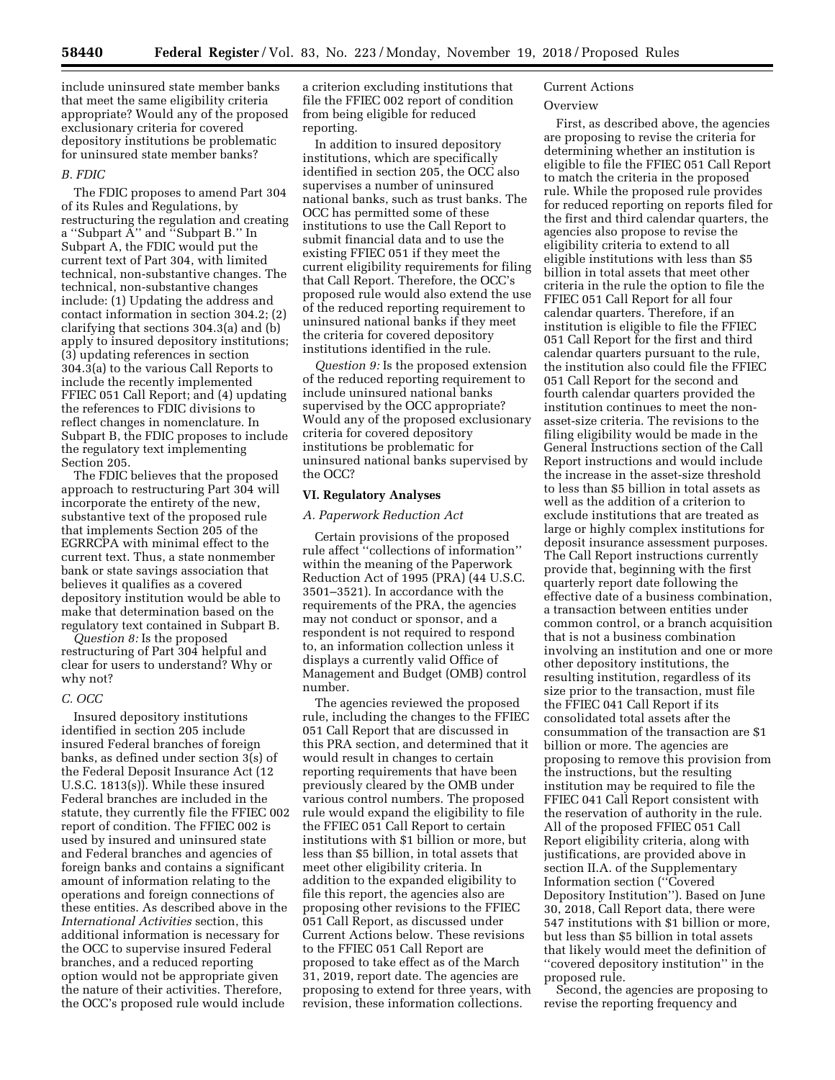include uninsured state member banks that meet the same eligibility criteria appropriate? Would any of the proposed exclusionary criteria for covered depository institutions be problematic for uninsured state member banks?

### *B. FDIC*

The FDIC proposes to amend Part 304 of its Rules and Regulations, by restructuring the regulation and creating a ''Subpart A'' and ''Subpart B.'' In Subpart A, the FDIC would put the current text of Part 304, with limited technical, non-substantive changes. The technical, non-substantive changes include: (1) Updating the address and contact information in section 304.2; (2) clarifying that sections 304.3(a) and (b) apply to insured depository institutions; (3) updating references in section 304.3(a) to the various Call Reports to include the recently implemented FFIEC 051 Call Report; and (4) updating the references to FDIC divisions to reflect changes in nomenclature. In Subpart B, the FDIC proposes to include the regulatory text implementing Section 205.

The FDIC believes that the proposed approach to restructuring Part 304 will incorporate the entirety of the new, substantive text of the proposed rule that implements Section 205 of the EGRRCPA with minimal effect to the current text. Thus, a state nonmember bank or state savings association that believes it qualifies as a covered depository institution would be able to make that determination based on the regulatory text contained in Subpart B.

*Question 8:* Is the proposed restructuring of Part 304 helpful and clear for users to understand? Why or why not?

### *C. OCC*

Insured depository institutions identified in section 205 include insured Federal branches of foreign banks, as defined under section 3(s) of the Federal Deposit Insurance Act (12 U.S.C. 1813(s)). While these insured Federal branches are included in the statute, they currently file the FFIEC 002 report of condition. The FFIEC 002 is used by insured and uninsured state and Federal branches and agencies of foreign banks and contains a significant amount of information relating to the operations and foreign connections of these entities. As described above in the *International Activities* section, this additional information is necessary for the OCC to supervise insured Federal branches, and a reduced reporting option would not be appropriate given the nature of their activities. Therefore, the OCC's proposed rule would include

a criterion excluding institutions that file the FFIEC 002 report of condition from being eligible for reduced reporting.

In addition to insured depository institutions, which are specifically identified in section 205, the OCC also supervises a number of uninsured national banks, such as trust banks. The OCC has permitted some of these institutions to use the Call Report to submit financial data and to use the existing FFIEC 051 if they meet the current eligibility requirements for filing that Call Report. Therefore, the OCC's proposed rule would also extend the use of the reduced reporting requirement to uninsured national banks if they meet the criteria for covered depository institutions identified in the rule.

*Question 9:* Is the proposed extension of the reduced reporting requirement to include uninsured national banks supervised by the OCC appropriate? Would any of the proposed exclusionary criteria for covered depository institutions be problematic for uninsured national banks supervised by the OCC?

#### **VI. Regulatory Analyses**

# *A. Paperwork Reduction Act*

Certain provisions of the proposed rule affect ''collections of information'' within the meaning of the Paperwork Reduction Act of 1995 (PRA) (44 U.S.C. 3501–3521). In accordance with the requirements of the PRA, the agencies may not conduct or sponsor, and a respondent is not required to respond to, an information collection unless it displays a currently valid Office of Management and Budget (OMB) control number.

The agencies reviewed the proposed rule, including the changes to the FFIEC 051 Call Report that are discussed in this PRA section, and determined that it would result in changes to certain reporting requirements that have been previously cleared by the OMB under various control numbers. The proposed rule would expand the eligibility to file the FFIEC 051 Call Report to certain institutions with \$1 billion or more, but less than \$5 billion, in total assets that meet other eligibility criteria. In addition to the expanded eligibility to file this report, the agencies also are proposing other revisions to the FFIEC 051 Call Report, as discussed under Current Actions below. These revisions to the FFIEC 051 Call Report are proposed to take effect as of the March 31, 2019, report date. The agencies are proposing to extend for three years, with revision, these information collections.

# Current Actions

### **Overview**

First, as described above, the agencies are proposing to revise the criteria for determining whether an institution is eligible to file the FFIEC 051 Call Report to match the criteria in the proposed rule. While the proposed rule provides for reduced reporting on reports filed for the first and third calendar quarters, the agencies also propose to revise the eligibility criteria to extend to all eligible institutions with less than \$5 billion in total assets that meet other criteria in the rule the option to file the FFIEC 051 Call Report for all four calendar quarters. Therefore, if an institution is eligible to file the FFIEC 051 Call Report for the first and third calendar quarters pursuant to the rule, the institution also could file the FFIEC 051 Call Report for the second and fourth calendar quarters provided the institution continues to meet the nonasset-size criteria. The revisions to the filing eligibility would be made in the General Instructions section of the Call Report instructions and would include the increase in the asset-size threshold to less than \$5 billion in total assets as well as the addition of a criterion to exclude institutions that are treated as large or highly complex institutions for deposit insurance assessment purposes. The Call Report instructions currently provide that, beginning with the first quarterly report date following the effective date of a business combination, a transaction between entities under common control, or a branch acquisition that is not a business combination involving an institution and one or more other depository institutions, the resulting institution, regardless of its size prior to the transaction, must file the FFIEC 041 Call Report if its consolidated total assets after the consummation of the transaction are \$1 billion or more. The agencies are proposing to remove this provision from the instructions, but the resulting institution may be required to file the FFIEC 041 Call Report consistent with the reservation of authority in the rule. All of the proposed FFIEC 051 Call Report eligibility criteria, along with justifications, are provided above in section II.A. of the Supplementary Information section (''Covered Depository Institution''). Based on June 30, 2018, Call Report data, there were 547 institutions with \$1 billion or more, but less than \$5 billion in total assets that likely would meet the definition of ''covered depository institution'' in the proposed rule.

Second, the agencies are proposing to revise the reporting frequency and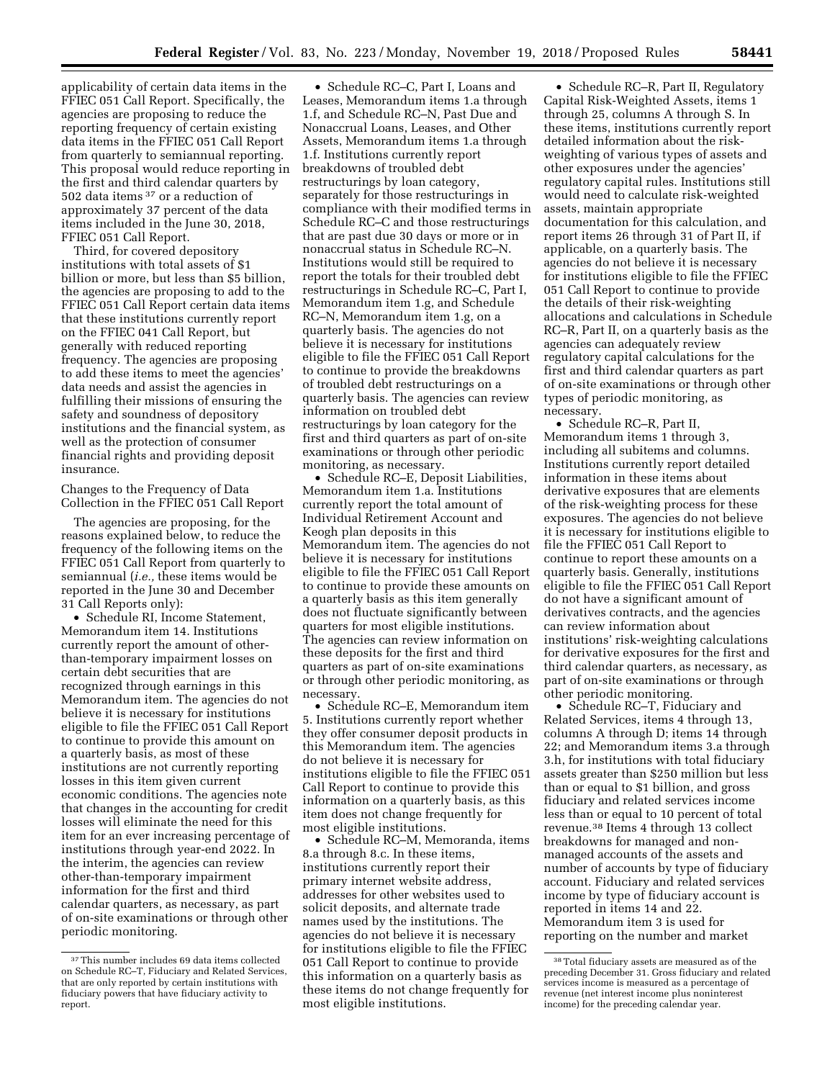applicability of certain data items in the FFIEC 051 Call Report. Specifically, the agencies are proposing to reduce the reporting frequency of certain existing data items in the FFIEC 051 Call Report from quarterly to semiannual reporting. This proposal would reduce reporting in the first and third calendar quarters by 502 data items 37 or a reduction of approximately 37 percent of the data items included in the June 30, 2018, FFIEC 051 Call Report.

Third, for covered depository institutions with total assets of \$1 billion or more, but less than \$5 billion, the agencies are proposing to add to the FFIEC 051 Call Report certain data items that these institutions currently report on the FFIEC 041 Call Report, but generally with reduced reporting frequency. The agencies are proposing to add these items to meet the agencies' data needs and assist the agencies in fulfilling their missions of ensuring the safety and soundness of depository institutions and the financial system, as well as the protection of consumer financial rights and providing deposit insurance.

Changes to the Frequency of Data Collection in the FFIEC 051 Call Report

The agencies are proposing, for the reasons explained below, to reduce the frequency of the following items on the FFIEC 051 Call Report from quarterly to semiannual (*i.e.,* these items would be reported in the June 30 and December 31 Call Reports only):

• Schedule RI, Income Statement, Memorandum item 14. Institutions currently report the amount of otherthan-temporary impairment losses on certain debt securities that are recognized through earnings in this Memorandum item. The agencies do not believe it is necessary for institutions eligible to file the FFIEC 051 Call Report to continue to provide this amount on a quarterly basis, as most of these institutions are not currently reporting losses in this item given current economic conditions. The agencies note that changes in the accounting for credit losses will eliminate the need for this item for an ever increasing percentage of institutions through year-end 2022. In the interim, the agencies can review other-than-temporary impairment information for the first and third calendar quarters, as necessary, as part of on-site examinations or through other periodic monitoring.

• Schedule RC–C, Part I, Loans and Leases, Memorandum items 1.a through 1.f, and Schedule RC–N, Past Due and Nonaccrual Loans, Leases, and Other Assets, Memorandum items 1.a through 1.f. Institutions currently report breakdowns of troubled debt restructurings by loan category, separately for those restructurings in compliance with their modified terms in Schedule RC–C and those restructurings that are past due 30 days or more or in nonaccrual status in Schedule RC–N. Institutions would still be required to report the totals for their troubled debt restructurings in Schedule RC–C, Part I, Memorandum item 1.g, and Schedule RC–N, Memorandum item 1.g, on a quarterly basis. The agencies do not believe it is necessary for institutions eligible to file the FFIEC 051 Call Report to continue to provide the breakdowns of troubled debt restructurings on a quarterly basis. The agencies can review information on troubled debt restructurings by loan category for the first and third quarters as part of on-site examinations or through other periodic monitoring, as necessary.

• Schedule RC–E, Deposit Liabilities, Memorandum item 1.a. Institutions currently report the total amount of Individual Retirement Account and Keogh plan deposits in this Memorandum item. The agencies do not believe it is necessary for institutions eligible to file the FFIEC 051 Call Report to continue to provide these amounts on a quarterly basis as this item generally does not fluctuate significantly between quarters for most eligible institutions. The agencies can review information on these deposits for the first and third quarters as part of on-site examinations or through other periodic monitoring, as necessary.

• Schedule RC–E, Memorandum item 5. Institutions currently report whether they offer consumer deposit products in this Memorandum item. The agencies do not believe it is necessary for institutions eligible to file the FFIEC 051 Call Report to continue to provide this information on a quarterly basis, as this item does not change frequently for most eligible institutions.

• Schedule RC–M, Memoranda, items 8.a through 8.c. In these items, institutions currently report their primary internet website address, addresses for other websites used to solicit deposits, and alternate trade names used by the institutions. The agencies do not believe it is necessary for institutions eligible to file the FFIEC 051 Call Report to continue to provide this information on a quarterly basis as these items do not change frequently for most eligible institutions.

• Schedule RC–R, Part II, Regulatory Capital Risk-Weighted Assets, items 1 through 25, columns A through S. In these items, institutions currently report detailed information about the riskweighting of various types of assets and other exposures under the agencies' regulatory capital rules. Institutions still would need to calculate risk-weighted assets, maintain appropriate documentation for this calculation, and report items 26 through 31 of Part II, if applicable, on a quarterly basis. The agencies do not believe it is necessary for institutions eligible to file the FFIEC 051 Call Report to continue to provide the details of their risk-weighting allocations and calculations in Schedule RC–R, Part II, on a quarterly basis as the agencies can adequately review regulatory capital calculations for the first and third calendar quarters as part of on-site examinations or through other types of periodic monitoring, as necessary.

• Schedule RC–R, Part II, Memorandum items 1 through 3, including all subitems and columns. Institutions currently report detailed information in these items about derivative exposures that are elements of the risk-weighting process for these exposures. The agencies do not believe it is necessary for institutions eligible to file the FFIEC 051 Call Report to continue to report these amounts on a quarterly basis. Generally, institutions eligible to file the FFIEC 051 Call Report do not have a significant amount of derivatives contracts, and the agencies can review information about institutions' risk-weighting calculations for derivative exposures for the first and third calendar quarters, as necessary, as part of on-site examinations or through other periodic monitoring.

• Schedule RC–T, Fiduciary and Related Services, items 4 through 13, columns A through D; items 14 through 22; and Memorandum items 3.a through 3.h, for institutions with total fiduciary assets greater than \$250 million but less than or equal to \$1 billion, and gross fiduciary and related services income less than or equal to 10 percent of total revenue.38 Items 4 through 13 collect breakdowns for managed and nonmanaged accounts of the assets and number of accounts by type of fiduciary account. Fiduciary and related services income by type of fiduciary account is reported in items 14 and 22. Memorandum item 3 is used for reporting on the number and market

<sup>37</sup>This number includes 69 data items collected on Schedule RC–T, Fiduciary and Related Services, that are only reported by certain institutions with fiduciary powers that have fiduciary activity to report.

<sup>38</sup>Total fiduciary assets are measured as of the preceding December 31. Gross fiduciary and related services income is measured as a percentage of revenue (net interest income plus noninterest income) for the preceding calendar year.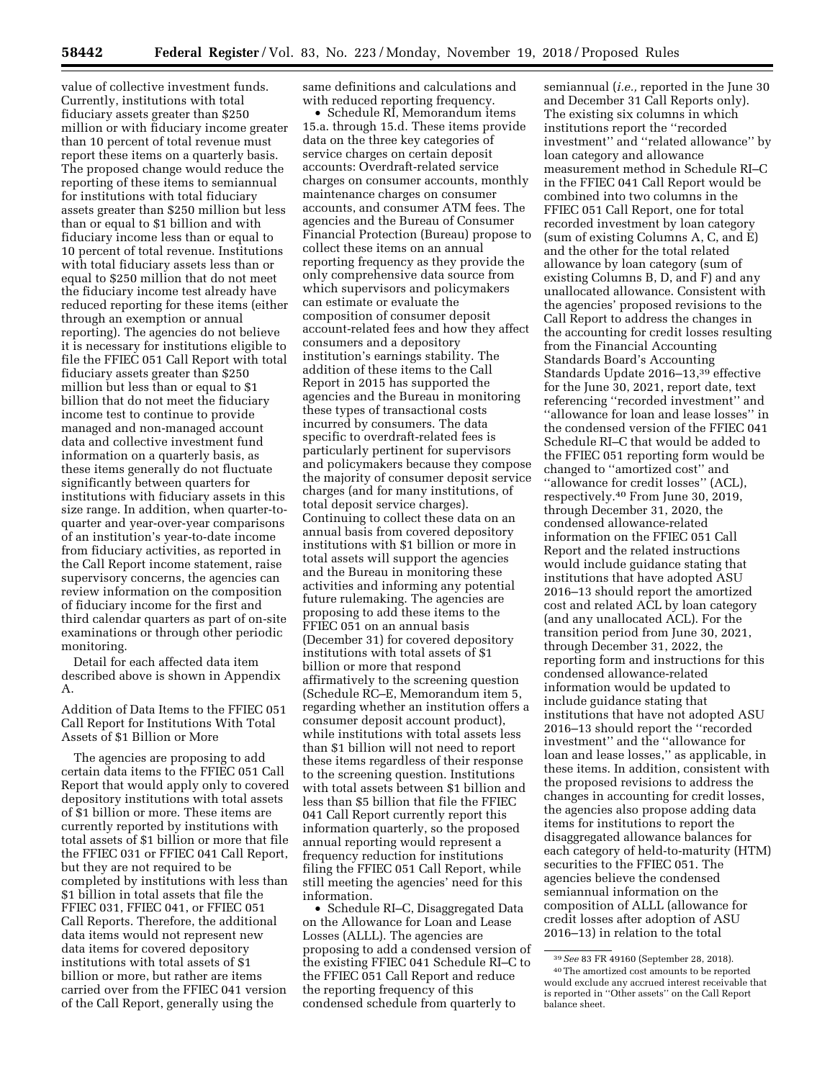value of collective investment funds. Currently, institutions with total fiduciary assets greater than \$250 million or with fiduciary income greater than 10 percent of total revenue must report these items on a quarterly basis. The proposed change would reduce the reporting of these items to semiannual for institutions with total fiduciary assets greater than \$250 million but less than or equal to \$1 billion and with fiduciary income less than or equal to 10 percent of total revenue. Institutions with total fiduciary assets less than or equal to \$250 million that do not meet the fiduciary income test already have reduced reporting for these items (either through an exemption or annual reporting). The agencies do not believe it is necessary for institutions eligible to file the FFIEC 051 Call Report with total fiduciary assets greater than \$250 million but less than or equal to \$1 billion that do not meet the fiduciary income test to continue to provide managed and non-managed account data and collective investment fund information on a quarterly basis, as these items generally do not fluctuate significantly between quarters for institutions with fiduciary assets in this size range. In addition, when quarter-toquarter and year-over-year comparisons of an institution's year-to-date income from fiduciary activities, as reported in the Call Report income statement, raise supervisory concerns, the agencies can review information on the composition of fiduciary income for the first and third calendar quarters as part of on-site examinations or through other periodic monitoring.

Detail for each affected data item described above is shown in Appendix A.

Addition of Data Items to the FFIEC 051 Call Report for Institutions With Total Assets of \$1 Billion or More

The agencies are proposing to add certain data items to the FFIEC 051 Call Report that would apply only to covered depository institutions with total assets of \$1 billion or more. These items are currently reported by institutions with total assets of \$1 billion or more that file the FFIEC 031 or FFIEC 041 Call Report, but they are not required to be completed by institutions with less than \$1 billion in total assets that file the FFIEC 031, FFIEC 041, or FFIEC 051 Call Reports. Therefore, the additional data items would not represent new data items for covered depository institutions with total assets of \$1 billion or more, but rather are items carried over from the FFIEC 041 version of the Call Report, generally using the

same definitions and calculations and with reduced reporting frequency.

• Schedule RI, Memorandum items 15.a. through 15.d. These items provide data on the three key categories of service charges on certain deposit accounts: Overdraft-related service charges on consumer accounts, monthly maintenance charges on consumer accounts, and consumer ATM fees. The agencies and the Bureau of Consumer Financial Protection (Bureau) propose to collect these items on an annual reporting frequency as they provide the only comprehensive data source from which supervisors and policymakers can estimate or evaluate the composition of consumer deposit account-related fees and how they affect consumers and a depository institution's earnings stability. The addition of these items to the Call Report in 2015 has supported the agencies and the Bureau in monitoring these types of transactional costs incurred by consumers. The data specific to overdraft-related fees is particularly pertinent for supervisors and policymakers because they compose the majority of consumer deposit service charges (and for many institutions, of total deposit service charges). Continuing to collect these data on an annual basis from covered depository institutions with \$1 billion or more in total assets will support the agencies and the Bureau in monitoring these activities and informing any potential future rulemaking. The agencies are proposing to add these items to the FFIEC 051 on an annual basis (December 31) for covered depository institutions with total assets of \$1 billion or more that respond affirmatively to the screening question (Schedule RC–E, Memorandum item 5, regarding whether an institution offers a consumer deposit account product), while institutions with total assets less than \$1 billion will not need to report these items regardless of their response to the screening question. Institutions with total assets between \$1 billion and less than \$5 billion that file the FFIEC 041 Call Report currently report this information quarterly, so the proposed annual reporting would represent a frequency reduction for institutions filing the FFIEC 051 Call Report, while still meeting the agencies' need for this information.

• Schedule RI–C, Disaggregated Data on the Allowance for Loan and Lease Losses (ALLL). The agencies are proposing to add a condensed version of the existing FFIEC 041 Schedule RI–C to the FFIEC 051 Call Report and reduce the reporting frequency of this condensed schedule from quarterly to

semiannual (*i.e.,* reported in the June 30 and December 31 Call Reports only). The existing six columns in which institutions report the ''recorded investment'' and ''related allowance'' by loan category and allowance measurement method in Schedule RI–C in the FFIEC 041 Call Report would be combined into two columns in the FFIEC 051 Call Report, one for total recorded investment by loan category (sum of existing Columns A, C, and E) and the other for the total related allowance by loan category (sum of existing Columns B, D, and F) and any unallocated allowance. Consistent with the agencies' proposed revisions to the Call Report to address the changes in the accounting for credit losses resulting from the Financial Accounting Standards Board's Accounting Standards Update 2016–13,39 effective for the June 30, 2021, report date, text referencing ''recorded investment'' and ''allowance for loan and lease losses'' in the condensed version of the FFIEC 041 Schedule RI–C that would be added to the FFIEC 051 reporting form would be changed to ''amortized cost'' and ''allowance for credit losses'' (ACL), respectively.40 From June 30, 2019, through December 31, 2020, the condensed allowance-related information on the FFIEC 051 Call Report and the related instructions would include guidance stating that institutions that have adopted ASU 2016–13 should report the amortized cost and related ACL by loan category (and any unallocated ACL). For the transition period from June 30, 2021, through December 31, 2022, the reporting form and instructions for this condensed allowance-related information would be updated to include guidance stating that institutions that have not adopted ASU 2016–13 should report the ''recorded investment'' and the ''allowance for loan and lease losses,'' as applicable, in these items. In addition, consistent with the proposed revisions to address the changes in accounting for credit losses, the agencies also propose adding data items for institutions to report the disaggregated allowance balances for each category of held-to-maturity (HTM) securities to the FFIEC 051. The agencies believe the condensed semiannual information on the composition of ALLL (allowance for credit losses after adoption of ASU 2016–13) in relation to the total

<sup>39</sup>*See* 83 FR 49160 (September 28, 2018). 40The amortized cost amounts to be reported would exclude any accrued interest receivable that is reported in ''Other assets'' on the Call Report balance sheet.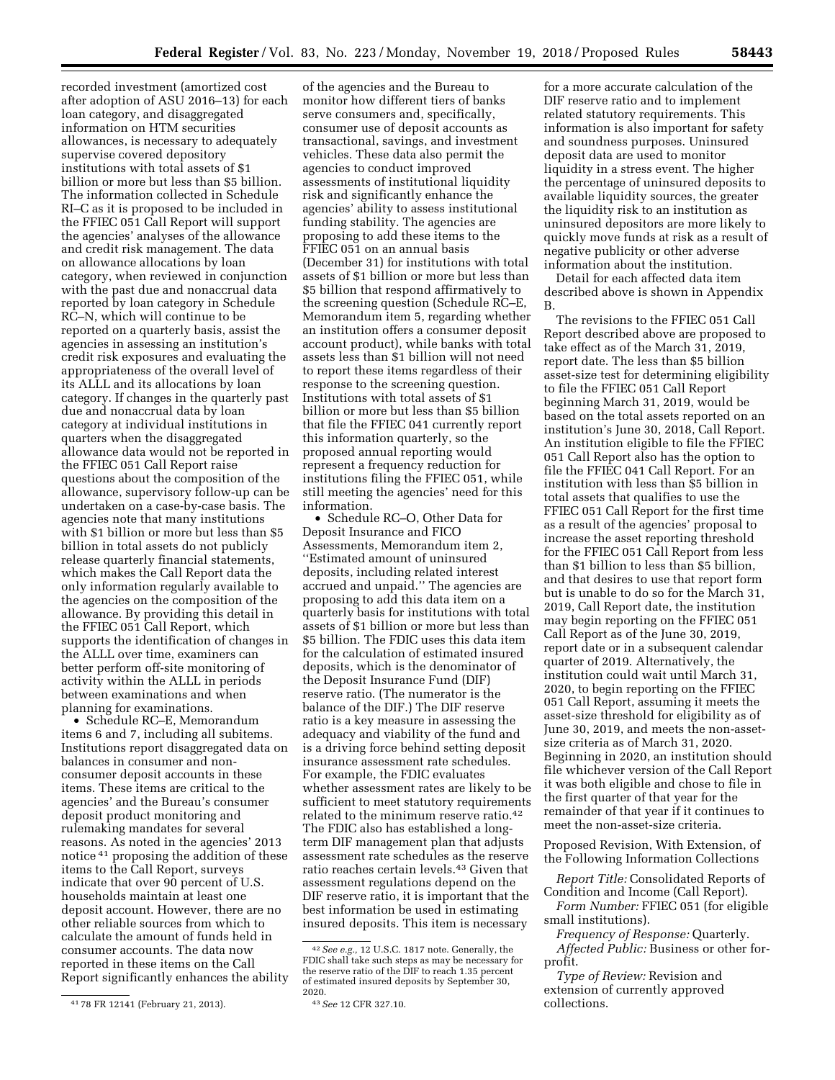recorded investment (amortized cost after adoption of ASU 2016–13) for each loan category, and disaggregated information on HTM securities allowances, is necessary to adequately supervise covered depository institutions with total assets of \$1 billion or more but less than \$5 billion. The information collected in Schedule RI–C as it is proposed to be included in the FFIEC 051 Call Report will support the agencies' analyses of the allowance and credit risk management. The data on allowance allocations by loan category, when reviewed in conjunction with the past due and nonaccrual data reported by loan category in Schedule RC–N, which will continue to be reported on a quarterly basis, assist the agencies in assessing an institution's credit risk exposures and evaluating the appropriateness of the overall level of its ALLL and its allocations by loan category. If changes in the quarterly past due and nonaccrual data by loan category at individual institutions in quarters when the disaggregated allowance data would not be reported in the FFIEC 051 Call Report raise questions about the composition of the allowance, supervisory follow-up can be undertaken on a case-by-case basis. The agencies note that many institutions with \$1 billion or more but less than \$5 billion in total assets do not publicly release quarterly financial statements, which makes the Call Report data the only information regularly available to the agencies on the composition of the allowance. By providing this detail in the FFIEC 051 Call Report, which supports the identification of changes in the ALLL over time, examiners can better perform off-site monitoring of activity within the ALLL in periods between examinations and when planning for examinations.

• Schedule RC–E, Memorandum items 6 and 7, including all subitems. Institutions report disaggregated data on balances in consumer and nonconsumer deposit accounts in these items. These items are critical to the agencies' and the Bureau's consumer deposit product monitoring and rulemaking mandates for several reasons. As noted in the agencies' 2013 notice 41 proposing the addition of these items to the Call Report, surveys indicate that over 90 percent of U.S. households maintain at least one deposit account. However, there are no other reliable sources from which to calculate the amount of funds held in consumer accounts. The data now reported in these items on the Call Report significantly enhances the ability

of the agencies and the Bureau to monitor how different tiers of banks serve consumers and, specifically, consumer use of deposit accounts as transactional, savings, and investment vehicles. These data also permit the agencies to conduct improved assessments of institutional liquidity risk and significantly enhance the agencies' ability to assess institutional funding stability. The agencies are proposing to add these items to the FFIEC 051 on an annual basis (December 31) for institutions with total assets of \$1 billion or more but less than \$5 billion that respond affirmatively to the screening question (Schedule RC–E, Memorandum item 5, regarding whether an institution offers a consumer deposit account product), while banks with total assets less than \$1 billion will not need to report these items regardless of their response to the screening question. Institutions with total assets of \$1 billion or more but less than \$5 billion that file the FFIEC 041 currently report this information quarterly, so the proposed annual reporting would represent a frequency reduction for institutions filing the FFIEC 051, while still meeting the agencies' need for this information.

• Schedule RC–O, Other Data for Deposit Insurance and FICO Assessments, Memorandum item 2, ''Estimated amount of uninsured deposits, including related interest accrued and unpaid.'' The agencies are proposing to add this data item on a quarterly basis for institutions with total assets of \$1 billion or more but less than \$5 billion. The FDIC uses this data item for the calculation of estimated insured deposits, which is the denominator of the Deposit Insurance Fund (DIF) reserve ratio. (The numerator is the balance of the DIF.) The DIF reserve ratio is a key measure in assessing the adequacy and viability of the fund and is a driving force behind setting deposit insurance assessment rate schedules. For example, the FDIC evaluates whether assessment rates are likely to be sufficient to meet statutory requirements related to the minimum reserve ratio.42 The FDIC also has established a longterm DIF management plan that adjusts assessment rate schedules as the reserve ratio reaches certain levels.43 Given that assessment regulations depend on the DIF reserve ratio, it is important that the best information be used in estimating insured deposits. This item is necessary

for a more accurate calculation of the DIF reserve ratio and to implement related statutory requirements. This information is also important for safety and soundness purposes. Uninsured deposit data are used to monitor liquidity in a stress event. The higher the percentage of uninsured deposits to available liquidity sources, the greater the liquidity risk to an institution as uninsured depositors are more likely to quickly move funds at risk as a result of negative publicity or other adverse information about the institution.

Detail for each affected data item described above is shown in Appendix B.

The revisions to the FFIEC 051 Call Report described above are proposed to take effect as of the March 31, 2019, report date. The less than \$5 billion asset-size test for determining eligibility to file the FFIEC 051 Call Report beginning March 31, 2019, would be based on the total assets reported on an institution's June 30, 2018, Call Report. An institution eligible to file the FFIEC 051 Call Report also has the option to file the FFIEC 041 Call Report. For an institution with less than \$5 billion in total assets that qualifies to use the FFIEC 051 Call Report for the first time as a result of the agencies' proposal to increase the asset reporting threshold for the FFIEC 051 Call Report from less than \$1 billion to less than \$5 billion, and that desires to use that report form but is unable to do so for the March 31, 2019, Call Report date, the institution may begin reporting on the FFIEC 051 Call Report as of the June 30, 2019, report date or in a subsequent calendar quarter of 2019. Alternatively, the institution could wait until March 31, 2020, to begin reporting on the FFIEC 051 Call Report, assuming it meets the asset-size threshold for eligibility as of June 30, 2019, and meets the non-assetsize criteria as of March 31, 2020. Beginning in 2020, an institution should file whichever version of the Call Report it was both eligible and chose to file in the first quarter of that year for the remainder of that year if it continues to meet the non-asset-size criteria.

Proposed Revision, With Extension, of the Following Information Collections

*Report Title:* Consolidated Reports of Condition and Income (Call Report).

*Form Number:* FFIEC 051 (for eligible small institutions).

*Frequency of Response:* Quarterly. *Affected Public:* Business or other forprofit.

*Type of Review:* Revision and extension of currently approved collections.

<sup>41</sup> 78 FR 12141 (February 21, 2013).

<sup>42</sup>*See e.g.,* 12 U.S.C. 1817 note. Generally, the FDIC shall take such steps as may be necessary for the reserve ratio of the DIF to reach 1.35 percent of estimated insured deposits by September 30,<br>2020.

<sup>2020. 43</sup>*See* 12 CFR 327.10.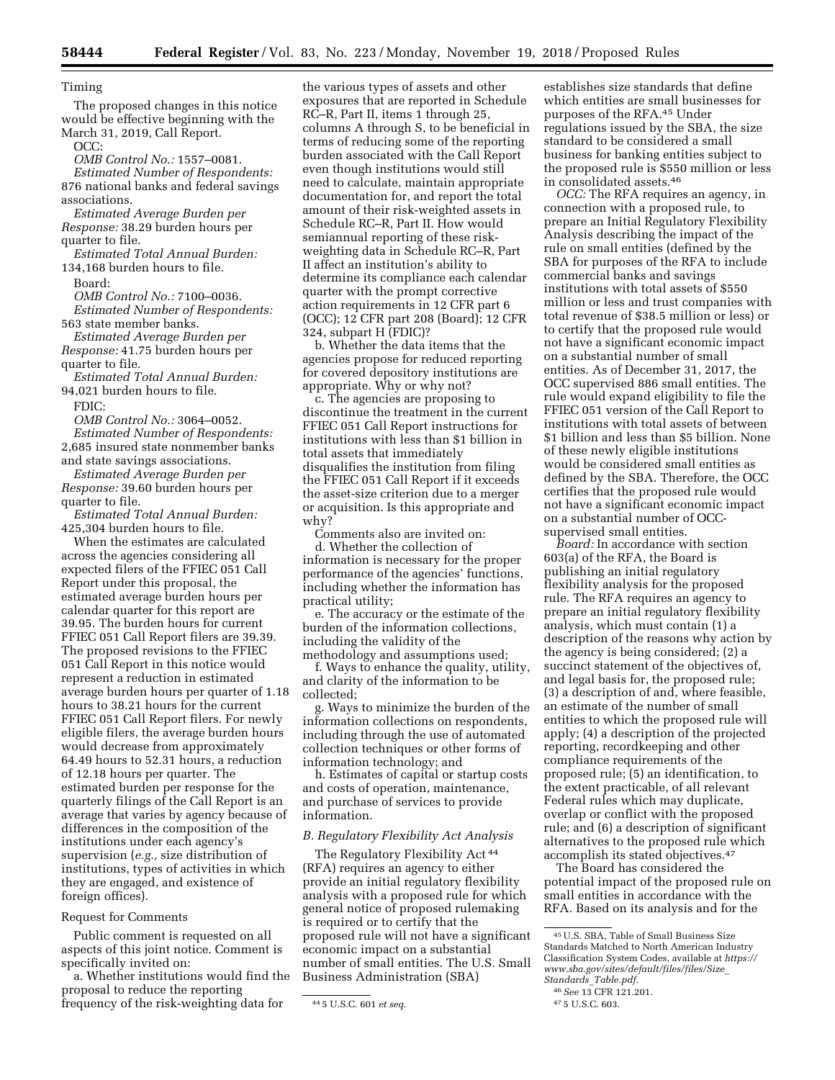### Timing

The proposed changes in this notice would be effective beginning with the March 31, 2019, Call Report.

OCC:

*OMB Control No.:* 1557–0081.

*Estimated Number of Respondents:*  876 national banks and federal savings associations.

*Estimated Average Burden per Response:* 38.29 burden hours per quarter to file.

*Estimated Total Annual Burden:*  134,168 burden hours to file.

Board:

*OMB Control No.:* 7100–0036. *Estimated Number of Respondents:*  563 state member banks.

*Estimated Average Burden per* 

*Response:* 41.75 burden hours per quarter to file.

*Estimated Total Annual Burden:*  94,021 burden hours to file.

FDIC:

*OMB Control No.:* 3064–0052.

*Estimated Number of Respondents:*  2,685 insured state nonmember banks and state savings associations.

*Estimated Average Burden per Response:* 39.60 burden hours per quarter to file.

*Estimated Total Annual Burden:*  425,304 burden hours to file.

When the estimates are calculated across the agencies considering all expected filers of the FFIEC 051 Call Report under this proposal, the estimated average burden hours per calendar quarter for this report are 39.95. The burden hours for current FFIEC 051 Call Report filers are 39.39. The proposed revisions to the FFIEC 051 Call Report in this notice would represent a reduction in estimated average burden hours per quarter of 1.18 hours to 38.21 hours for the current FFIEC 051 Call Report filers. For newly eligible filers, the average burden hours would decrease from approximately 64.49 hours to 52.31 hours, a reduction of 12.18 hours per quarter. The estimated burden per response for the quarterly filings of the Call Report is an average that varies by agency because of differences in the composition of the institutions under each agency's supervision (*e.g.,* size distribution of institutions, types of activities in which they are engaged, and existence of foreign offices).

### Request for Comments

Public comment is requested on all aspects of this joint notice. Comment is specifically invited on:

a. Whether institutions would find the proposal to reduce the reporting frequency of the risk-weighting data for

the various types of assets and other exposures that are reported in Schedule RC–R, Part II, items 1 through 25, columns A through S, to be beneficial in terms of reducing some of the reporting burden associated with the Call Report even though institutions would still need to calculate, maintain appropriate documentation for, and report the total amount of their risk-weighted assets in Schedule RC–R, Part II. How would semiannual reporting of these riskweighting data in Schedule RC–R, Part II affect an institution's ability to determine its compliance each calendar quarter with the prompt corrective action requirements in 12 CFR part 6 (OCC); 12 CFR part 208 (Board); 12 CFR 324, subpart H (FDIC)?

b. Whether the data items that the agencies propose for reduced reporting for covered depository institutions are appropriate. Why or why not?

c. The agencies are proposing to discontinue the treatment in the current FFIEC 051 Call Report instructions for institutions with less than \$1 billion in total assets that immediately disqualifies the institution from filing the FFIEC 051 Call Report if it exceeds the asset-size criterion due to a merger or acquisition. Is this appropriate and why?

Comments also are invited on:

d. Whether the collection of information is necessary for the proper performance of the agencies' functions, including whether the information has practical utility;

e. The accuracy or the estimate of the burden of the information collections, including the validity of the methodology and assumptions used;

f. Ways to enhance the quality, utility, and clarity of the information to be collected;

g. Ways to minimize the burden of the information collections on respondents, including through the use of automated collection techniques or other forms of information technology; and

h. Estimates of capital or startup costs and costs of operation, maintenance, and purchase of services to provide information.

# *B. Regulatory Flexibility Act Analysis*

The Regulatory Flexibility Act 44 (RFA) requires an agency to either provide an initial regulatory flexibility analysis with a proposed rule for which general notice of proposed rulemaking is required or to certify that the proposed rule will not have a significant economic impact on a substantial number of small entities. The U.S. Small Business Administration (SBA)

establishes size standards that define which entities are small businesses for purposes of the RFA.45 Under regulations issued by the SBA, the size standard to be considered a small business for banking entities subject to the proposed rule is \$550 million or less in consolidated assets.46

*OCC:* The RFA requires an agency, in connection with a proposed rule, to prepare an Initial Regulatory Flexibility Analysis describing the impact of the rule on small entities (defined by the SBA for purposes of the RFA to include commercial banks and savings institutions with total assets of \$550 million or less and trust companies with total revenue of \$38.5 million or less) or to certify that the proposed rule would not have a significant economic impact on a substantial number of small entities. As of December 31, 2017, the OCC supervised 886 small entities. The rule would expand eligibility to file the FFIEC 051 version of the Call Report to institutions with total assets of between \$1 billion and less than \$5 billion. None of these newly eligible institutions would be considered small entities as defined by the SBA. Therefore, the OCC certifies that the proposed rule would not have a significant economic impact on a substantial number of OCCsupervised small entities.

*Board:* In accordance with section 603(a) of the RFA, the Board is publishing an initial regulatory flexibility analysis for the proposed rule. The RFA requires an agency to prepare an initial regulatory flexibility analysis, which must contain (1) a description of the reasons why action by the agency is being considered; (2) a succinct statement of the objectives of, and legal basis for, the proposed rule; (3) a description of and, where feasible, an estimate of the number of small entities to which the proposed rule will apply; (4) a description of the projected reporting, recordkeeping and other compliance requirements of the proposed rule; (5) an identification, to the extent practicable, of all relevant Federal rules which may duplicate, overlap or conflict with the proposed rule; and (6) a description of significant alternatives to the proposed rule which accomplish its stated objectives.47

The Board has considered the potential impact of the proposed rule on small entities in accordance with the RFA. Based on its analysis and for the

<sup>44</sup> 5 U.S.C. 601 *et seq.* 

<sup>45</sup>U.S. SBA, Table of Small Business Size Standards Matched to North American Industry Classification System Codes, available at *[https://](https://www.sba.gov/sites/default/files/files/Size_Standards_Table.pdf) [www.sba.gov/sites/default/files/files/Size](https://www.sba.gov/sites/default/files/files/Size_Standards_Table.pdf)*\_ *Standards*\_*[Table.pdf.](https://www.sba.gov/sites/default/files/files/Size_Standards_Table.pdf)* 

<sup>46</sup>*See* 13 CFR 121.201.

<sup>47</sup> 5 U.S.C. 603.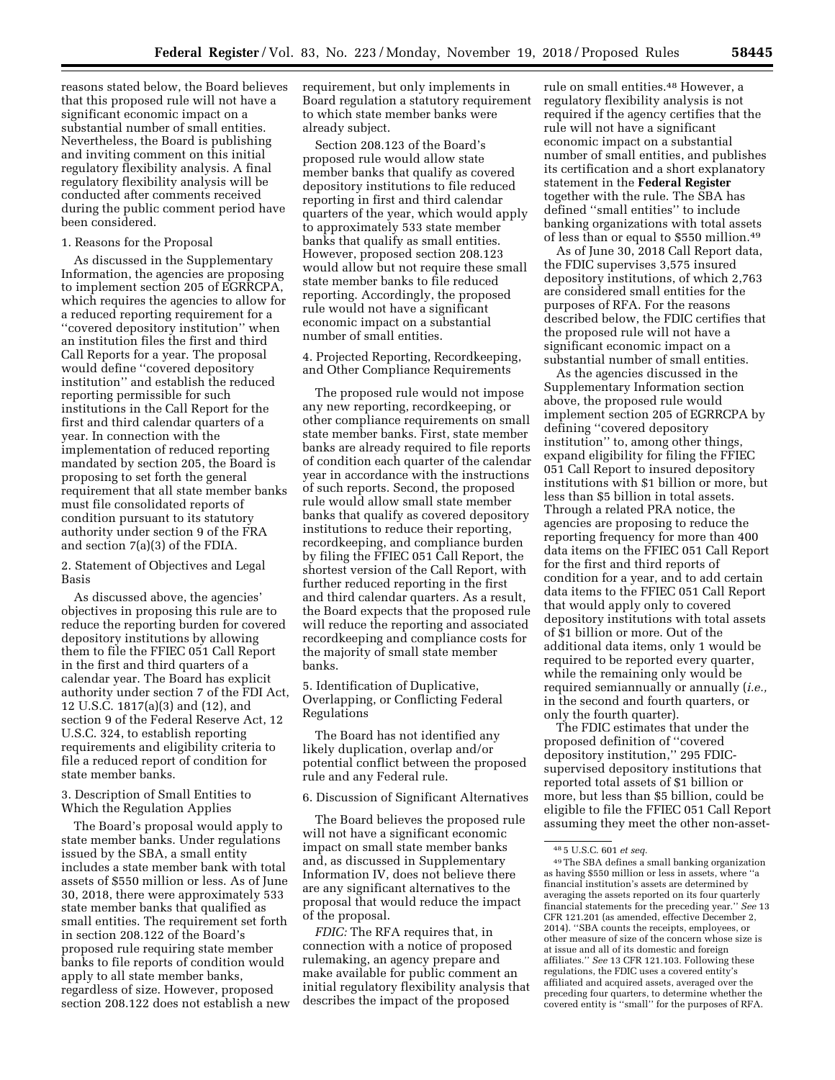reasons stated below, the Board believes that this proposed rule will not have a significant economic impact on a substantial number of small entities. Nevertheless, the Board is publishing and inviting comment on this initial regulatory flexibility analysis. A final regulatory flexibility analysis will be conducted after comments received during the public comment period have been considered.

#### 1. Reasons for the Proposal

As discussed in the Supplementary Information, the agencies are proposing to implement section 205 of EGRRCPA, which requires the agencies to allow for a reduced reporting requirement for a ''covered depository institution'' when an institution files the first and third Call Reports for a year. The proposal would define ''covered depository institution'' and establish the reduced reporting permissible for such institutions in the Call Report for the first and third calendar quarters of a year. In connection with the implementation of reduced reporting mandated by section 205, the Board is proposing to set forth the general requirement that all state member banks must file consolidated reports of condition pursuant to its statutory authority under section 9 of the FRA and section 7(a)(3) of the FDIA.

2. Statement of Objectives and Legal Basis

As discussed above, the agencies' objectives in proposing this rule are to reduce the reporting burden for covered depository institutions by allowing them to file the FFIEC 051 Call Report in the first and third quarters of a calendar year. The Board has explicit authority under section 7 of the FDI Act, 12 U.S.C. 1817(a)(3) and (12), and section 9 of the Federal Reserve Act, 12 U.S.C. 324, to establish reporting requirements and eligibility criteria to file a reduced report of condition for state member banks.

### 3. Description of Small Entities to Which the Regulation Applies

The Board's proposal would apply to state member banks. Under regulations issued by the SBA, a small entity includes a state member bank with total assets of \$550 million or less. As of June 30, 2018, there were approximately 533 state member banks that qualified as small entities. The requirement set forth in section 208.122 of the Board's proposed rule requiring state member banks to file reports of condition would apply to all state member banks, regardless of size. However, proposed section 208.122 does not establish a new requirement, but only implements in Board regulation a statutory requirement to which state member banks were already subject.

Section 208.123 of the Board's proposed rule would allow state member banks that qualify as covered depository institutions to file reduced reporting in first and third calendar quarters of the year, which would apply to approximately 533 state member banks that qualify as small entities. However, proposed section 208.123 would allow but not require these small state member banks to file reduced reporting. Accordingly, the proposed rule would not have a significant economic impact on a substantial number of small entities.

4. Projected Reporting, Recordkeeping, and Other Compliance Requirements

The proposed rule would not impose any new reporting, recordkeeping, or other compliance requirements on small state member banks. First, state member banks are already required to file reports of condition each quarter of the calendar year in accordance with the instructions of such reports. Second, the proposed rule would allow small state member banks that qualify as covered depository institutions to reduce their reporting, recordkeeping, and compliance burden by filing the FFIEC 051 Call Report, the shortest version of the Call Report, with further reduced reporting in the first and third calendar quarters. As a result, the Board expects that the proposed rule will reduce the reporting and associated recordkeeping and compliance costs for the majority of small state member banks.

5. Identification of Duplicative, Overlapping, or Conflicting Federal Regulations

The Board has not identified any likely duplication, overlap and/or potential conflict between the proposed rule and any Federal rule.

6. Discussion of Significant Alternatives

The Board believes the proposed rule will not have a significant economic impact on small state member banks and, as discussed in Supplementary Information IV, does not believe there are any significant alternatives to the proposal that would reduce the impact of the proposal.

*FDIC:* The RFA requires that, in connection with a notice of proposed rulemaking, an agency prepare and make available for public comment an initial regulatory flexibility analysis that describes the impact of the proposed

rule on small entities.48 However, a regulatory flexibility analysis is not required if the agency certifies that the rule will not have a significant economic impact on a substantial number of small entities, and publishes its certification and a short explanatory statement in the **Federal Register**  together with the rule. The SBA has defined ''small entities'' to include banking organizations with total assets of less than or equal to \$550 million.49

As of June 30, 2018 Call Report data, the FDIC supervises 3,575 insured depository institutions, of which 2,763 are considered small entities for the purposes of RFA. For the reasons described below, the FDIC certifies that the proposed rule will not have a significant economic impact on a substantial number of small entities.

As the agencies discussed in the Supplementary Information section above, the proposed rule would implement section 205 of EGRRCPA by defining ''covered depository institution'' to, among other things, expand eligibility for filing the FFIEC 051 Call Report to insured depository institutions with \$1 billion or more, but less than \$5 billion in total assets. Through a related PRA notice, the agencies are proposing to reduce the reporting frequency for more than 400 data items on the FFIEC 051 Call Report for the first and third reports of condition for a year, and to add certain data items to the FFIEC 051 Call Report that would apply only to covered depository institutions with total assets of \$1 billion or more. Out of the additional data items, only 1 would be required to be reported every quarter, while the remaining only would be required semiannually or annually (*i.e.,*  in the second and fourth quarters, or only the fourth quarter).

The FDIC estimates that under the proposed definition of ''covered depository institution,'' 295 FDICsupervised depository institutions that reported total assets of \$1 billion or more, but less than \$5 billion, could be eligible to file the FFIEC 051 Call Report assuming they meet the other non-asset-

<sup>48</sup> 5 U.S.C. 601 *et seq.* 

<sup>49</sup>The SBA defines a small banking organization as having \$550 million or less in assets, where ''a financial institution's assets are determined by averaging the assets reported on its four quarterly financial statements for the preceding year.'' *See* 13 CFR 121.201 (as amended, effective December 2, 2014). ''SBA counts the receipts, employees, or other measure of size of the concern whose size is at issue and all of its domestic and foreign affiliates.'' *See* 13 CFR 121.103. Following these regulations, the FDIC uses a covered entity's affiliated and acquired assets, averaged over the preceding four quarters, to determine whether the covered entity is ''small'' for the purposes of RFA.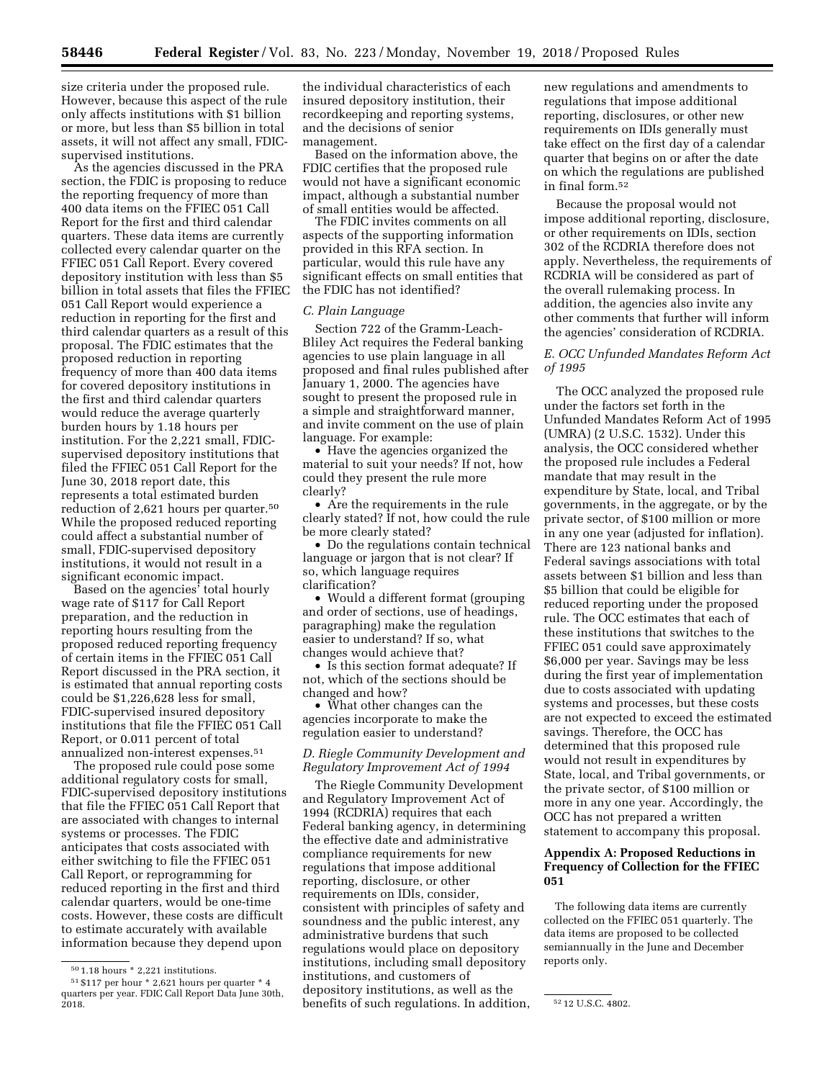size criteria under the proposed rule. However, because this aspect of the rule only affects institutions with \$1 billion or more, but less than \$5 billion in total assets, it will not affect any small, FDICsupervised institutions.

As the agencies discussed in the PRA section, the FDIC is proposing to reduce the reporting frequency of more than 400 data items on the FFIEC 051 Call Report for the first and third calendar quarters. These data items are currently collected every calendar quarter on the FFIEC 051 Call Report. Every covered depository institution with less than \$5 billion in total assets that files the FFIEC 051 Call Report would experience a reduction in reporting for the first and third calendar quarters as a result of this proposal. The FDIC estimates that the proposed reduction in reporting frequency of more than 400 data items for covered depository institutions in the first and third calendar quarters would reduce the average quarterly burden hours by 1.18 hours per institution. For the 2,221 small, FDICsupervised depository institutions that filed the FFIEC 051 Call Report for the June 30, 2018 report date, this represents a total estimated burden reduction of 2,621 hours per quarter.50 While the proposed reduced reporting could affect a substantial number of small, FDIC-supervised depository institutions, it would not result in a significant economic impact.

Based on the agencies' total hourly wage rate of \$117 for Call Report preparation, and the reduction in reporting hours resulting from the proposed reduced reporting frequency of certain items in the FFIEC 051 Call Report discussed in the PRA section, it is estimated that annual reporting costs could be \$1,226,628 less for small, FDIC-supervised insured depository institutions that file the FFIEC 051 Call Report, or 0.011 percent of total annualized non-interest expenses.51

The proposed rule could pose some additional regulatory costs for small, FDIC-supervised depository institutions that file the FFIEC 051 Call Report that are associated with changes to internal systems or processes. The FDIC anticipates that costs associated with either switching to file the FFIEC 051 Call Report, or reprogramming for reduced reporting in the first and third calendar quarters, would be one-time costs. However, these costs are difficult to estimate accurately with available information because they depend upon

the individual characteristics of each insured depository institution, their recordkeeping and reporting systems, and the decisions of senior management.

Based on the information above, the FDIC certifies that the proposed rule would not have a significant economic impact, although a substantial number of small entities would be affected.

The FDIC invites comments on all aspects of the supporting information provided in this RFA section. In particular, would this rule have any significant effects on small entities that the FDIC has not identified?

## *C. Plain Language*

Section 722 of the Gramm-Leach-Bliley Act requires the Federal banking agencies to use plain language in all proposed and final rules published after January 1, 2000. The agencies have sought to present the proposed rule in a simple and straightforward manner, and invite comment on the use of plain language. For example:

• Have the agencies organized the material to suit your needs? If not, how could they present the rule more clearly?

• Are the requirements in the rule clearly stated? If not, how could the rule be more clearly stated?

• Do the regulations contain technical language or jargon that is not clear? If so, which language requires clarification?

• Would a different format (grouping and order of sections, use of headings, paragraphing) make the regulation easier to understand? If so, what changes would achieve that?

• Is this section format adequate? If not, which of the sections should be changed and how?

• What other changes can the agencies incorporate to make the regulation easier to understand?

# *D. Riegle Community Development and Regulatory Improvement Act of 1994*

 $\dot{z}$  2018.  $\dot{z}$  is the set of such regulations. In addition,  $\dot{z}$  212 U.S.C. 4802. The Riegle Community Development and Regulatory Improvement Act of 1994 (RCDRIA) requires that each Federal banking agency, in determining the effective date and administrative compliance requirements for new regulations that impose additional reporting, disclosure, or other requirements on IDIs, consider, consistent with principles of safety and soundness and the public interest, any administrative burdens that such regulations would place on depository institutions, including small depository institutions, and customers of depository institutions, as well as the

new regulations and amendments to regulations that impose additional reporting, disclosures, or other new requirements on IDIs generally must take effect on the first day of a calendar quarter that begins on or after the date on which the regulations are published in final form.52

Because the proposal would not impose additional reporting, disclosure, or other requirements on IDIs, section 302 of the RCDRIA therefore does not apply. Nevertheless, the requirements of RCDRIA will be considered as part of the overall rulemaking process. In addition, the agencies also invite any other comments that further will inform the agencies' consideration of RCDRIA.

# *E. OCC Unfunded Mandates Reform Act of 1995*

The OCC analyzed the proposed rule under the factors set forth in the Unfunded Mandates Reform Act of 1995 (UMRA) (2 U.S.C. 1532). Under this analysis, the OCC considered whether the proposed rule includes a Federal mandate that may result in the expenditure by State, local, and Tribal governments, in the aggregate, or by the private sector, of \$100 million or more in any one year (adjusted for inflation). There are 123 national banks and Federal savings associations with total assets between \$1 billion and less than \$5 billion that could be eligible for reduced reporting under the proposed rule. The OCC estimates that each of these institutions that switches to the FFIEC 051 could save approximately \$6,000 per year. Savings may be less during the first year of implementation due to costs associated with updating systems and processes, but these costs are not expected to exceed the estimated savings. Therefore, the OCC has determined that this proposed rule would not result in expenditures by State, local, and Tribal governments, or the private sector, of \$100 million or more in any one year. Accordingly, the OCC has not prepared a written statement to accompany this proposal.

# **Appendix A: Proposed Reductions in Frequency of Collection for the FFIEC 051**

The following data items are currently collected on the FFIEC 051 quarterly. The data items are proposed to be collected semiannually in the June and December reports only.

 $^{\rm 50}\,1.18$  hours \* 2,221 institutions.

<sup>51</sup> \$117 per hour \* 2,621 hours per quarter \* 4 quarters per year. FDIC Call Report Data June 30th,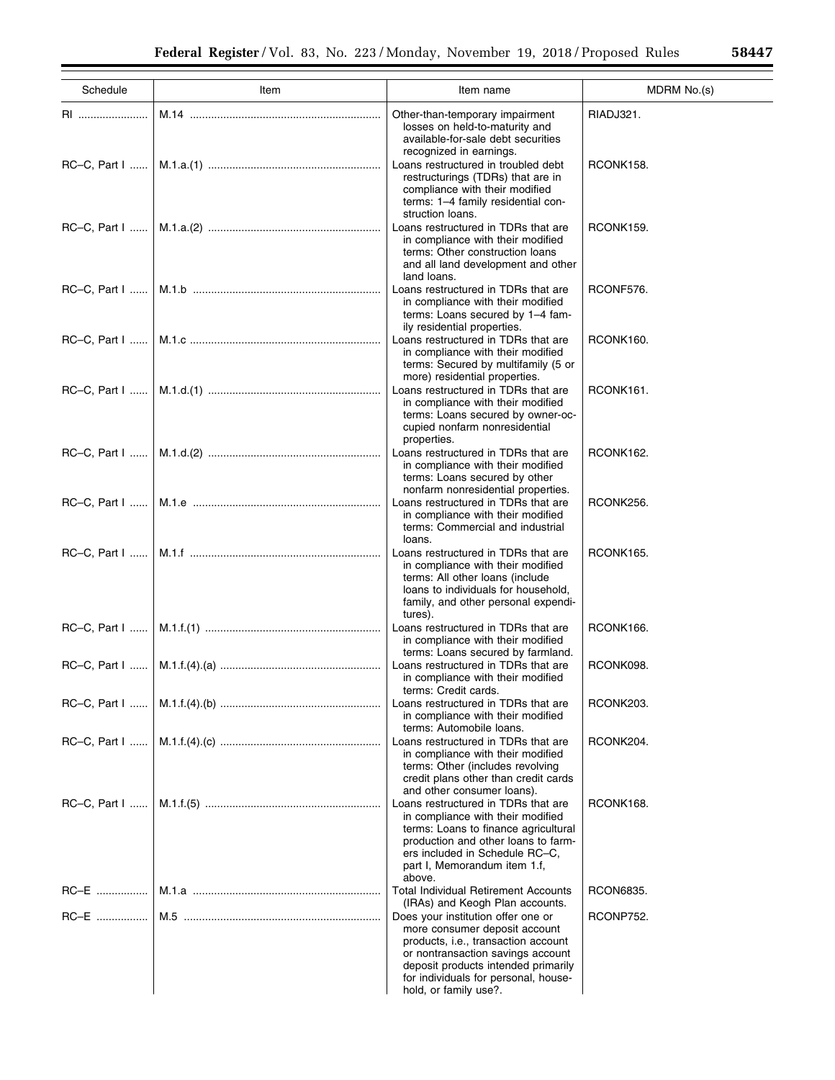| Schedule              | Item | Item name                                                                                                                                                                                                                                               | MDRM No.(s) |
|-----------------------|------|---------------------------------------------------------------------------------------------------------------------------------------------------------------------------------------------------------------------------------------------------------|-------------|
| RI                    |      | Other-than-temporary impairment<br>losses on held-to-maturity and<br>available-for-sale debt securities                                                                                                                                                 | RIADJ321.   |
|                       |      | recognized in earnings.<br>Loans restructured in troubled debt<br>restructurings (TDRs) that are in<br>compliance with their modified<br>terms: 1-4 family residential con-                                                                             | RCONK158.   |
|                       |      | struction loans.<br>Loans restructured in TDRs that are<br>in compliance with their modified<br>terms: Other construction loans<br>and all land development and other<br>land loans.                                                                    | RCONK159.   |
| RC-C, Part            |      | Loans restructured in TDRs that are<br>in compliance with their modified<br>terms: Loans secured by 1-4 fam-<br>ily residential properties.                                                                                                             | RCONF576.   |
| $RC-C$ , Part I       |      | Loans restructured in TDRs that are<br>in compliance with their modified<br>terms: Secured by multifamily (5 or<br>more) residential properties.                                                                                                        | RCONK160.   |
|                       |      | Loans restructured in TDRs that are<br>in compliance with their modified<br>terms: Loans secured by owner-oc-<br>cupied nonfarm nonresidential<br>properties.                                                                                           | RCONK161.   |
|                       |      | Loans restructured in TDRs that are<br>in compliance with their modified<br>terms: Loans secured by other<br>nonfarm nonresidential properties.                                                                                                         | RCONK162.   |
| $RC-C$ , Part $ $     |      | Loans restructured in TDRs that are<br>in compliance with their modified<br>terms: Commercial and industrial<br>loans.                                                                                                                                  | RCONK256.   |
| $RC-C$ , Part $ $     |      | Loans restructured in TDRs that are<br>in compliance with their modified<br>terms: All other loans (include<br>loans to individuals for household,<br>family, and other personal expendi-<br>tures).                                                    | RCONK165.   |
|                       |      | Loans restructured in TDRs that are<br>in compliance with their modified<br>terms: Loans secured by farmland.                                                                                                                                           | RCONK166.   |
|                       |      | Loans restructured in TDRs that are<br>in compliance with their modified<br>terms: Credit cards.                                                                                                                                                        | RCONK098.   |
|                       |      | Loans restructured in TDRs that are<br>in compliance with their modified<br>terms: Automobile loans.                                                                                                                                                    | RCONK203.   |
| $RC-C$ , Part $ $ $ $ |      | Loans restructured in TDRs that are<br>in compliance with their modified<br>terms: Other (includes revolving<br>credit plans other than credit cards<br>and other consumer loans).                                                                      | RCONK204.   |
| $RC-C$ , Part I       |      | Loans restructured in TDRs that are<br>in compliance with their modified<br>terms: Loans to finance agricultural<br>production and other loans to farm-<br>ers included in Schedule RC-C,<br>part I, Memorandum item 1.f,<br>above.                     | RCONK168.   |
| RC-E                  |      | <b>Total Individual Retirement Accounts</b><br>(IRAs) and Keogh Plan accounts.                                                                                                                                                                          | RCON6835.   |
| RC-E                  |      | Does your institution offer one or<br>more consumer deposit account<br>products, i.e., transaction account<br>or nontransaction savings account<br>deposit products intended primarily<br>for individuals for personal, house-<br>hold, or family use?. | RCONP752.   |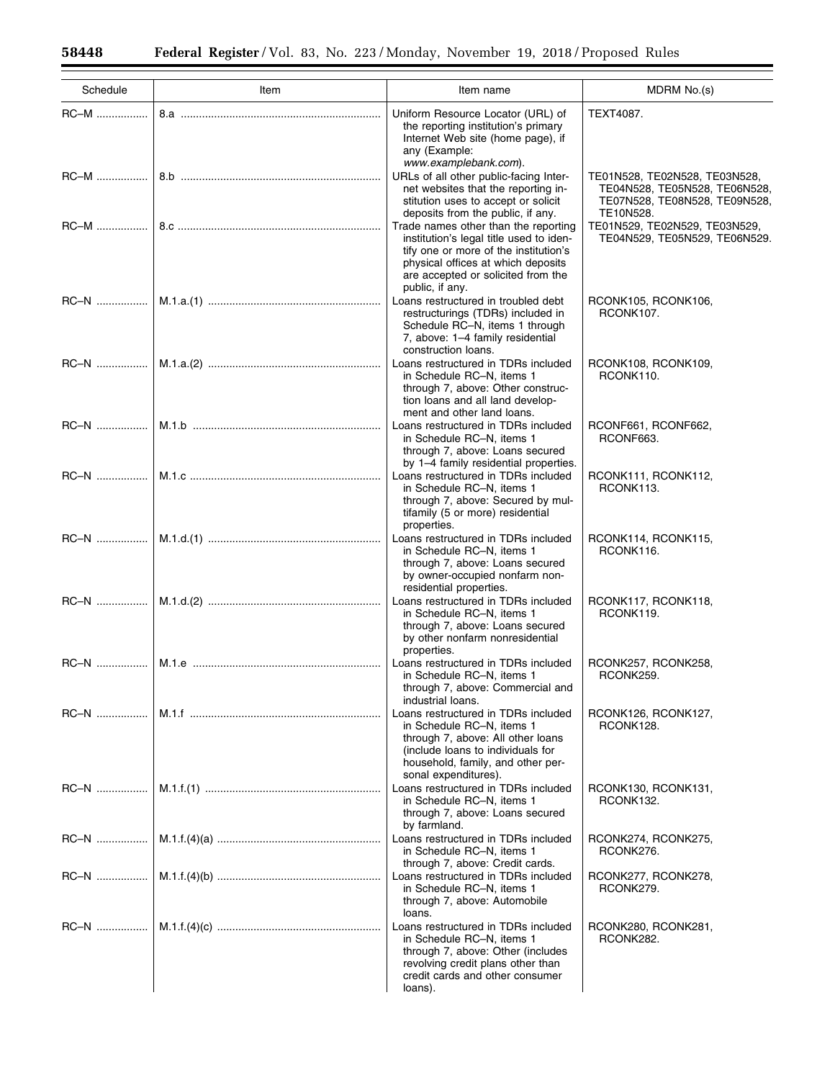$\equiv$ 

Ξ

| Schedule    | Item | Item name                                                                                                                                                                                                               | MDRM No.(s)                                                                                                  |
|-------------|------|-------------------------------------------------------------------------------------------------------------------------------------------------------------------------------------------------------------------------|--------------------------------------------------------------------------------------------------------------|
| RC-M        |      | Uniform Resource Locator (URL) of<br>the reporting institution's primary<br>Internet Web site (home page), if<br>any (Example:<br>www.examplebank.com).                                                                 | TEXT4087.                                                                                                    |
|             |      | URLs of all other public-facing Inter-<br>net websites that the reporting in-<br>stitution uses to accept or solicit<br>deposits from the public, if any.                                                               | TE01N528, TE02N528, TE03N528,<br>TE04N528, TE05N528, TE06N528,<br>TE07N528, TE08N528, TE09N528,<br>TE10N528. |
|             |      | Trade names other than the reporting<br>institution's legal title used to iden-<br>tify one or more of the institution's<br>physical offices at which deposits<br>are accepted or solicited from the<br>public, if any. | TE01N529, TE02N529, TE03N529,<br>TE04N529, TE05N529, TE06N529.                                               |
|             |      | Loans restructured in troubled debt<br>restructurings (TDRs) included in<br>Schedule RC-N, items 1 through<br>7, above: 1-4 family residential<br>construction loans.                                                   | RCONK105, RCONK106,<br>RCONK107.                                                                             |
|             |      | Loans restructured in TDRs included<br>in Schedule RC-N, items 1<br>through 7, above: Other construc-<br>tion loans and all land develop-<br>ment and other land loans.                                                 | RCONK108, RCONK109,<br>RCONK110.                                                                             |
| $RC-N$      |      | Loans restructured in TDRs included<br>in Schedule RC-N, items 1<br>through 7, above: Loans secured<br>by 1-4 family residential properties.                                                                            | RCONF661, RCONF662,<br>RCONF663.                                                                             |
| RC-N        |      | Loans restructured in TDRs included<br>in Schedule RC-N, items 1<br>through 7, above: Secured by mul-<br>tifamily (5 or more) residential<br>properties.                                                                | RCONK111, RCONK112,<br>RCONK113.                                                                             |
|             |      | Loans restructured in TDRs included<br>in Schedule RC-N, items 1<br>through 7, above: Loans secured<br>by owner-occupied nonfarm non-<br>residential properties.                                                        | RCONK114, RCONK115,<br>RCONK116.                                                                             |
|             |      | Loans restructured in TDRs included<br>in Schedule RC-N, items 1<br>through 7, above: Loans secured<br>by other nonfarm nonresidential<br>properties.                                                                   | RCONK117, RCONK118,<br>RCONK119.                                                                             |
| <b>RC-N</b> |      | Loans restructured in TDRs included<br>in Schedule RC-N, items 1<br>through 7, above: Commercial and<br>industrial loans.                                                                                               | RCONK257, RCONK258,<br>RCONK259.                                                                             |
| RC-N        |      | Loans restructured in TDRs included<br>in Schedule RC-N, items 1<br>through 7, above: All other loans<br>(include loans to individuals for<br>household, family, and other per-<br>sonal expenditures).                 | RCONK126, RCONK127,<br>RCONK128.                                                                             |
| RC-N        |      | Loans restructured in TDRs included<br>in Schedule RC-N, items 1<br>through 7, above: Loans secured<br>by farmland.                                                                                                     | RCONK130, RCONK131,<br>RCONK132.                                                                             |
|             |      | Loans restructured in TDRs included<br>in Schedule RC-N, items 1<br>through 7, above: Credit cards.                                                                                                                     | RCONK274, RCONK275,<br>RCONK276.                                                                             |
|             |      | Loans restructured in TDRs included<br>in Schedule RC-N, items 1<br>through 7, above: Automobile<br>loans.                                                                                                              | RCONK277, RCONK278,<br>RCONK279.                                                                             |
|             |      | Loans restructured in TDRs included<br>in Schedule RC-N, items 1<br>through 7, above: Other (includes<br>revolving credit plans other than<br>credit cards and other consumer<br>loans).                                | RCONK280, RCONK281,<br>RCONK282.                                                                             |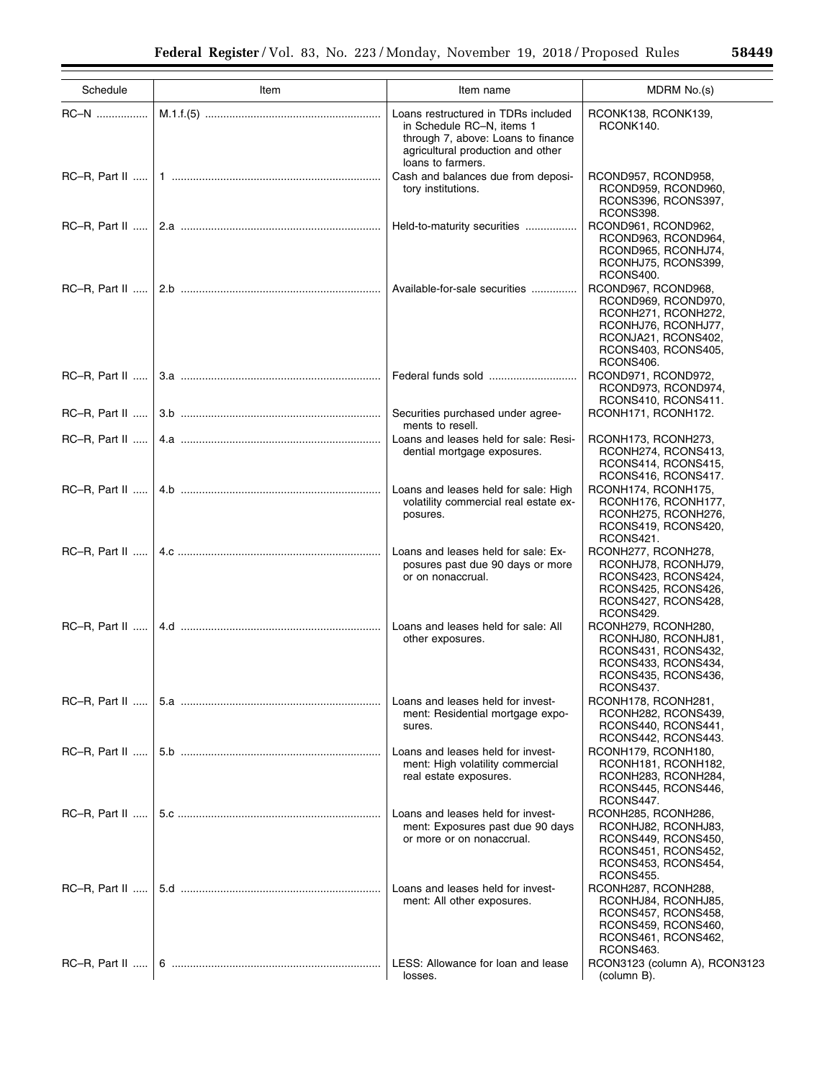| Schedule         | Item | Item name                                                                                                                                                        | MDRM No.(s)                                                                                                                                         |
|------------------|------|------------------------------------------------------------------------------------------------------------------------------------------------------------------|-----------------------------------------------------------------------------------------------------------------------------------------------------|
|                  |      |                                                                                                                                                                  |                                                                                                                                                     |
|                  |      | Loans restructured in TDRs included<br>in Schedule RC-N, items 1<br>through 7, above: Loans to finance<br>agricultural production and other<br>loans to farmers. | RCONK138, RCONK139,<br>RCONK140.                                                                                                                    |
|                  |      | Cash and balances due from deposi-<br>tory institutions.                                                                                                         | RCOND957, RCOND958,<br>RCOND959, RCOND960,<br>RCONS396, RCONS397,<br>RCONS398.                                                                      |
|                  |      |                                                                                                                                                                  | RCOND961, RCOND962,<br>RCOND963, RCOND964,<br>RCOND965, RCONHJ74,<br>RCONHJ75, RCONS399,<br>RCONS400.                                               |
|                  |      | Available-for-sale securities                                                                                                                                    | RCOND967, RCOND968,<br>RCOND969, RCOND970,<br>RCONH271, RCONH272,<br>RCONHJ76, RCONHJ77,<br>RCONJA21, RCONS402,<br>RCONS403, RCONS405,<br>RCONS406. |
|                  |      | Federal funds sold                                                                                                                                               | RCOND971, RCOND972,<br>RCOND973, RCOND974,<br>RCONS410, RCONS411.                                                                                   |
|                  |      | Securities purchased under agree-<br>ments to resell.                                                                                                            | RCONH171, RCONH172.                                                                                                                                 |
|                  |      | Loans and leases held for sale: Resi-<br>dential mortgage exposures.                                                                                             | RCONH173, RCONH273,<br>RCONH274, RCONS413,<br>RCONS414, RCONS415,<br>RCONS416, RCONS417.                                                            |
|                  |      | Loans and leases held for sale: High<br>volatility commercial real estate ex-<br>posures.                                                                        | RCONH174, RCONH175,<br>RCONH176, RCONH177,<br>RCONH275, RCONH276,<br>RCONS419, RCONS420,<br>RCONS421.                                               |
|                  |      | Loans and leases held for sale: Ex-<br>posures past due 90 days or more<br>or on nonaccrual.                                                                     | RCONH277, RCONH278,<br>RCONHJ78, RCONHJ79,<br>RCONS423, RCONS424,<br>RCONS425, RCONS426,<br>RCONS427, RCONS428,<br>RCONS429.                        |
|                  |      | Loans and leases held for sale: All<br>other exposures.                                                                                                          | RCONH279, RCONH280,<br>RCONHJ80, RCONHJ81,<br>RCONS431, RCONS432,<br>RCONS433, RCONS434,<br>RCONS435, RCONS436,<br>RCONS437.                        |
|                  |      | Loans and leases held for invest-<br>ment: Residential mortgage expo-<br>sures.                                                                                  | RCONH178, RCONH281,<br>RCONH282, RCONS439,<br>RCONS440, RCONS441,<br>RCONS442, RCONS443.                                                            |
|                  |      | Loans and leases held for invest-<br>ment: High volatility commercial<br>real estate exposures.                                                                  | RCONH179, RCONH180,<br>RCONH181, RCONH182,<br>RCONH283, RCONH284,<br>RCONS445, RCONS446,<br>RCONS447.                                               |
|                  |      | Loans and leases held for invest-<br>ment: Exposures past due 90 days<br>or more or on nonaccrual.                                                               | RCONH285, RCONH286,<br>RCONHJ82, RCONHJ83,<br>RCONS449, RCONS450,<br>RCONS451, RCONS452,<br>RCONS453, RCONS454,<br>RCONS455.                        |
|                  |      | Loans and leases held for invest-<br>ment: All other exposures.                                                                                                  | RCONH287, RCONH288,<br>RCONHJ84, RCONHJ85,<br>RCONS457, RCONS458,<br>RCONS459, RCONS460,<br>RCONS461, RCONS462,<br>RCONS463.                        |
| $RC-R$ , Part II |      | LESS: Allowance for loan and lease<br>losses.                                                                                                                    | RCON3123 (column A), RCON3123<br>(column B).                                                                                                        |

÷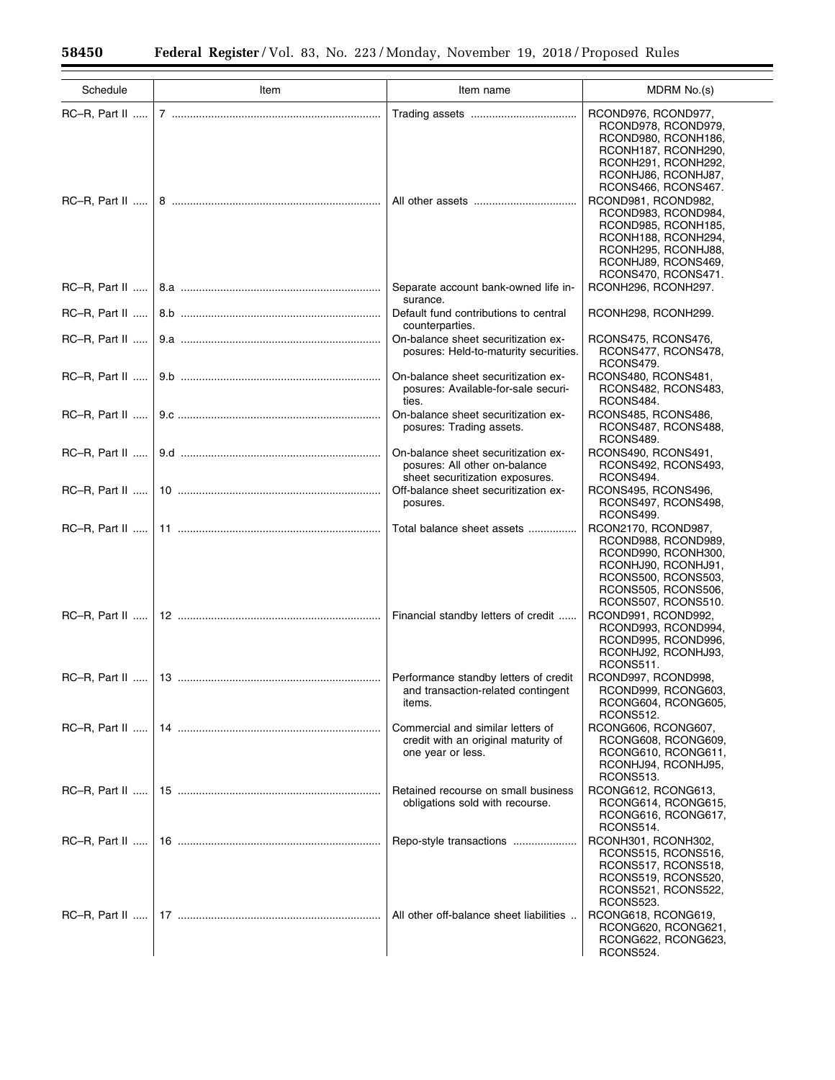$\equiv$ 

÷

| Schedule         | Item | Item name                                                                                               | MDRM No.(s)                                                                                                                                                                                                                                                                      |
|------------------|------|---------------------------------------------------------------------------------------------------------|----------------------------------------------------------------------------------------------------------------------------------------------------------------------------------------------------------------------------------------------------------------------------------|
|                  |      |                                                                                                         | RCOND976, RCOND977,<br>RCOND978, RCOND979,                                                                                                                                                                                                                                       |
|                  |      |                                                                                                         | RCOND980, RCONH186,<br>RCONH187, RCONH290,<br>RCONH291, RCONH292,<br>RCONHJ86, RCONHJ87,<br>RCONS466, RCONS467.<br>RCOND981, RCOND982,<br>RCOND983, RCOND984,<br>RCOND985, RCONH185,<br>RCONH188, RCONH294,<br>RCONH295, RCONHJ88,<br>RCONHJ89, RCONS469,<br>RCONS470, RCONS471. |
| $RC-R$ , Part II |      | Separate account bank-owned life in-<br>surance.                                                        | RCONH296, RCONH297.                                                                                                                                                                                                                                                              |
| $RC-R$ , Part II |      | Default fund contributions to central<br>counterparties.                                                | RCONH298, RCONH299.                                                                                                                                                                                                                                                              |
|                  |      | On-balance sheet securitization ex-<br>posures: Held-to-maturity securities.                            | RCONS475, RCONS476,<br>RCONS477, RCONS478,<br>RCONS479.                                                                                                                                                                                                                          |
| $RC-R. Part II$  |      | On-balance sheet securitization ex-<br>posures: Available-for-sale securi-<br>ties.                     | RCONS480, RCONS481,<br>RCONS482, RCONS483,<br>RCONS484.                                                                                                                                                                                                                          |
|                  |      | On-balance sheet securitization ex-<br>posures: Trading assets.                                         | RCONS485, RCONS486,<br>RCONS487, RCONS488,<br>RCONS489.                                                                                                                                                                                                                          |
|                  |      | On-balance sheet securitization ex-<br>posures: All other on-balance<br>sheet securitization exposures. | RCONS490, RCONS491,<br>RCONS492, RCONS493,<br>RCONS494.                                                                                                                                                                                                                          |
| $RC-R$ , Part II |      | Off-balance sheet securitization ex-<br>posures.                                                        | RCONS495, RCONS496,<br>RCONS497, RCONS498,<br>RCONS499.                                                                                                                                                                                                                          |
|                  |      | Total balance sheet assets                                                                              | RCON2170, RCOND987,<br>RCOND988, RCOND989,<br>RCOND990, RCONH300,<br>RCONHJ90, RCONHJ91,<br>RCONS500, RCONS503,<br>RCONS505, RCONS506,<br>RCONS507, RCONS510.                                                                                                                    |
|                  |      | Financial standby letters of credit                                                                     | RCOND991, RCOND992,<br>RCOND993, RCOND994,<br>RCOND995, RCOND996,<br>RCONHJ92, RCONHJ93,<br>RCONS511.                                                                                                                                                                            |
|                  |      | Performance standby letters of credit<br>and transaction-related contingent<br>items.                   | RCOND997, RCOND998,<br>RCOND999, RCONG603,<br>RCONG604, RCONG605,<br>RCONS512.                                                                                                                                                                                                   |
| $RC-R$ , Part II |      | Commercial and similar letters of<br>credit with an original maturity of<br>one year or less.           | RCONG606, RCONG607,<br>RCONG608, RCONG609,<br>RCONG610, RCONG611,<br>RCONHJ94, RCONHJ95,<br><b>RCONS513.</b>                                                                                                                                                                     |
| RC-R, Part II    |      | Retained recourse on small business<br>obligations sold with recourse.                                  | RCONG612, RCONG613,<br>RCONG614, RCONG615,<br>RCONG616, RCONG617,<br>RCONS514.                                                                                                                                                                                                   |
|                  |      | Repo-style transactions                                                                                 | RCONH301, RCONH302,<br>RCONS515, RCONS516,<br>RCONS517, RCONS518,<br>RCONS519, RCONS520,<br>RCONS521, RCONS522,<br>RCONS523.                                                                                                                                                     |
| $RC-R$ , Part II |      | All other off-balance sheet liabilities                                                                 | RCONG618, RCONG619,<br>RCONG620, RCONG621,<br>RCONG622, RCONG623,<br>RCONS524.                                                                                                                                                                                                   |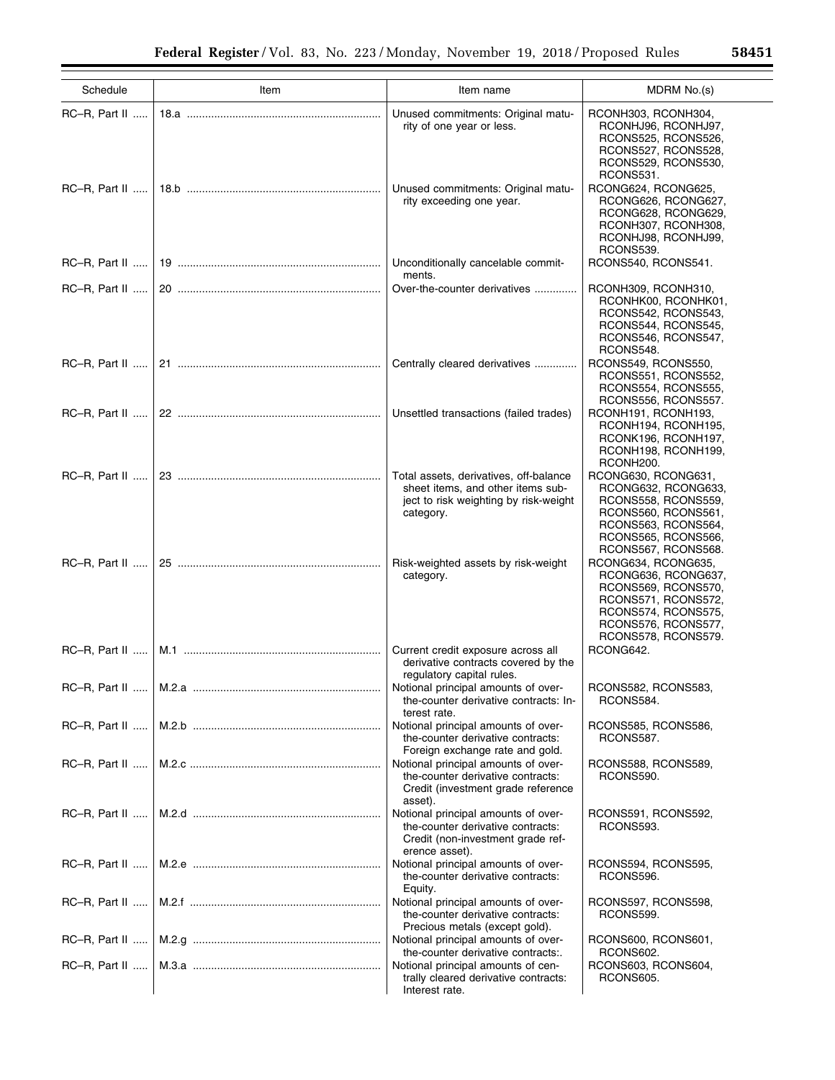| Schedule         | Item | Item name                                                                                                                         | MDRM No.(s)                                                                                                                                                   |
|------------------|------|-----------------------------------------------------------------------------------------------------------------------------------|---------------------------------------------------------------------------------------------------------------------------------------------------------------|
| RC-R, Part II    |      | Unused commitments: Original matu-<br>rity of one year or less.                                                                   | RCONH303, RCONH304,<br>RCONHJ96, RCONHJ97,<br>RCONS525, RCONS526,<br>RCONS527, RCONS528,<br>RCONS529, RCONS530,<br>RCONS531.                                  |
| $RC-R$ , Part II |      | Unused commitments: Original matu-<br>rity exceeding one year.                                                                    | RCONG624, RCONG625,<br>RCONG626, RCONG627,<br>RCONG628, RCONG629,<br>RCONH307, RCONH308,<br>RCONHJ98, RCONHJ99,<br>RCONS539.                                  |
| RC-R, Part II    |      | Unconditionally cancelable commit-<br>ments.                                                                                      | RCONS540, RCONS541.                                                                                                                                           |
| $RC-R$ , Part II |      | Over-the-counter derivatives                                                                                                      | RCONH309, RCONH310,<br>RCONHK00, RCONHK01,<br>RCONS542, RCONS543,<br>RCONS544, RCONS545,<br>RCONS546, RCONS547,<br>RCONS548.                                  |
| RC-R, Part II    |      | Centrally cleared derivatives                                                                                                     | RCONS549, RCONS550,<br>RCONS551, RCONS552,<br>RCONS554, RCONS555,<br>RCONS556, RCONS557.                                                                      |
| $RC-R$ , Part II |      | Unsettled transactions (failed trades)                                                                                            | RCONH191, RCONH193,<br>RCONH194, RCONH195,<br>RCONK196, RCONH197,<br>RCONH198, RCONH199,<br>RCONH <sub>200</sub> .                                            |
| RC-R, Part II    |      | Total assets, derivatives, off-balance<br>sheet items, and other items sub-<br>ject to risk weighting by risk-weight<br>category. | RCONG630, RCONG631,<br>RCONG632, RCONG633,<br>RCONS558, RCONS559,<br>RCONS560, RCONS561,<br>RCONS563, RCONS564,<br>RCONS565, RCONS566,<br>RCONS567, RCONS568. |
| $RC-R$ , Part II |      | Risk-weighted assets by risk-weight<br>category.                                                                                  | RCONG634, RCONG635,<br>RCONG636, RCONG637,<br>RCONS569, RCONS570,<br>RCONS571, RCONS572,<br>RCONS574, RCONS575,<br>RCONS576, RCONS577,<br>RCONS578, RCONS579. |
| $RC-R$ , Part II |      | Current credit exposure across all<br>derivative contracts covered by the<br>regulatory capital rules.                            | RCONG642.                                                                                                                                                     |
|                  |      | the-counter derivative contracts: In-<br>terest rate.                                                                             | RCONS582, RCONS583,<br>RCONS584.                                                                                                                              |
| $RC-R$ , Part II |      | Notional principal amounts of over-<br>the-counter derivative contracts:<br>Foreign exchange rate and gold.                       | RCONS585, RCONS586,<br>RCONS587.                                                                                                                              |
| RC-R, Part II    |      | Notional principal amounts of over-<br>the-counter derivative contracts:<br>Credit (investment grade reference<br>asset).         | RCONS588, RCONS589,<br>RCONS590.                                                                                                                              |
| RC-R, Part II    |      | Notional principal amounts of over-<br>the-counter derivative contracts:<br>Credit (non-investment grade ref-<br>erence asset).   | RCONS591, RCONS592,<br>RCONS593.                                                                                                                              |
| RC-R, Part II    |      | Notional principal amounts of over-<br>the-counter derivative contracts:<br>Equity.                                               | RCONS594, RCONS595,<br>RCONS596.                                                                                                                              |
| $RC-R$ , Part II |      | Notional principal amounts of over-<br>the-counter derivative contracts:<br>Precious metals (except gold).                        | RCONS597, RCONS598,<br>RCONS599.                                                                                                                              |
| RC-R, Part II    |      | Notional principal amounts of over-<br>the-counter derivative contracts:.                                                         | RCONS600, RCONS601,<br>RCONS602.                                                                                                                              |
| $RC-R$ , Part II |      | Notional principal amounts of cen-<br>trally cleared derivative contracts:<br>Interest rate.                                      | RCONS603, RCONS604,<br>RCONS605.                                                                                                                              |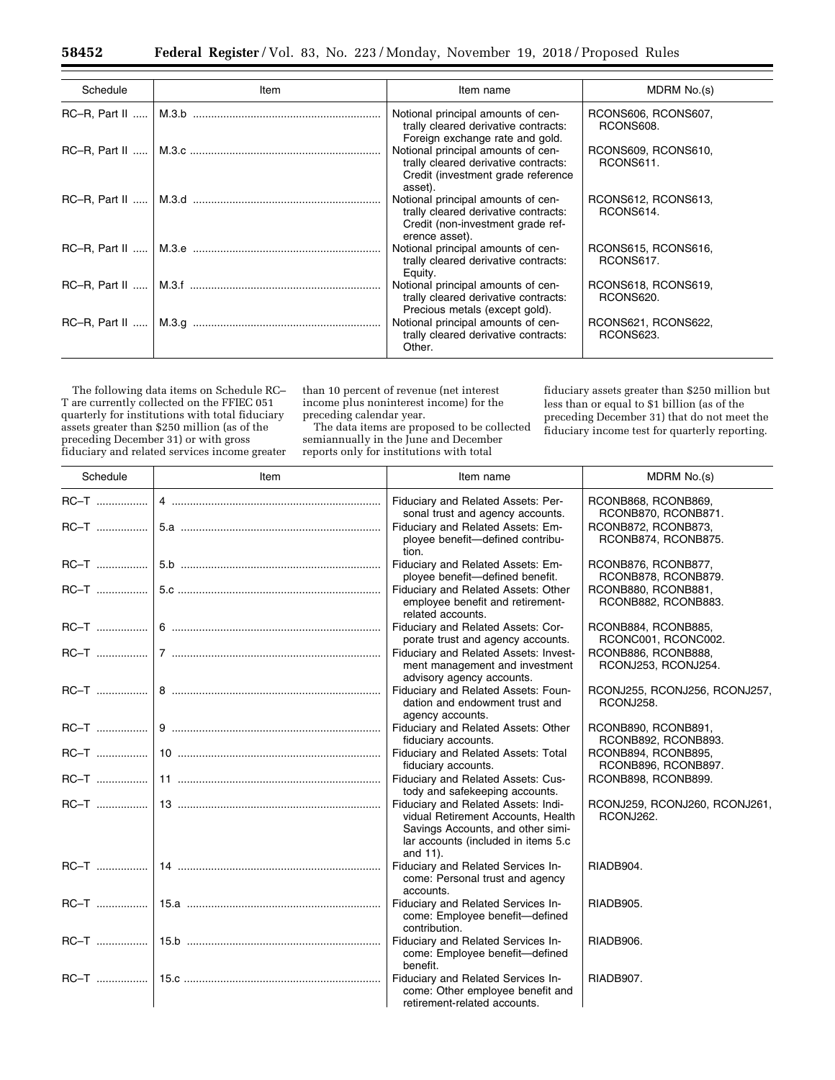| Schedule                    | Item | Item name                                                                                                                         | MDRM No.(s)                      |
|-----------------------------|------|-----------------------------------------------------------------------------------------------------------------------------------|----------------------------------|
| $RC-R. Part II$ $\parallel$ |      | Notional principal amounts of cen-<br>trally cleared derivative contracts:<br>Foreign exchange rate and gold.                     | RCONS606, RCONS607,<br>RCONS608. |
| $RC-R. Part II$             |      | Notional principal amounts of cen-<br>trally cleared derivative contracts:<br>Credit (investment grade reference<br>asset).       | RCONS609, RCONS610,<br>RCONS611. |
|                             |      | Notional principal amounts of cen-<br>trally cleared derivative contracts:<br>Credit (non-investment grade ref-<br>erence asset). | RCONS612, RCONS613,<br>RCONS614. |
|                             |      | Notional principal amounts of cen-<br>trally cleared derivative contracts:<br>Equity.                                             | RCONS615, RCONS616,<br>RCONS617. |
|                             |      | Notional principal amounts of cen-<br>trally cleared derivative contracts:<br>Precious metals (except gold).                      | RCONS618, RCONS619,<br>RCONS620. |
| $RC-R$ , Part II            |      | Notional principal amounts of cen-<br>trally cleared derivative contracts:<br>Other.                                              | RCONS621, RCONS622,<br>RCONS623. |

The following data items on Schedule RC– T are currently collected on the FFIEC 051 quarterly for institutions with total fiduciary assets greater than \$250 million (as of the preceding December 31) or with gross fiduciary and related services income greater

than 10 percent of revenue (net interest income plus noninterest income) for the preceding calendar year.

The data items are proposed to be collected semiannually in the June and December reports only for institutions with total

fiduciary assets greater than \$250 million but less than or equal to \$1 billion (as of the preceding December 31) that do not meet the fiduciary income test for quarterly reporting.

| Schedule | Item | Item name                                                                                                                                                         | MDRM No.(s)                                |
|----------|------|-------------------------------------------------------------------------------------------------------------------------------------------------------------------|--------------------------------------------|
|          |      | Fiduciary and Related Assets: Per-<br>sonal trust and agency accounts.                                                                                            | RCONB868, RCONB869,<br>RCONB870, RCONB871. |
|          |      | Fiduciary and Related Assets: Em-<br>ployee benefit-defined contribu-<br>tion.                                                                                    | RCONB872, RCONB873,<br>RCONB874, RCONB875. |
|          |      | Fiduciary and Related Assets: Em-<br>ployee benefit-defined benefit.                                                                                              | RCONB876, RCONB877,<br>RCONB878, RCONB879. |
|          |      | Fiduciary and Related Assets: Other<br>employee benefit and retirement-<br>related accounts.                                                                      | RCONB880, RCONB881,<br>RCONB882, RCONB883. |
|          |      | Fiduciary and Related Assets: Cor-<br>porate trust and agency accounts.                                                                                           | RCONB884, RCONB885,<br>RCONC001, RCONC002. |
|          |      | Fiduciary and Related Assets: Invest-<br>ment management and investment<br>advisory agency accounts.                                                              | RCONB886, RCONB888,<br>RCONJ253, RCONJ254. |
|          |      | Fiduciary and Related Assets: Foun-<br>dation and endowment trust and<br>agency accounts.                                                                         | RCONJ255, RCONJ256, RCONJ257,<br>RCONJ258. |
|          |      | Fiduciary and Related Assets: Other<br>fiduciary accounts.                                                                                                        | RCONB890, RCONB891,<br>RCONB892, RCONB893. |
|          |      | Fiduciary and Related Assets: Total<br>fiduciary accounts.                                                                                                        | RCONB894, RCONB895,<br>RCONB896, RCONB897. |
|          |      | Fiduciary and Related Assets: Cus-<br>tody and safekeeping accounts.                                                                                              | RCONB898, RCONB899.                        |
|          |      | Fiduciary and Related Assets: Indi-<br>vidual Retirement Accounts, Health<br>Savings Accounts, and other simi-<br>lar accounts (included in items 5.c<br>and 11). | RCONJ259, RCONJ260, RCONJ261,<br>RCONJ262. |
|          |      | Fiduciary and Related Services In-<br>come: Personal trust and agency<br>accounts.                                                                                | RIADB904.                                  |
|          |      | Fiduciary and Related Services In-<br>come: Employee benefit-defined<br>contribution.                                                                             | RIADB905.                                  |
|          |      | Fiduciary and Related Services In-<br>come: Employee benefit-defined<br>benefit.                                                                                  | RIADB906.                                  |
|          |      | Fiduciary and Related Services In-<br>come: Other employee benefit and<br>retirement-related accounts.                                                            | RIADB907.                                  |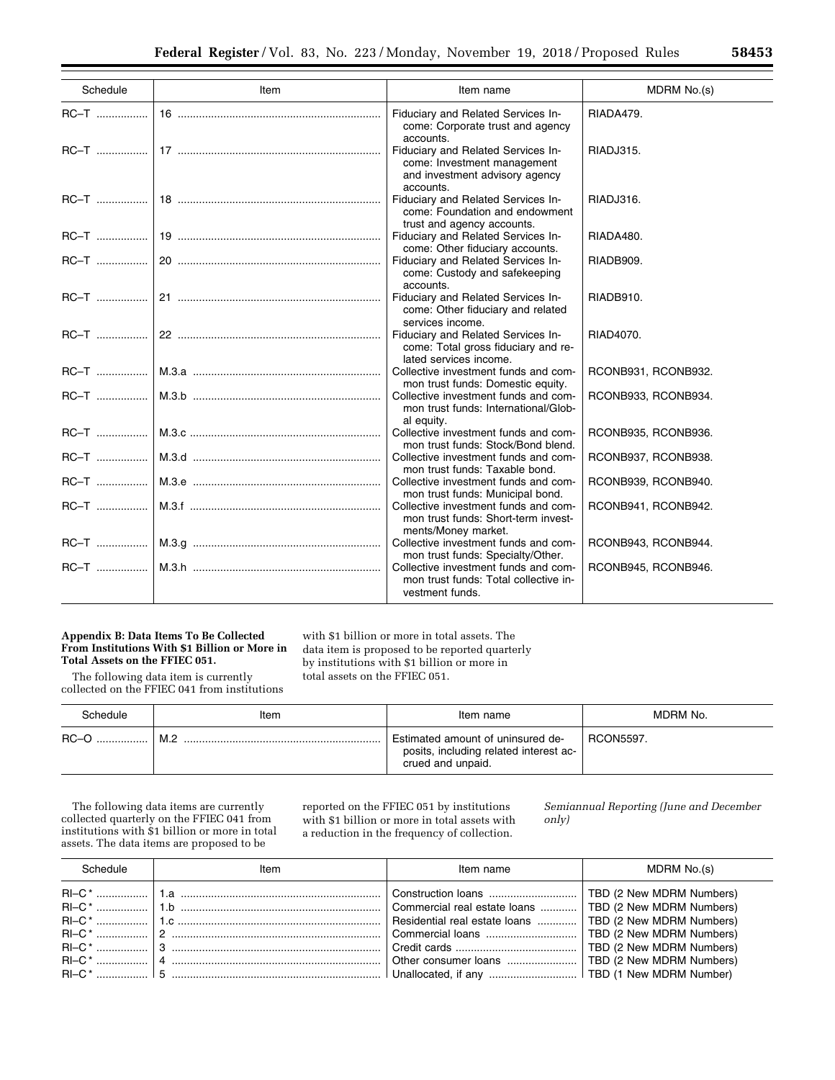| 5645 |
|------|
|      |
|      |
|      |

| Schedule | Item | Item name                                                                                                        | MDRM No.(s)         |
|----------|------|------------------------------------------------------------------------------------------------------------------|---------------------|
|          |      | Fiduciary and Related Services In-<br>come: Corporate trust and agency<br>accounts.                              | RIADA479.           |
|          |      | Fiduciary and Related Services In-<br>come: Investment management<br>and investment advisory agency<br>accounts. | RIADJ315.           |
|          |      | Fiduciary and Related Services In-<br>come: Foundation and endowment<br>trust and agency accounts.               | RIADJ316.           |
|          |      | Fiduciary and Related Services In-<br>come: Other fiduciary accounts.                                            | RIADA480.           |
|          |      | Fiduciary and Related Services In-<br>come: Custody and safekeeping<br>accounts.                                 | RIADB909.           |
|          |      | Fiduciary and Related Services In-<br>come: Other fiduciary and related<br>services income.                      | RIADB910.           |
|          |      | Fiduciary and Related Services In-<br>come: Total gross fiduciary and re-<br>lated services income.              | RIAD4070.           |
|          |      | Collective investment funds and com-<br>mon trust funds: Domestic equity.                                        | RCONB931, RCONB932. |
|          |      | Collective investment funds and com-<br>mon trust funds: International/Glob-<br>al equity.                       | RCONB933, RCONB934. |
|          |      | Collective investment funds and com-<br>mon trust funds: Stock/Bond blend.                                       | RCONB935, RCONB936. |
|          |      | Collective investment funds and com-<br>mon trust funds: Taxable bond.                                           | RCONB937, RCONB938. |
|          |      | Collective investment funds and com-<br>mon trust funds: Municipal bond.                                         | RCONB939, RCONB940. |
|          |      | Collective investment funds and com-<br>mon trust funds: Short-term invest-<br>ments/Money market.               | RCONB941, RCONB942. |
|          |      | Collective investment funds and com-<br>mon trust funds: Specialty/Other.                                        | RCONB943, RCONB944. |
|          |      | Collective investment funds and com-<br>mon trust funds: Total collective in-<br>vestment funds.                 | RCONB945, RCONB946. |

### **Appendix B: Data Items To Be Collected From Institutions With \$1 Billion or More in Total Assets on the FFIEC 051.**

The following data item is currently collected on the FFIEC 041 from institutions

with \$1 billion or more in total assets. The data item is proposed to be reported quarterly by institutions with \$1 billion or more in total assets on the FFIEC 051.

| Schedule | Item | Item name                                                                                        | MDRM No.         |
|----------|------|--------------------------------------------------------------------------------------------------|------------------|
| $RC-O$   | M.2  | Estimated amount of uninsured de-<br>posits, including related interest ac-<br>crued and unpaid. | <b>RCON5597.</b> |

The following data items are currently collected quarterly on the FFIEC 041 from institutions with \$1 billion or more in total assets. The data items are proposed to be

reported on the FFIEC 051 by institutions with \$1 billion or more in total assets with a reduction in the frequency of collection.

*Semiannual Reporting (June and December only)* 

| Schedule | ltem | Item name | MDRM No.(s) |
|----------|------|-----------|-------------|
|          |      |           |             |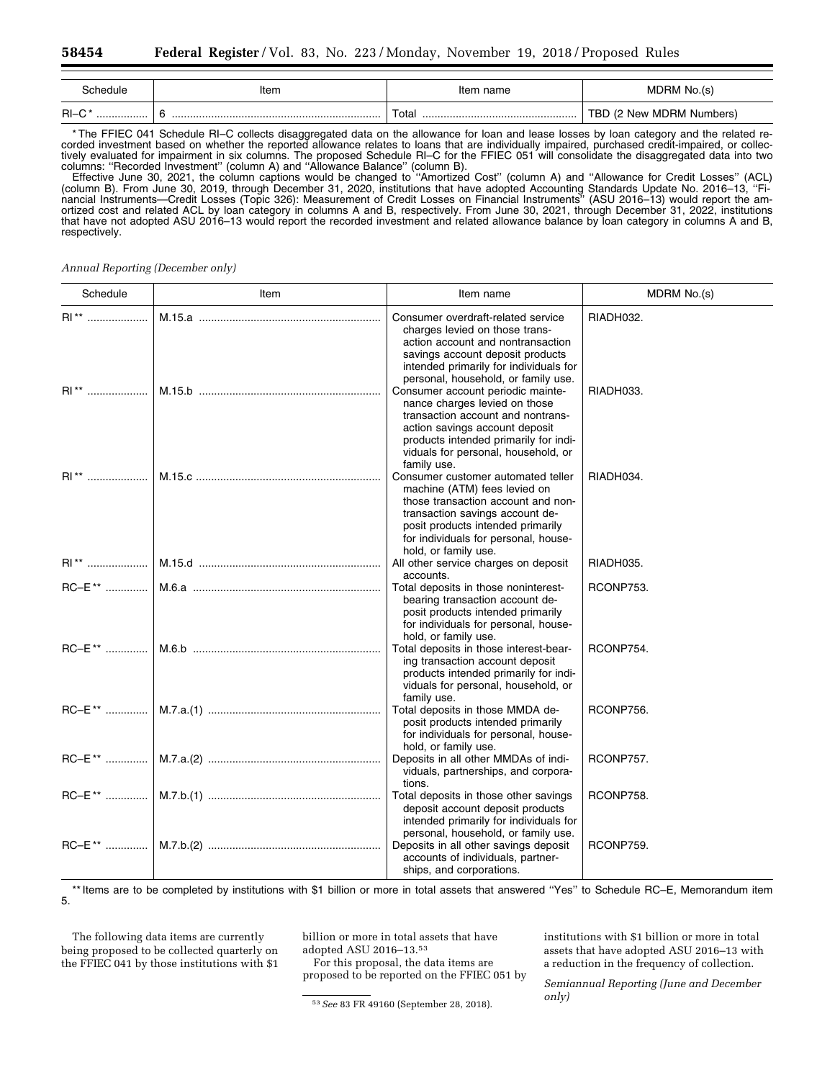| `chedule_  | Item   | name<br>π | M١<br>«n/                |
|------------|--------|-----------|--------------------------|
| $RI-C$<br> | .<br>. | ota<br>   | MDRM<br>Numbers<br>៶៲ឝ៶៷ |

\* The FFIEC 041 Schedule RI–C collects disaggregated data on the allowance for loan and lease losses by loan category and the related recorded investment based on whether the reported allowance relates to loans that are individually impaired, purchased credit-impaired, or collectively evaluated for impairment in six columns. The proposed Schedule RI–C for the FFIEC 051 will consolidate the disaggregated data into two columns: ''Recorded Investment'' (column A) and ''Allowance Balance'' (column B).

Effective June 30, 2021, the column captions would be changed to ''Amortized Cost'' (column A) and ''Allowance for Credit Losses'' (ACL) (column B). From June 30, 2019, through December 31, 2020, institutions that have adopted Accounting Standards Update No. 2016–13, ''Financial Instruments—Credit Losses (Topic 326): Measurement of Credit Losses on Financial Instruments'' (ASU 2016–13) would report the amortized cost and related ACL by loan category in columns A and B, respectively. From June 30, 2021, through December 31, 2022, institutions that have not adopted ASU 2016–13 would report the recorded investment and related allowance balance by loan category in columns A and B, respectively.

*Annual Reporting (December only)* 

| Schedule           | Item | Item name                                                                                                                                                                                                                                        | MDRM No.(s) |
|--------------------|------|--------------------------------------------------------------------------------------------------------------------------------------------------------------------------------------------------------------------------------------------------|-------------|
| $\mathsf{RI}^{**}$ |      | Consumer overdraft-related service<br>charges levied on those trans-<br>action account and nontransaction<br>savings account deposit products<br>intended primarily for individuals for<br>personal, household, or family use.                   | RIADH032.   |
| RI**               |      | Consumer account periodic mainte-<br>nance charges levied on those<br>transaction account and nontrans-<br>action savings account deposit<br>products intended primarily for indi-<br>viduals for personal, household, or<br>family use.         | RIADH033.   |
|                    |      | Consumer customer automated teller<br>machine (ATM) fees levied on<br>those transaction account and non-<br>transaction savings account de-<br>posit products intended primarily<br>for individuals for personal, house-<br>hold, or family use. | RIADH034.   |
|                    |      | All other service charges on deposit<br>accounts.                                                                                                                                                                                                | RIADH035.   |
|                    |      | Total deposits in those noninterest-<br>bearing transaction account de-<br>posit products intended primarily<br>for individuals for personal, house-<br>hold, or family use.                                                                     | RCONP753.   |
|                    |      | Total deposits in those interest-bear-<br>ing transaction account deposit<br>products intended primarily for indi-<br>viduals for personal, household, or<br>family use.                                                                         | RCONP754.   |
|                    |      | Total deposits in those MMDA de-<br>posit products intended primarily<br>for individuals for personal, house-<br>hold, or family use.                                                                                                            | RCONP756.   |
|                    |      | Deposits in all other MMDAs of indi-<br>viduals, partnerships, and corpora-<br>tions.                                                                                                                                                            | RCONP757.   |
|                    |      | Total deposits in those other savings<br>deposit account deposit products<br>intended primarily for individuals for<br>personal, household, or family use.                                                                                       | RCONP758.   |
|                    |      | Deposits in all other savings deposit<br>accounts of individuals, partner-<br>ships, and corporations.                                                                                                                                           | RCONP759.   |

\*\* Items are to be completed by institutions with \$1 billion or more in total assets that answered ''Yes'' to Schedule RC–E, Memorandum item 5.

The following data items are currently being proposed to be collected quarterly on the FFIEC 041 by those institutions with \$1 billion or more in total assets that have adopted ASU 2016–13.53

For this proposal, the data items are proposed to be reported on the FFIEC 051 by

53*See* 83 FR 49160 (September 28, 2018).

institutions with \$1 billion or more in total assets that have adopted ASU 2016–13 with a reduction in the frequency of collection.

*Semiannual Reporting (June and December only)*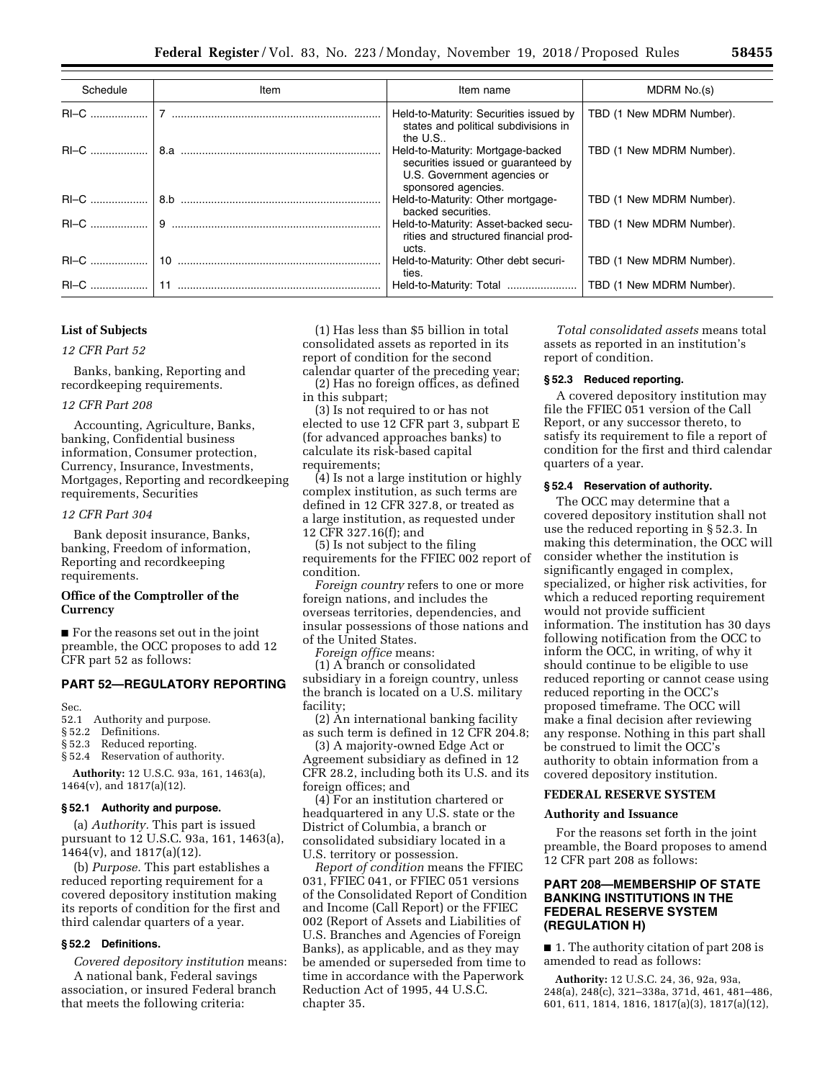| Schedule | Item | Item name                                                                                                                     | MDRM No.(s)              |
|----------|------|-------------------------------------------------------------------------------------------------------------------------------|--------------------------|
|          |      | Held-to-Maturity: Securities issued by<br>states and political subdivisions in<br>the $U.S.$ .                                | TBD (1 New MDRM Number). |
|          |      | Held-to-Maturity: Mortgage-backed<br>securities issued or quaranteed by<br>U.S. Government agencies or<br>sponsored agencies. | TBD (1 New MDRM Number). |
|          |      | Held-to-Maturity: Other mortgage-<br>backed securities.                                                                       | TBD (1 New MDRM Number). |
|          |      | Held-to-Maturity: Asset-backed secu-<br>rities and structured financial prod-<br>ucts.                                        | TBD (1 New MDRM Number). |
|          |      | Held-to-Maturity: Other debt securi-<br>ties.                                                                                 | TBD (1 New MDRM Number). |
|          |      | Held-to-Maturity: Total                                                                                                       | TBD (1 New MDRM Number). |

# **List of Subjects**

### *12 CFR Part 52*

Banks, banking, Reporting and recordkeeping requirements.

### *12 CFR Part 208*

Accounting, Agriculture, Banks, banking, Confidential business information, Consumer protection, Currency, Insurance, Investments, Mortgages, Reporting and recordkeeping requirements, Securities

# *12 CFR Part 304*

Bank deposit insurance, Banks, banking, Freedom of information, Reporting and recordkeeping requirements.

### **Office of the Comptroller of the Currency**

■ For the reasons set out in the joint preamble, the OCC proposes to add 12 CFR part 52 as follows:

# **PART 52—REGULATORY REPORTING**

Sec.

- 52.1 Authority and purpose.
- § 52.2 Definitions.
- § 52.3 Reduced reporting.
- § 52.4 Reservation of authority.

**Authority:** 12 U.S.C. 93a, 161, 1463(a), 1464(v), and 1817(a)(12).

### **§ 52.1 Authority and purpose.**

(a) *Authority.* This part is issued pursuant to 12 U.S.C. 93a, 161, 1463(a), 1464(v), and 1817(a)(12).

(b) *Purpose.* This part establishes a reduced reporting requirement for a covered depository institution making its reports of condition for the first and third calendar quarters of a year.

# **§ 52.2 Definitions.**

*Covered depository institution* means: A national bank, Federal savings association, or insured Federal branch that meets the following criteria:

(1) Has less than \$5 billion in total consolidated assets as reported in its report of condition for the second calendar quarter of the preceding year;

(2) Has no foreign offices, as defined in this subpart;

(3) Is not required to or has not elected to use 12 CFR part 3, subpart E (for advanced approaches banks) to calculate its risk-based capital requirements;

(4) Is not a large institution or highly complex institution, as such terms are defined in 12 CFR 327.8, or treated as a large institution, as requested under 12 CFR 327.16(f); and

(5) Is not subject to the filing requirements for the FFIEC 002 report of condition.

*Foreign country* refers to one or more foreign nations, and includes the overseas territories, dependencies, and insular possessions of those nations and of the United States.

*Foreign office* means:

(1) A branch or consolidated subsidiary in a foreign country, unless the branch is located on a U.S. military facility;

(2) An international banking facility as such term is defined in 12 CFR 204.8;

(3) A majority-owned Edge Act or Agreement subsidiary as defined in 12

CFR 28.2, including both its U.S. and its foreign offices; and

(4) For an institution chartered or headquartered in any U.S. state or the District of Columbia, a branch or consolidated subsidiary located in a U.S. territory or possession.

*Report of condition* means the FFIEC 031, FFIEC 041, or FFIEC 051 versions of the Consolidated Report of Condition and Income (Call Report) or the FFIEC 002 (Report of Assets and Liabilities of U.S. Branches and Agencies of Foreign Banks), as applicable, and as they may be amended or superseded from time to time in accordance with the Paperwork Reduction Act of 1995, 44 U.S.C. chapter 35.

*Total consolidated assets* means total assets as reported in an institution's report of condition.

### **§ 52.3 Reduced reporting.**

A covered depository institution may file the FFIEC 051 version of the Call Report, or any successor thereto, to satisfy its requirement to file a report of condition for the first and third calendar quarters of a year.

# **§ 52.4 Reservation of authority.**

The OCC may determine that a covered depository institution shall not use the reduced reporting in § 52.3. In making this determination, the OCC will consider whether the institution is significantly engaged in complex, specialized, or higher risk activities, for which a reduced reporting requirement would not provide sufficient information. The institution has 30 days following notification from the OCC to inform the OCC, in writing, of why it should continue to be eligible to use reduced reporting or cannot cease using reduced reporting in the OCC's proposed timeframe. The OCC will make a final decision after reviewing any response. Nothing in this part shall be construed to limit the OCC's authority to obtain information from a covered depository institution.

### **FEDERAL RESERVE SYSTEM**

#### **Authority and Issuance**

For the reasons set forth in the joint preamble, the Board proposes to amend 12 CFR part 208 as follows:

# **PART 208—MEMBERSHIP OF STATE BANKING INSTITUTIONS IN THE FEDERAL RESERVE SYSTEM (REGULATION H)**

■ 1. The authority citation of part 208 is amended to read as follows:

**Authority:** 12 U.S.C. 24, 36, 92a, 93a, 248(a), 248(c), 321–338a, 371d, 461, 481–486, 601, 611, 1814, 1816, 1817(a)(3), 1817(a)(12),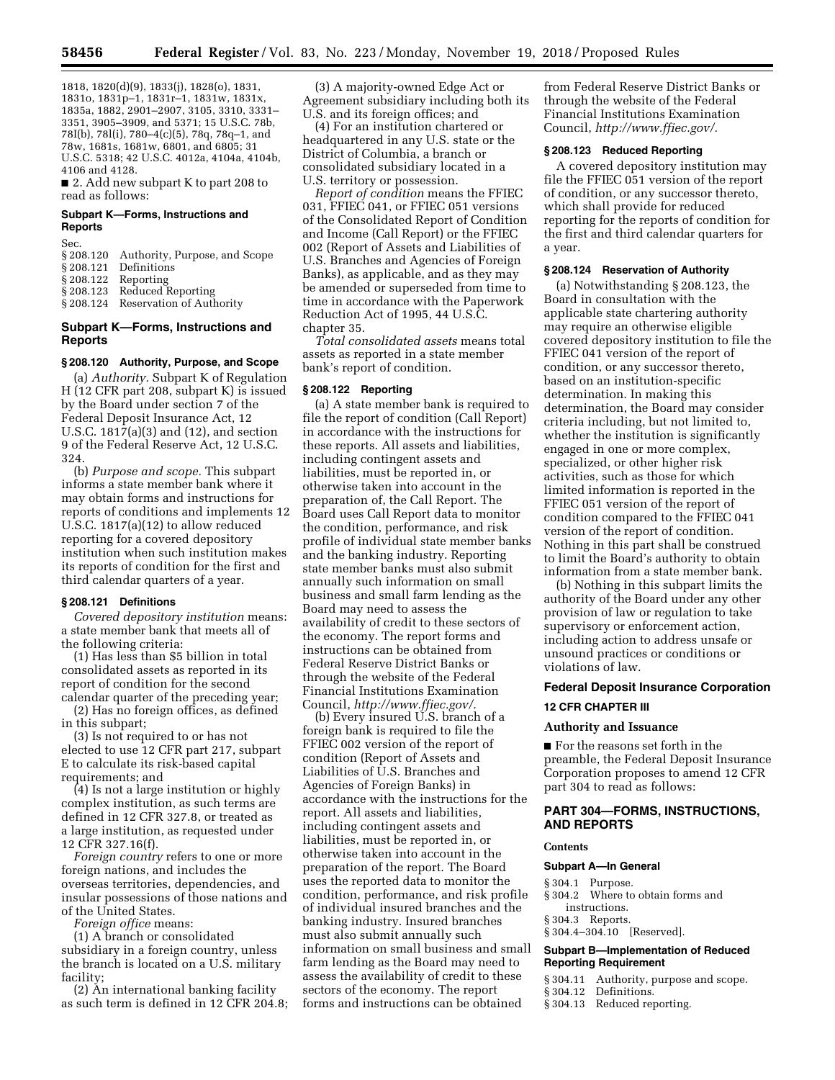1818, 1820(d)(9), 1833(j), 1828(o), 1831, 1831o, 1831p–1, 1831r–1, 1831w, 1831x, 1835a, 1882, 2901–2907, 3105, 3310, 3331– 3351, 3905–3909, and 5371; 15 U.S.C. 78b, 78I(b), 78l(i), 780–4(c)(5), 78q, 78q–1, and 78w, 1681s, 1681w, 6801, and 6805; 31 U.S.C. 5318; 42 U.S.C. 4012a, 4104a, 4104b, 4106 and 4128.

■ 2. Add new subpart K to part 208 to read as follows:

### **Subpart K—Forms, Instructions and Reports**

Sec.

| § 208.120 Authority, Purpose, and Scope |  |
|-----------------------------------------|--|
|                                         |  |

- § 208.121 Definitions
- § 208.122 Reporting

Reduced Reporting

§ 208.124 Reservation of Authority

# **Subpart K—Forms, Instructions and Reports**

### **§ 208.120 Authority, Purpose, and Scope**

(a) *Authority.* Subpart K of Regulation H (12 CFR part 208, subpart K) is issued by the Board under section 7 of the Federal Deposit Insurance Act, 12 U.S.C. 1817(a)(3) and (12), and section 9 of the Federal Reserve Act, 12 U.S.C. 324.

(b) *Purpose and scope.* This subpart informs a state member bank where it may obtain forms and instructions for reports of conditions and implements 12 U.S.C. 1817(a)(12) to allow reduced reporting for a covered depository institution when such institution makes its reports of condition for the first and third calendar quarters of a year.

# **§ 208.121 Definitions**

*Covered depository institution* means: a state member bank that meets all of the following criteria:

(1) Has less than \$5 billion in total consolidated assets as reported in its report of condition for the second calendar quarter of the preceding year;

(2) Has no foreign offices, as defined in this subpart;

(3) Is not required to or has not elected to use 12 CFR part 217, subpart E to calculate its risk-based capital requirements; and

(4) Is not a large institution or highly complex institution, as such terms are defined in 12 CFR 327.8, or treated as a large institution, as requested under 12 CFR 327.16(f).

*Foreign country* refers to one or more foreign nations, and includes the overseas territories, dependencies, and insular possessions of those nations and of the United States.

*Foreign office* means:

(1) A branch or consolidated subsidiary in a foreign country, unless the branch is located on a U.S. military facility;

(2) An international banking facility as such term is defined in 12 CFR 204.8;

(3) A majority-owned Edge Act or Agreement subsidiary including both its U.S. and its foreign offices; and

(4) For an institution chartered or headquartered in any U.S. state or the District of Columbia, a branch or consolidated subsidiary located in a U.S. territory or possession.

*Report of condition* means the FFIEC 031, FFIEC 041, or FFIEC 051 versions of the Consolidated Report of Condition and Income (Call Report) or the FFIEC 002 (Report of Assets and Liabilities of U.S. Branches and Agencies of Foreign Banks), as applicable, and as they may be amended or superseded from time to time in accordance with the Paperwork Reduction Act of 1995, 44 U.S.C. chapter 35.

*Total consolidated assets* means total assets as reported in a state member bank's report of condition.

#### **§ 208.122 Reporting**

(a) A state member bank is required to file the report of condition (Call Report) in accordance with the instructions for these reports. All assets and liabilities, including contingent assets and liabilities, must be reported in, or otherwise taken into account in the preparation of, the Call Report. The Board uses Call Report data to monitor the condition, performance, and risk profile of individual state member banks and the banking industry. Reporting state member banks must also submit annually such information on small business and small farm lending as the Board may need to assess the availability of credit to these sectors of the economy. The report forms and instructions can be obtained from Federal Reserve District Banks or through the website of the Federal Financial Institutions Examination Council, *[http://www.ffiec.gov/.](http://www.ffiec.gov/)* 

(b) Every insured U.S. branch of a foreign bank is required to file the FFIEC 002 version of the report of condition (Report of Assets and Liabilities of U.S. Branches and Agencies of Foreign Banks) in accordance with the instructions for the report. All assets and liabilities, including contingent assets and liabilities, must be reported in, or otherwise taken into account in the preparation of the report. The Board uses the reported data to monitor the condition, performance, and risk profile of individual insured branches and the banking industry. Insured branches must also submit annually such information on small business and small farm lending as the Board may need to assess the availability of credit to these sectors of the economy. The report forms and instructions can be obtained

from Federal Reserve District Banks or through the website of the Federal Financial Institutions Examination Council, *[http://www.ffiec.gov/.](http://www.ffiec.gov/)* 

### **§ 208.123 Reduced Reporting**

A covered depository institution may file the FFIEC 051 version of the report of condition, or any successor thereto, which shall provide for reduced reporting for the reports of condition for the first and third calendar quarters for a year.

# **§ 208.124 Reservation of Authority**

(a) Notwithstanding § 208.123, the Board in consultation with the applicable state chartering authority may require an otherwise eligible covered depository institution to file the FFIEC 041 version of the report of condition, or any successor thereto, based on an institution-specific determination. In making this determination, the Board may consider criteria including, but not limited to, whether the institution is significantly engaged in one or more complex, specialized, or other higher risk activities, such as those for which limited information is reported in the FFIEC 051 version of the report of condition compared to the FFIEC 041 version of the report of condition. Nothing in this part shall be construed to limit the Board's authority to obtain information from a state member bank.

(b) Nothing in this subpart limits the authority of the Board under any other provision of law or regulation to take supervisory or enforcement action, including action to address unsafe or unsound practices or conditions or violations of law.

### **Federal Deposit Insurance Corporation**

### **12 CFR CHAPTER III**

### **Authority and Issuance**

■ For the reasons set forth in the preamble, the Federal Deposit Insurance Corporation proposes to amend 12 CFR part 304 to read as follows:

# **PART 304—FORMS, INSTRUCTIONS, AND REPORTS**

#### **Contents**

#### **Subpart A—In General**

- § 304.1 Purpose.
- § 304.2 Where to obtain forms and instructions.
- § 304.3 Reports.
- § 304.4–304.10 [Reserved].

# **Subpart B—Implementation of Reduced Reporting Requirement**

- § 304.11 Authority, purpose and scope.
- § 304.12 Definitions.
- § 304.13 Reduced reporting.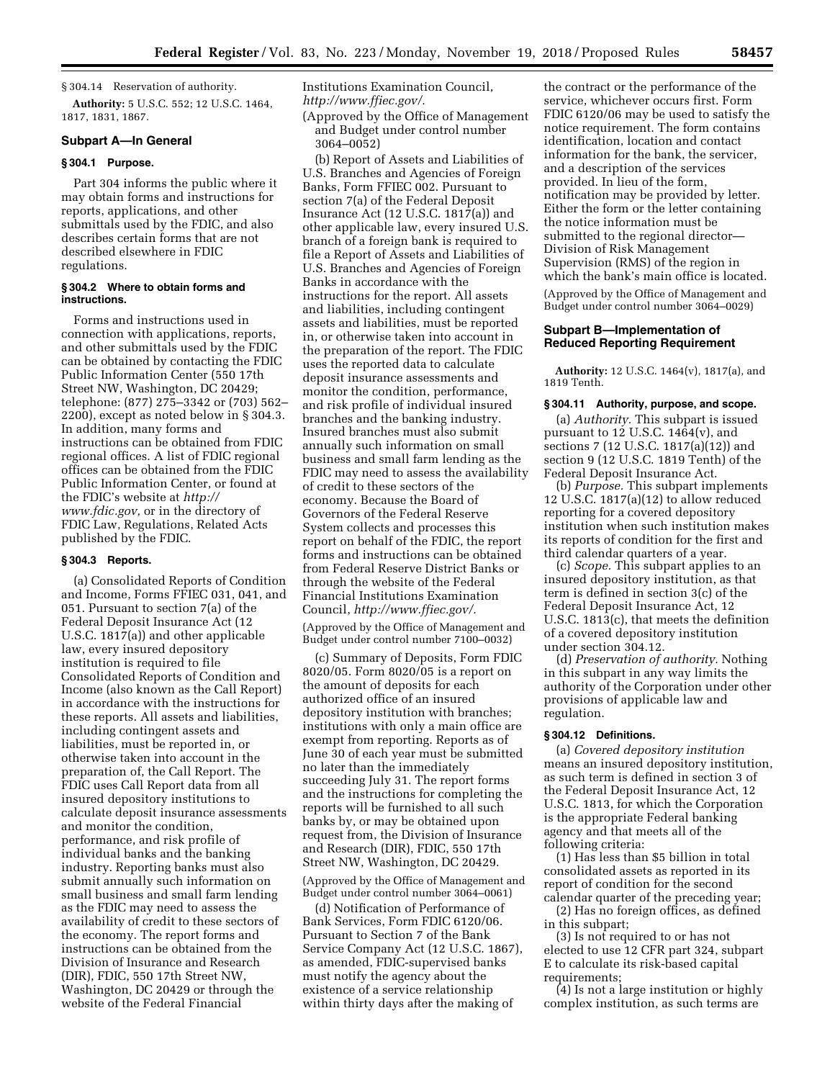§ 304.14 Reservation of authority.

**Authority:** 5 U.S.C. 552; 12 U.S.C. 1464, 1817, 1831, 1867.

# **Subpart A—In General**

### **§ 304.1 Purpose.**

Part 304 informs the public where it may obtain forms and instructions for reports, applications, and other submittals used by the FDIC, and also describes certain forms that are not described elsewhere in FDIC regulations.

### **§ 304.2 Where to obtain forms and instructions.**

Forms and instructions used in connection with applications, reports, and other submittals used by the FDIC can be obtained by contacting the FDIC Public Information Center (550 17th Street NW, Washington, DC 20429; telephone: (877) 275–3342 or (703) 562– 2200), except as noted below in § 304.3. In addition, many forms and instructions can be obtained from FDIC regional offices. A list of FDIC regional offices can be obtained from the FDIC Public Information Center, or found at the FDIC's website at *[http://](http://www.fdic.gov) [www.fdic.gov,](http://www.fdic.gov)* or in the directory of FDIC Law, Regulations, Related Acts published by the FDIC.

### **§ 304.3 Reports.**

(a) Consolidated Reports of Condition and Income, Forms FFIEC 031, 041, and 051. Pursuant to section 7(a) of the Federal Deposit Insurance Act (12 U.S.C. 1817(a)) and other applicable law, every insured depository institution is required to file Consolidated Reports of Condition and Income (also known as the Call Report) in accordance with the instructions for these reports. All assets and liabilities, including contingent assets and liabilities, must be reported in, or otherwise taken into account in the preparation of, the Call Report. The FDIC uses Call Report data from all insured depository institutions to calculate deposit insurance assessments and monitor the condition, performance, and risk profile of individual banks and the banking industry. Reporting banks must also submit annually such information on small business and small farm lending as the FDIC may need to assess the availability of credit to these sectors of the economy. The report forms and instructions can be obtained from the Division of Insurance and Research (DIR), FDIC, 550 17th Street NW, Washington, DC 20429 or through the website of the Federal Financial

Institutions Examination Council, *[http://www.ffiec.gov/.](http://www.ffiec.gov/)* 

(Approved by the Office of Management and Budget under control number 3064–0052)

(b) Report of Assets and Liabilities of U.S. Branches and Agencies of Foreign Banks, Form FFIEC 002. Pursuant to section 7(a) of the Federal Deposit Insurance Act (12 U.S.C. 1817(a)) and other applicable law, every insured U.S. branch of a foreign bank is required to file a Report of Assets and Liabilities of U.S. Branches and Agencies of Foreign Banks in accordance with the instructions for the report. All assets and liabilities, including contingent assets and liabilities, must be reported in, or otherwise taken into account in the preparation of the report. The FDIC uses the reported data to calculate deposit insurance assessments and monitor the condition, performance, and risk profile of individual insured branches and the banking industry. Insured branches must also submit annually such information on small business and small farm lending as the FDIC may need to assess the availability of credit to these sectors of the economy. Because the Board of Governors of the Federal Reserve System collects and processes this report on behalf of the FDIC, the report forms and instructions can be obtained from Federal Reserve District Banks or through the website of the Federal Financial Institutions Examination Council, *[http://www.ffiec.gov/.](http://www.ffiec.gov/)* 

(Approved by the Office of Management and Budget under control number 7100–0032)

(c) Summary of Deposits, Form FDIC 8020/05. Form 8020/05 is a report on the amount of deposits for each authorized office of an insured depository institution with branches; institutions with only a main office are exempt from reporting. Reports as of June 30 of each year must be submitted no later than the immediately succeeding July 31. The report forms and the instructions for completing the reports will be furnished to all such banks by, or may be obtained upon request from, the Division of Insurance and Research (DIR), FDIC, 550 17th Street NW, Washington, DC 20429.

(Approved by the Office of Management and Budget under control number 3064–0061)

(d) Notification of Performance of Bank Services, Form FDIC 6120/06. Pursuant to Section 7 of the Bank Service Company Act (12 U.S.C. 1867), as amended, FDIC-supervised banks must notify the agency about the existence of a service relationship within thirty days after the making of

the contract or the performance of the service, whichever occurs first. Form FDIC 6120/06 may be used to satisfy the notice requirement. The form contains identification, location and contact information for the bank, the servicer, and a description of the services provided. In lieu of the form, notification may be provided by letter. Either the form or the letter containing the notice information must be submitted to the regional director— Division of Risk Management Supervision (RMS) of the region in which the bank's main office is located.

(Approved by the Office of Management and Budget under control number 3064–0029)

### **Subpart B—Implementation of Reduced Reporting Requirement**

**Authority:** 12 U.S.C. 1464(v), 1817(a), and 1819 Tenth.

# **§ 304.11 Authority, purpose, and scope.**

(a) *Authority.* This subpart is issued pursuant to 12 U.S.C. 1464(v), and sections 7 (12 U.S.C. 1817(a)(12)) and section 9 (12 U.S.C. 1819 Tenth) of the Federal Deposit Insurance Act.

(b) *Purpose.* This subpart implements 12 U.S.C. 1817(a)(12) to allow reduced reporting for a covered depository institution when such institution makes its reports of condition for the first and third calendar quarters of a year.

(c) *Scope.* This subpart applies to an insured depository institution, as that term is defined in section 3(c) of the Federal Deposit Insurance Act, 12 U.S.C. 1813(c), that meets the definition of a covered depository institution under section 304.12.

(d) *Preservation of authority.* Nothing in this subpart in any way limits the authority of the Corporation under other provisions of applicable law and regulation.

## **§ 304.12 Definitions.**

(a) *Covered depository institution*  means an insured depository institution, as such term is defined in section 3 of the Federal Deposit Insurance Act, 12 U.S.C. 1813, for which the Corporation is the appropriate Federal banking agency and that meets all of the following criteria:

(1) Has less than \$5 billion in total consolidated assets as reported in its report of condition for the second calendar quarter of the preceding year;

(2) Has no foreign offices, as defined in this subpart;

(3) Is not required to or has not elected to use 12 CFR part 324, subpart E to calculate its risk-based capital requirements;

(4) Is not a large institution or highly complex institution, as such terms are